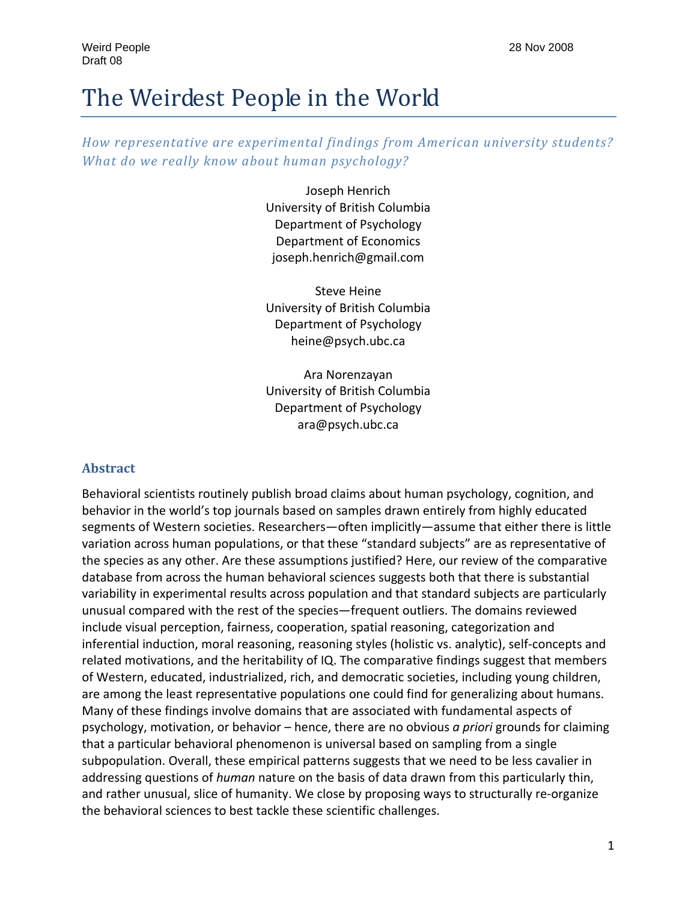# The Weirdest People in the World

*How representative are experimental findings from American university students? What do we really know about human psychology?*

> Joseph Henrich University of British Columbia Department of Psychology Department of Economics joseph.henrich@gmail.com

> Steve Heine University of British Columbia Department of Psychology heine@psych.ubc.ca

> Ara Norenzayan University of British Columbia Department of Psychology ara@psych.ubc.ca

#### **Abstract**

Behavioral scientists routinely publish broad claims about human psychology, cognition, and behavior in the world's top journals based on samples drawn entirely from highly educated segments of Western societies. Researchers—often implicitly—assume that either there is little variation across human populations, or that these "standard subjects" are as representative of the species as any other. Are these assumptions justified? Here, our review of the comparative database from across the human behavioral sciences suggests both that there is substantial variability in experimental results across population and that standard subjects are particularly unusual compared with the rest of the species—frequent outliers. The domains reviewed include visual perception, fairness, cooperation, spatial reasoning, categorization and inferential induction, moral reasoning, reasoning styles (holistic vs. analytic), self‐concepts and related motivations, and the heritability of IQ. The comparative findings suggest that members of Western, educated, industrialized, rich, and democratic societies, including young children, are among the least representative populations one could find for generalizing about humans. Many of these findings involve domains that are associated with fundamental aspects of psychology, motivation, or behavior – hence, there are no obvious *a priori* grounds for claiming that a particular behavioral phenomenon is universal based on sampling from a single subpopulation. Overall, these empirical patterns suggests that we need to be less cavalier in addressing questions of *human* nature on the basis of data drawn from this particularly thin, and rather unusual, slice of humanity. We close by proposing ways to structurally re-organize the behavioral sciences to best tackle these scientific challenges.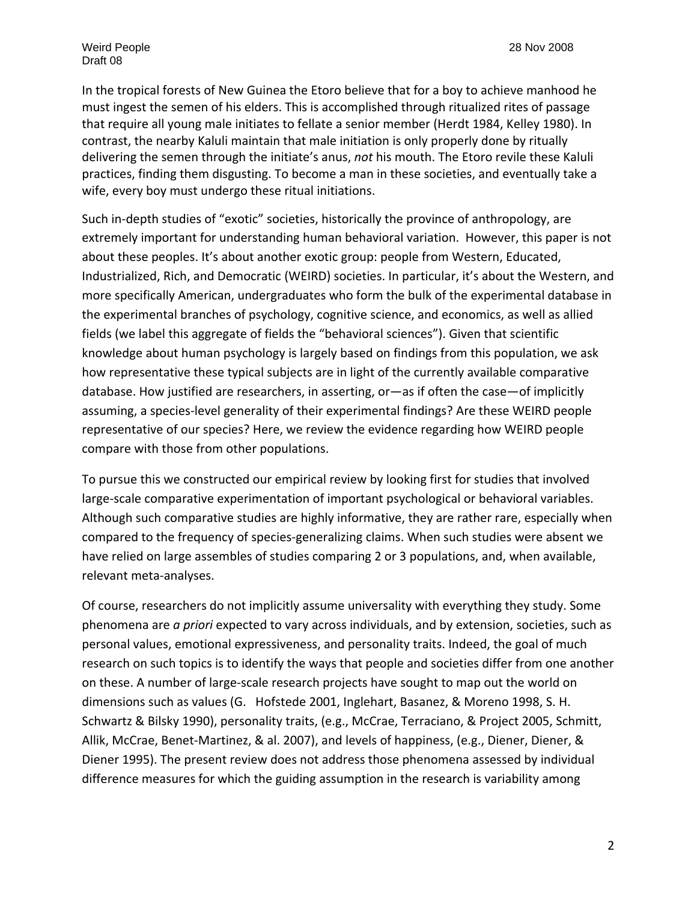In the tropical forests of New Guinea the Etoro believe that for a boy to achieve manhood he must ingest the semen of his elders. This is accomplished through ritualized rites of passage that require all young male initiates to fellate a senior member (Herdt 1984, Kelley 1980). In contrast, the nearby Kaluli maintain that male initiation is only properly done by ritually delivering the semen through the initiate's anus, *not* his mouth. The Etoro revile these Kaluli practices, finding them disgusting. To become a man in these societies, and eventually take a wife, every boy must undergo these ritual initiations.

Such in-depth studies of "exotic" societies, historically the province of anthropology, are extremely important for understanding human behavioral variation. However, this paper is not about these peoples. It's about another exotic group: people from Western, Educated, Industrialized, Rich, and Democratic (WEIRD) societies. In particular, it's about the Western, and more specifically American, undergraduates who form the bulk of the experimental database in the experimental branches of psychology, cognitive science, and economics, as well as allied fields (we label this aggregate of fields the "behavioral sciences"). Given that scientific knowledge about human psychology is largely based on findings from this population, we ask how representative these typical subjects are in light of the currently available comparative database. How justified are researchers, in asserting, or—as if often the case—of implicitly assuming, a species‐level generality of their experimental findings? Are these WEIRD people representative of our species? Here, we review the evidence regarding how WEIRD people compare with those from other populations.

To pursue this we constructed our empirical review by looking first for studies that involved large‐scale comparative experimentation of important psychological or behavioral variables. Although such comparative studies are highly informative, they are rather rare, especially when compared to the frequency of species‐generalizing claims. When such studies were absent we have relied on large assembles of studies comparing 2 or 3 populations, and, when available, relevant meta‐analyses.

Of course, researchers do not implicitly assume universality with everything they study. Some phenomena are *a priori* expected to vary across individuals, and by extension, societies, such as personal values, emotional expressiveness, and personality traits. Indeed, the goal of much research on such topics is to identify the ways that people and societies differ from one another on these. A number of large‐scale research projects have sought to map out the world on dimensions such as values (G. Hofstede 2001, Inglehart, Basanez, & Moreno 1998, S. H. Schwartz & Bilsky 1990), personality traits, (e.g., McCrae, Terraciano, & Project 2005, Schmitt, Allik, McCrae, Benet‐Martinez, & al. 2007), and levels of happiness, (e.g., Diener, Diener, & Diener 1995). The present review does not address those phenomena assessed by individual difference measures for which the guiding assumption in the research is variability among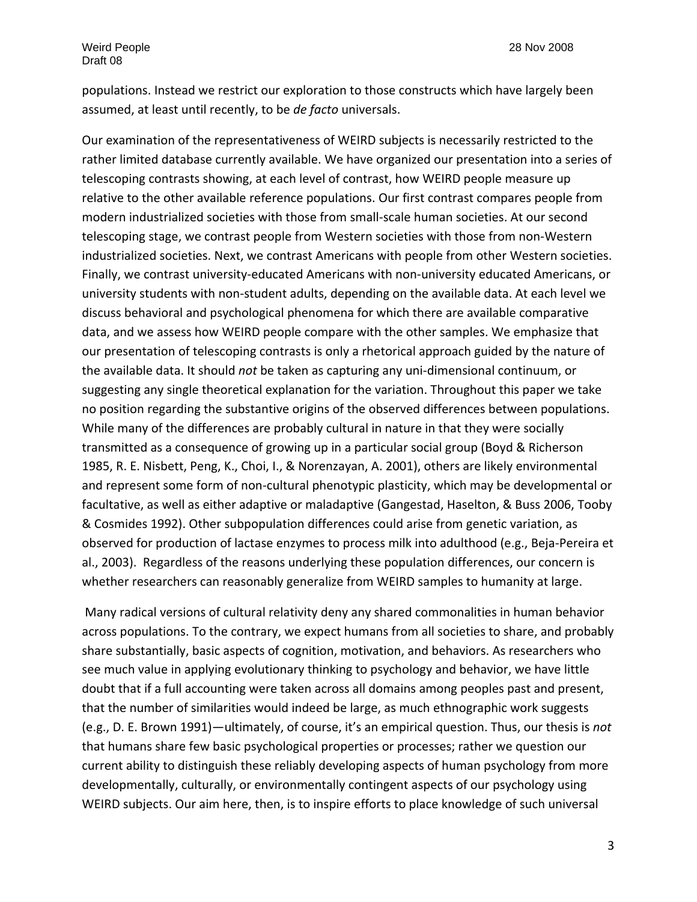populations. Instead we restrict our exploration to those constructs which have largely been assumed, at least until recently, to be *de facto* universals.

Our examination of the representativeness of WEIRD subjects is necessarily restricted to the rather limited database currently available. We have organized our presentation into a series of telescoping contrasts showing, at each level of contrast, how WEIRD people measure up relative to the other available reference populations. Our first contrast compares people from modern industrialized societies with those from small‐scale human societies. At our second telescoping stage, we contrast people from Western societies with those from non‐Western industrialized societies. Next, we contrast Americans with people from other Western societies. Finally, we contrast university‐educated Americans with non‐university educated Americans, or university students with non‐student adults, depending on the available data. At each level we discuss behavioral and psychological phenomena for which there are available comparative data, and we assess how WEIRD people compare with the other samples. We emphasize that our presentation of telescoping contrasts is only a rhetorical approach guided by the nature of the available data. It should *not* be taken as capturing any uni‐dimensional continuum, or suggesting any single theoretical explanation for the variation. Throughout this paper we take no position regarding the substantive origins of the observed differences between populations. While many of the differences are probably cultural in nature in that they were socially transmitted as a consequence of growing up in a particular social group (Boyd & Richerson 1985, R. E. Nisbett, Peng, K., Choi, I., & Norenzayan, A. 2001), others are likely environmental and represent some form of non-cultural phenotypic plasticity, which may be developmental or facultative, as well as either adaptive or maladaptive (Gangestad, Haselton, & Buss 2006, Tooby & Cosmides 1992). Other subpopulation differences could arise from genetic variation, as observed for production of lactase enzymes to process milk into adulthood (e.g., Beja‐Pereira et al., 2003). Regardless of the reasons underlying these population differences, our concern is whether researchers can reasonably generalize from WEIRD samples to humanity at large.

Many radical versions of cultural relativity deny any shared commonalities in human behavior across populations. To the contrary, we expect humans from all societies to share, and probably share substantially, basic aspects of cognition, motivation, and behaviors. As researchers who see much value in applying evolutionary thinking to psychology and behavior, we have little doubt that if a full accounting were taken across all domains among peoples past and present, that the number of similarities would indeed be large, as much ethnographic work suggests (e.g., D. E. Brown 1991)—ultimately, of course, it's an empirical question. Thus, our thesis is *not* that humans share few basic psychological properties or processes; rather we question our current ability to distinguish these reliably developing aspects of human psychology from more developmentally, culturally, or environmentally contingent aspects of our psychology using WEIRD subjects. Our aim here, then, is to inspire efforts to place knowledge of such universal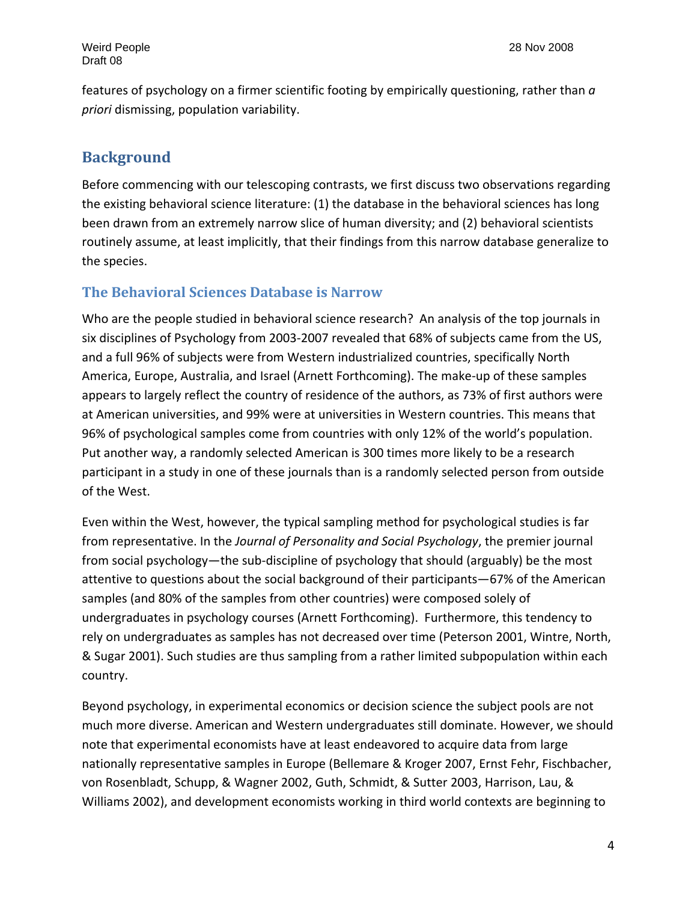features of psychology on a firmer scientific footing by empirically questioning, rather than *a priori* dismissing, population variability.

# **Background**

Before commencing with our telescoping contrasts, we first discuss two observations regarding the existing behavioral science literature: (1) the database in the behavioral sciences has long been drawn from an extremely narrow slice of human diversity; and (2) behavioral scientists routinely assume, at least implicitly, that their findings from this narrow database generalize to the species.

# **The Behavioral Sciences Database is Narrow**

Who are the people studied in behavioral science research? An analysis of the top journals in six disciplines of Psychology from 2003‐2007 revealed that 68% of subjects came from the US, and a full 96% of subjects were from Western industrialized countries, specifically North America, Europe, Australia, and Israel (Arnett Forthcoming). The make‐up of these samples appears to largely reflect the country of residence of the authors, as 73% of first authors were at American universities, and 99% were at universities in Western countries. This means that 96% of psychological samples come from countries with only 12% of the world's population. Put another way, a randomly selected American is 300 times more likely to be a research participant in a study in one of these journals than is a randomly selected person from outside of the West.

Even within the West, however, the typical sampling method for psychological studies is far from representative. In the *Journal of Personality and Social Psychology*, the premier journal from social psychology—the sub-discipline of psychology that should (arguably) be the most attentive to questions about the social background of their participants—67% of the American samples (and 80% of the samples from other countries) were composed solely of undergraduates in psychology courses (Arnett Forthcoming). Furthermore, this tendency to rely on undergraduates as samples has not decreased over time (Peterson 2001, Wintre, North, & Sugar 2001). Such studies are thus sampling from a rather limited subpopulation within each country.

Beyond psychology, in experimental economics or decision science the subject pools are not much more diverse. American and Western undergraduates still dominate. However, we should note that experimental economists have at least endeavored to acquire data from large nationally representative samples in Europe (Bellemare & Kroger 2007, Ernst Fehr, Fischbacher, von Rosenbladt, Schupp, & Wagner 2002, Guth, Schmidt, & Sutter 2003, Harrison, Lau, & Williams 2002), and development economists working in third world contexts are beginning to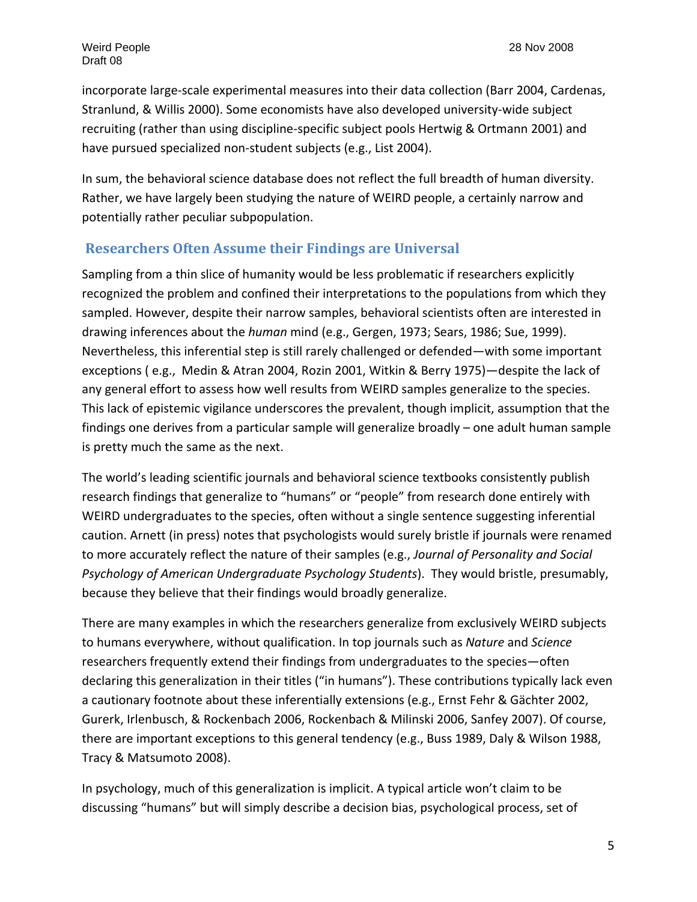incorporate large‐scale experimental measures into their data collection (Barr 2004, Cardenas, Stranlund, & Willis 2000). Some economists have also developed university‐wide subject recruiting (rather than using discipline‐specific subject pools Hertwig & Ortmann 2001) and have pursued specialized non-student subjects (e.g., List 2004).

In sum, the behavioral science database does not reflect the full breadth of human diversity. Rather, we have largely been studying the nature of WEIRD people, a certainly narrow and potentially rather peculiar subpopulation.

#### **Researchers Often Assume their Findings are Universal**

Sampling from a thin slice of humanity would be less problematic if researchers explicitly recognized the problem and confined their interpretations to the populations from which they sampled. However, despite their narrow samples, behavioral scientists often are interested in drawing inferences about the *human* mind (e.g., Gergen, 1973; Sears, 1986; Sue, 1999). Nevertheless, this inferential step is still rarely challenged or defended—with some important exceptions ( e.g., Medin & Atran 2004, Rozin 2001, Witkin & Berry 1975)—despite the lack of any general effort to assess how well results from WEIRD samples generalize to the species. This lack of epistemic vigilance underscores the prevalent, though implicit, assumption that the findings one derives from a particular sample will generalize broadly – one adult human sample is pretty much the same as the next.

The world's leading scientific journals and behavioral science textbooks consistently publish research findings that generalize to "humans" or "people" from research done entirely with WEIRD undergraduates to the species, often without a single sentence suggesting inferential caution. Arnett (in press) notes that psychologists would surely bristle if journals were renamed to more accurately reflect the nature of their samples (e.g., *Journal of Personality and Social Psychology of American Undergraduate Psychology Students*). They would bristle, presumably, because they believe that their findings would broadly generalize.

There are many examples in which the researchers generalize from exclusively WEIRD subjects to humans everywhere, without qualification. In top journals such as *Nature* and *Science* researchers frequently extend their findings from undergraduates to the species—often declaring this generalization in their titles ("in humans"). These contributions typically lack even a cautionary footnote about these inferentially extensions (e.g., Ernst Fehr & Gächter 2002, Gurerk, Irlenbusch, & Rockenbach 2006, Rockenbach & Milinski 2006, Sanfey 2007). Of course, there are important exceptions to this general tendency (e.g., Buss 1989, Daly & Wilson 1988, Tracy & Matsumoto 2008).

In psychology, much of this generalization is implicit. A typical article won't claim to be discussing "humans" but will simply describe a decision bias, psychological process, set of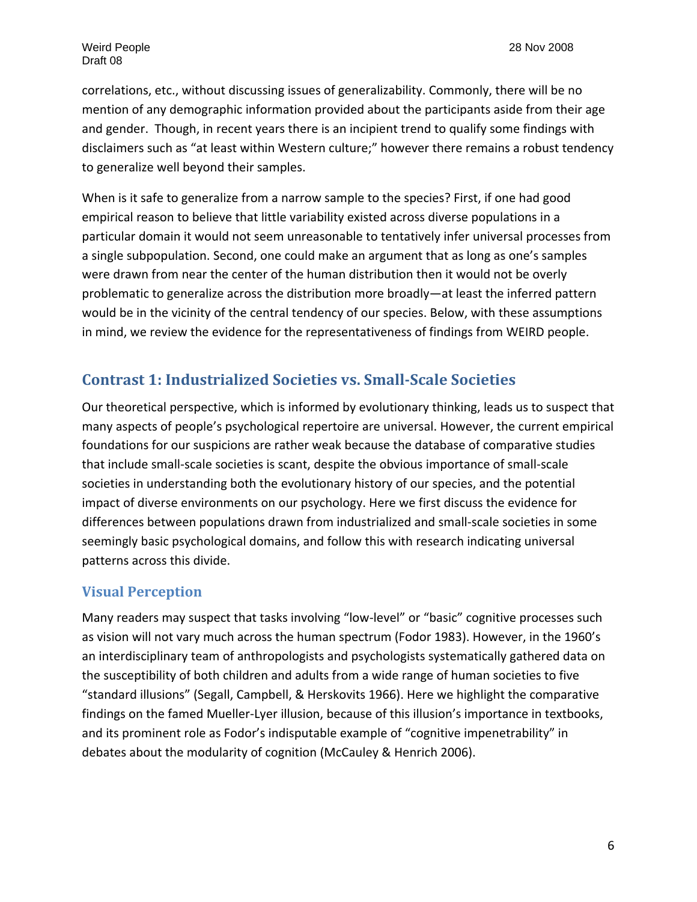correlations, etc., without discussing issues of generalizability. Commonly, there will be no mention of any demographic information provided about the participants aside from their age and gender. Though, in recent years there is an incipient trend to qualify some findings with disclaimers such as "at least within Western culture;" however there remains a robust tendency to generalize well beyond their samples.

When is it safe to generalize from a narrow sample to the species? First, if one had good empirical reason to believe that little variability existed across diverse populations in a particular domain it would not seem unreasonable to tentatively infer universal processes from a single subpopulation. Second, one could make an argument that as long as one's samples were drawn from near the center of the human distribution then it would not be overly problematic to generalize across the distribution more broadly—at least the inferred pattern would be in the vicinity of the central tendency of our species. Below, with these assumptions in mind, we review the evidence for the representativeness of findings from WEIRD people.

# **Contrast 1: Industrialized Societies vs. SmallScale Societies**

Our theoretical perspective, which is informed by evolutionary thinking, leads us to suspect that many aspects of people's psychological repertoire are universal. However, the current empirical foundations for our suspicions are rather weak because the database of comparative studies that include small‐scale societies is scant, despite the obvious importance of small‐scale societies in understanding both the evolutionary history of our species, and the potential impact of diverse environments on our psychology. Here we first discuss the evidence for differences between populations drawn from industrialized and small‐scale societies in some seemingly basic psychological domains, and follow this with research indicating universal patterns across this divide.

#### **Visual Perception**

Many readers may suspect that tasks involving "low-level" or "basic" cognitive processes such as vision will not vary much across the human spectrum (Fodor 1983). However, in the 1960's an interdisciplinary team of anthropologists and psychologists systematically gathered data on the susceptibility of both children and adults from a wide range of human societies to five "standard illusions" (Segall, Campbell, & Herskovits 1966). Here we highlight the comparative findings on the famed Mueller‐Lyer illusion, because of this illusion's importance in textbooks, and its prominent role as Fodor's indisputable example of "cognitive impenetrability" in debates about the modularity of cognition (McCauley & Henrich 2006).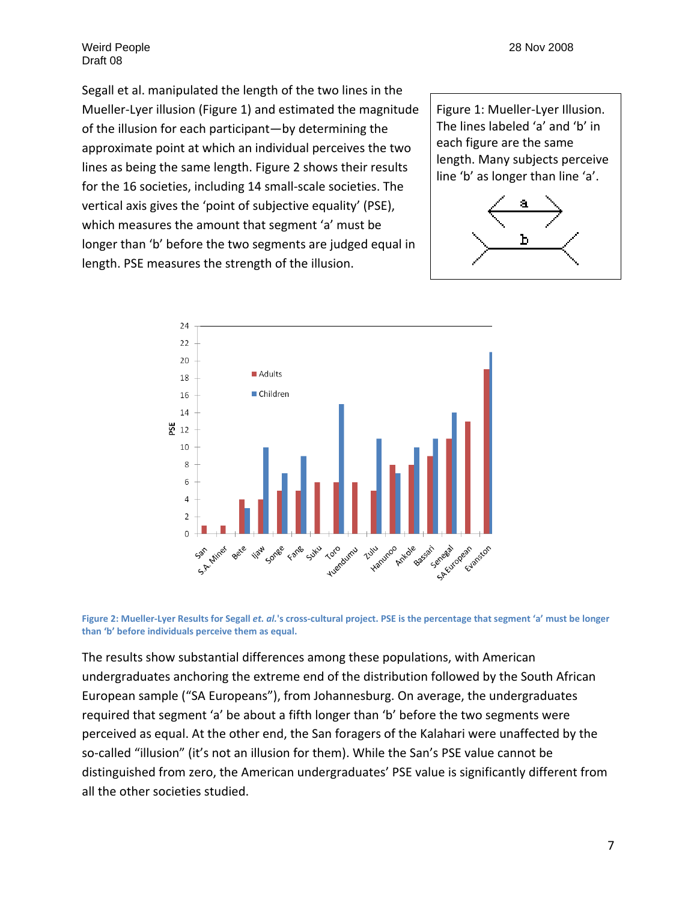Weird People 28 Nov 2008 Draft 08

Segall et al. manipulated the length of the two lines in the Mueller‐Lyer illusion (Figure 1) and estimated the magnitude of the illusion for each participant—by determining the approximate point at which an individual perceives the two lines as being the same length. Figure 2 shows their results for the 16 societies, including 14 small‐scale societies. The vertical axis gives the 'point of subjective equality' (PSE), which measures the amount that segment 'a' must be longer than 'b' before the two segments are judged equal in length. PSE measures the strength of the illusion.







Figure 2: Mueller-Lyer Results for Segall et. al.'s cross-cultural project. PSE is the percentage that segment 'a' must be longer **than 'b' before individuals perceive them as equal.**

The results show substantial differences among these populations, with American undergraduates anchoring the extreme end of the distribution followed by the South African European sample ("SA Europeans"), from Johannesburg. On average, the undergraduates required that segment 'a' be about a fifth longer than 'b' before the two segments were perceived as equal. At the other end, the San foragers of the Kalahari were unaffected by the so-called "illusion" (it's not an illusion for them). While the San's PSE value cannot be distinguished from zero, the American undergraduates' PSE value is significantly different from all the other societies studied.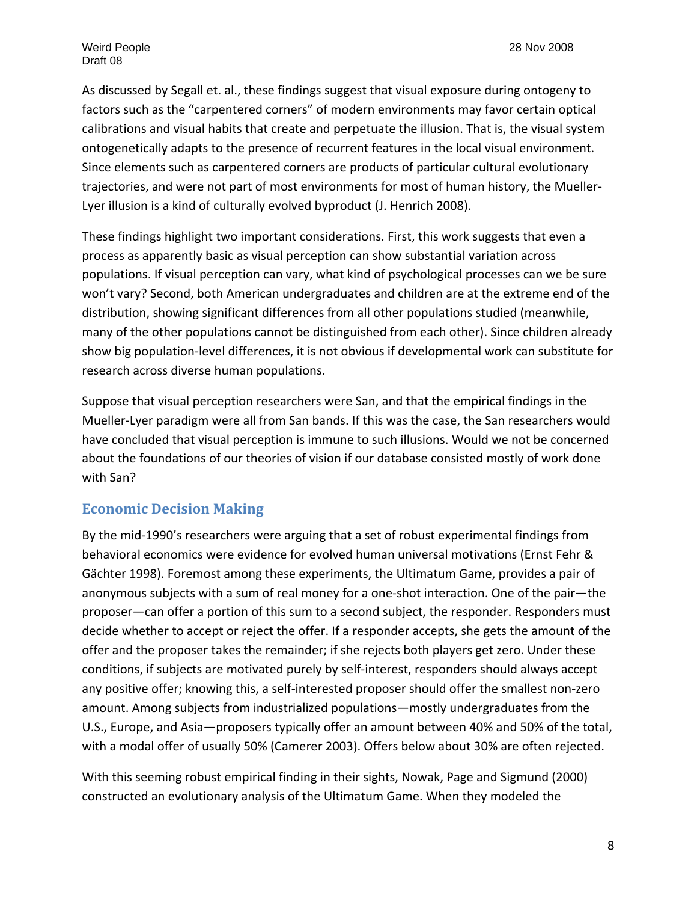As discussed by Segall et. al., these findings suggest that visual exposure during ontogeny to factors such as the "carpentered corners" of modern environments may favor certain optical calibrations and visual habits that create and perpetuate the illusion. That is, the visual system ontogenetically adapts to the presence of recurrent features in the local visual environment. Since elements such as carpentered corners are products of particular cultural evolutionary trajectories, and were not part of most environments for most of human history, the Mueller‐ Lyer illusion is a kind of culturally evolved byproduct (J. Henrich 2008).

These findings highlight two important considerations. First, this work suggests that even a process as apparently basic as visual perception can show substantial variation across populations. If visual perception can vary, what kind of psychological processes can we be sure won't vary? Second, both American undergraduates and children are at the extreme end of the distribution, showing significant differences from all other populations studied (meanwhile, many of the other populations cannot be distinguished from each other). Since children already show big population‐level differences, it is not obvious if developmental work can substitute for research across diverse human populations.

Suppose that visual perception researchers were San, and that the empirical findings in the Mueller‐Lyer paradigm were all from San bands. If this was the case, the San researchers would have concluded that visual perception is immune to such illusions. Would we not be concerned about the foundations of our theories of vision if our database consisted mostly of work done with San?

# **Economic Decision Making**

By the mid‐1990's researchers were arguing that a set of robust experimental findings from behavioral economics were evidence for evolved human universal motivations (Ernst Fehr & Gächter 1998). Foremost among these experiments, the Ultimatum Game, provides a pair of anonymous subjects with a sum of real money for a one‐shot interaction. One of the pair—the proposer—can offer a portion of this sum to a second subject, the responder. Responders must decide whether to accept or reject the offer. If a responder accepts, she gets the amount of the offer and the proposer takes the remainder; if she rejects both players get zero. Under these conditions, if subjects are motivated purely by self‐interest, responders should always accept any positive offer; knowing this, a self-interested proposer should offer the smallest non-zero amount. Among subjects from industrialized populations—mostly undergraduates from the U.S., Europe, and Asia—proposers typically offer an amount between 40% and 50% of the total, with a modal offer of usually 50% (Camerer 2003). Offers below about 30% are often rejected.

With this seeming robust empirical finding in their sights, Nowak, Page and Sigmund (2000) constructed an evolutionary analysis of the Ultimatum Game. When they modeled the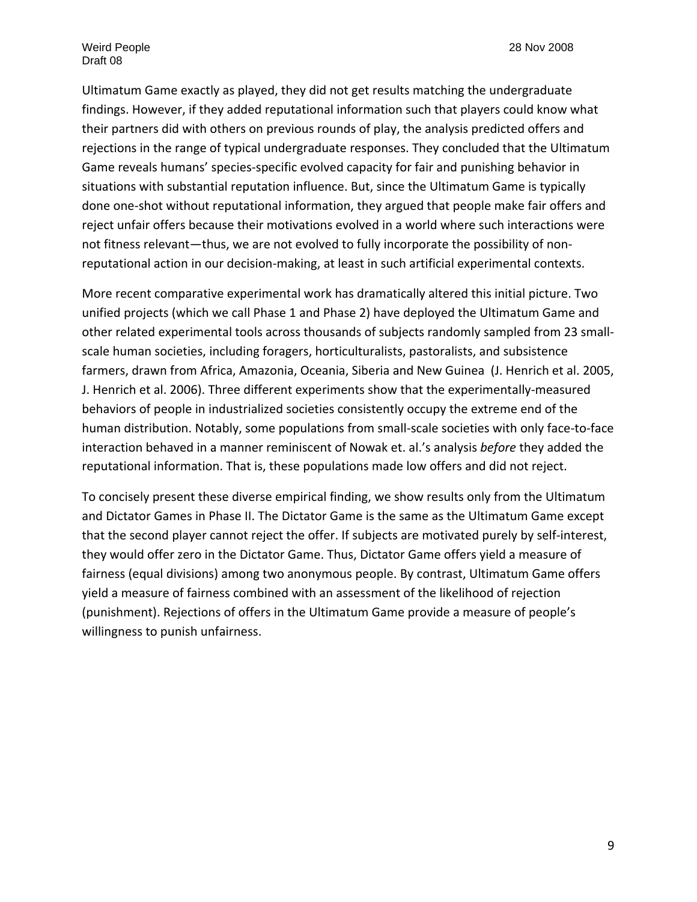Ultimatum Game exactly as played, they did not get results matching the undergraduate findings. However, if they added reputational information such that players could know what their partners did with others on previous rounds of play, the analysis predicted offers and rejections in the range of typical undergraduate responses. They concluded that the Ultimatum Game reveals humans' species‐specific evolved capacity for fair and punishing behavior in situations with substantial reputation influence. But, since the Ultimatum Game is typically done one‐shot without reputational information, they argued that people make fair offers and reject unfair offers because their motivations evolved in a world where such interactions were not fitness relevant—thus, we are not evolved to fully incorporate the possibility of non‐ reputational action in our decision‐making, at least in such artificial experimental contexts.

More recent comparative experimental work has dramatically altered this initial picture. Two unified projects (which we call Phase 1 and Phase 2) have deployed the Ultimatum Game and other related experimental tools across thousands of subjects randomly sampled from 23 small‐ scale human societies, including foragers, horticulturalists, pastoralists, and subsistence farmers, drawn from Africa, Amazonia, Oceania, Siberia and New Guinea (J. Henrich et al. 2005, J. Henrich et al. 2006). Three different experiments show that the experimentally‐measured behaviors of people in industrialized societies consistently occupy the extreme end of the human distribution. Notably, some populations from small‐scale societies with only face‐to‐face interaction behaved in a manner reminiscent of Nowak et. al.'s analysis *before* they added the reputational information. That is, these populations made low offers and did not reject.

To concisely present these diverse empirical finding, we show results only from the Ultimatum and Dictator Games in Phase II. The Dictator Game is the same as the Ultimatum Game except that the second player cannot reject the offer. If subjects are motivated purely by self‐interest, they would offer zero in the Dictator Game. Thus, Dictator Game offers yield a measure of fairness (equal divisions) among two anonymous people. By contrast, Ultimatum Game offers yield a measure of fairness combined with an assessment of the likelihood of rejection (punishment). Rejections of offers in the Ultimatum Game provide a measure of people's willingness to punish unfairness.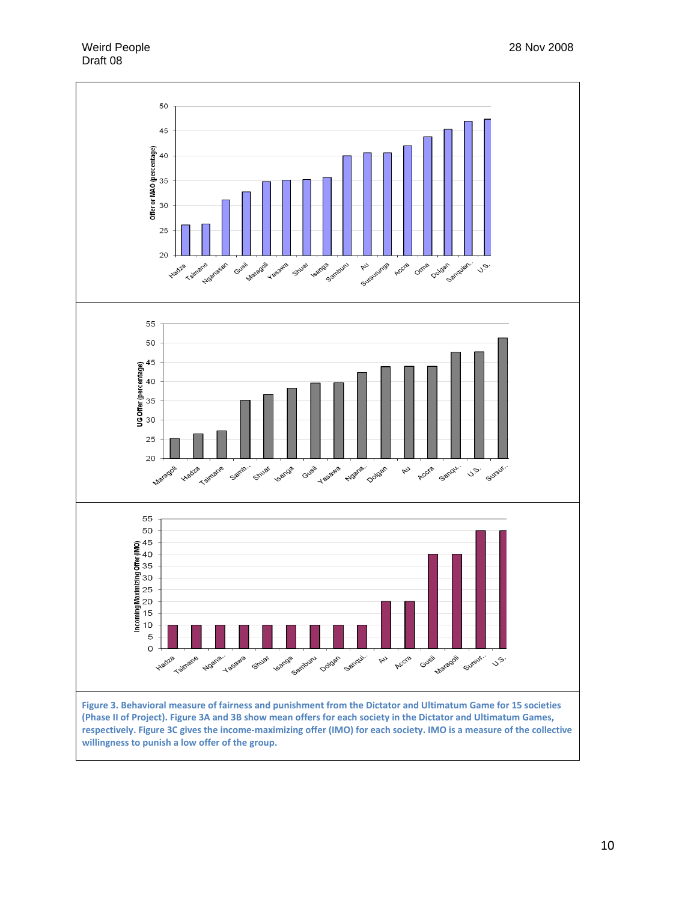Weird People 28 Nov 2008 Draft 08



(Phase II of Project). Figure 3A and 3B show mean offers for each society in the Dictator and Ultimatum Games, respectively. Figure 3C gives the income-maximizing offer (IMO) for each society. IMO is a measure of the collective **willingness to punish a low offer of the group.**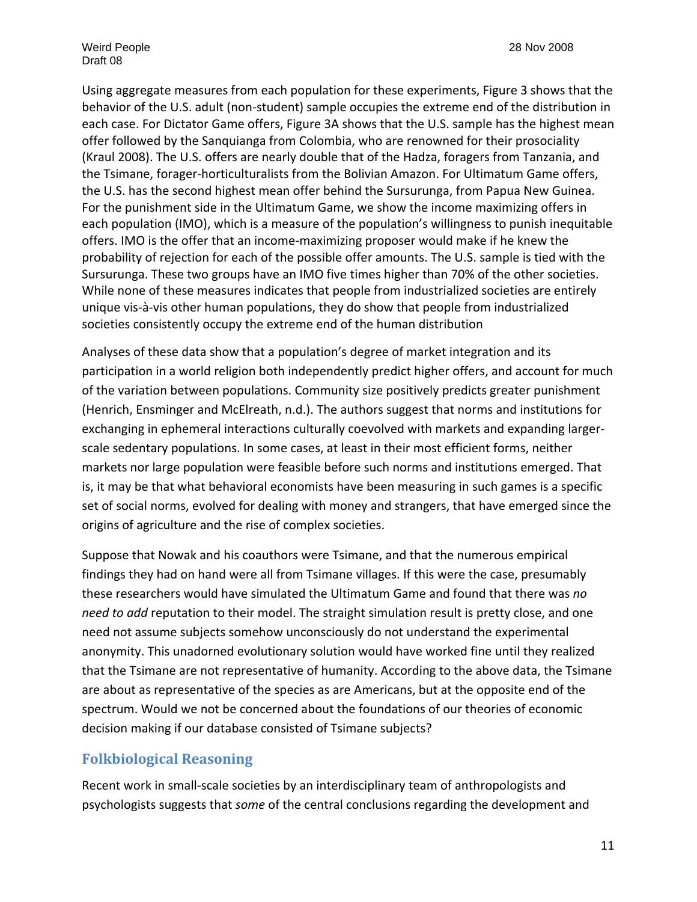Weird People 28 Nov 2008 Draft 08

Using aggregate measures from each population for these experiments, Figure 3 shows that the behavior of the U.S. adult (non‐student) sample occupies the extreme end of the distribution in each case. For Dictator Game offers, Figure 3A shows that the U.S. sample has the highest mean offer followed by the Sanquianga from Colombia, who are renowned for their prosociality (Kraul 2008). The U.S. offers are nearly double that of the Hadza, foragers from Tanzania, and the Tsimane, forager‐horticulturalists from the Bolivian Amazon. For Ultimatum Game offers, the U.S. has the second highest mean offer behind the Sursurunga, from Papua New Guinea. For the punishment side in the Ultimatum Game, we show the income maximizing offers in each population (IMO), which is a measure of the population's willingness to punish inequitable offers. IMO is the offer that an income‐maximizing proposer would make if he knew the probability of rejection for each of the possible offer amounts. The U.S. sample is tied with the Sursurunga. These two groups have an IMO five times higher than 70% of the other societies. While none of these measures indicates that people from industrialized societies are entirely unique vis‐à‐vis other human populations, they do show that people from industrialized societies consistently occupy the extreme end of the human distribution

Analyses of these data show that a population's degree of market integration and its participation in a world religion both independently predict higher offers, and account for much of the variation between populations. Community size positively predicts greater punishment (Henrich, Ensminger and McElreath, n.d.). The authors suggest that norms and institutions for exchanging in ephemeral interactions culturally coevolved with markets and expanding larger‐ scale sedentary populations. In some cases, at least in their most efficient forms, neither markets nor large population were feasible before such norms and institutions emerged. That is, it may be that what behavioral economists have been measuring in such games is a specific set of social norms, evolved for dealing with money and strangers, that have emerged since the origins of agriculture and the rise of complex societies.

Suppose that Nowak and his coauthors were Tsimane, and that the numerous empirical findings they had on hand were all from Tsimane villages. If this were the case, presumably these researchers would have simulated the Ultimatum Game and found that there was *no need to add* reputation to their model. The straight simulation result is pretty close, and one need not assume subjects somehow unconsciously do not understand the experimental anonymity. This unadorned evolutionary solution would have worked fine until they realized that the Tsimane are not representative of humanity. According to the above data, the Tsimane are about as representative of the species as are Americans, but at the opposite end of the spectrum. Would we not be concerned about the foundations of our theories of economic decision making if our database consisted of Tsimane subjects?

# **Folkbiological Reasoning**

Recent work in small‐scale societies by an interdisciplinary team of anthropologists and psychologists suggests that *some* of the central conclusions regarding the development and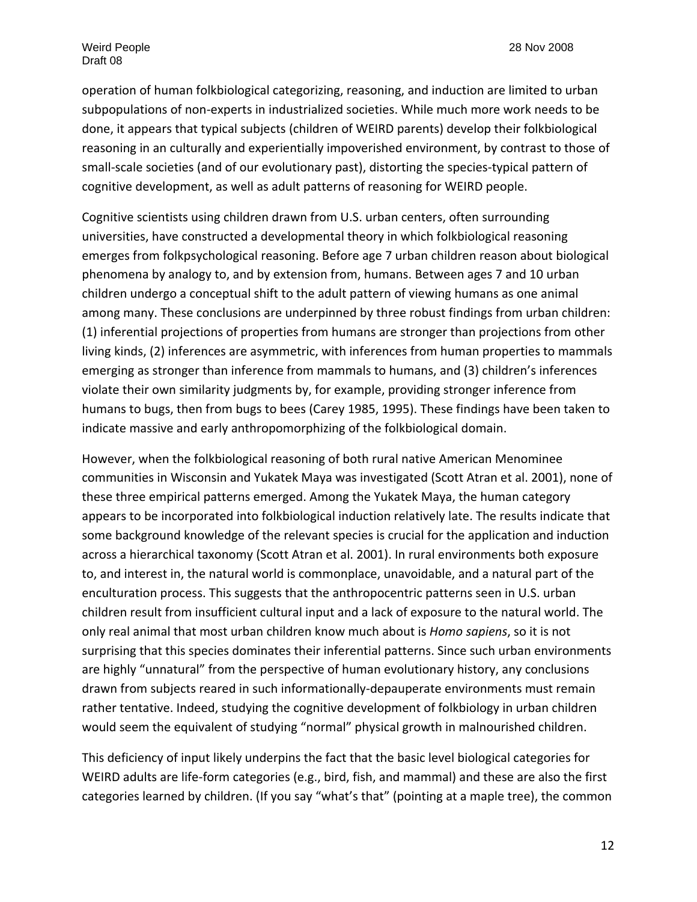operation of human folkbiological categorizing, reasoning, and induction are limited to urban subpopulations of non‐experts in industrialized societies. While much more work needs to be done, it appears that typical subjects (children of WEIRD parents) develop their folkbiological reasoning in an culturally and experientially impoverished environment, by contrast to those of small‐scale societies (and of our evolutionary past), distorting the species‐typical pattern of cognitive development, as well as adult patterns of reasoning for WEIRD people.

Cognitive scientists using children drawn from U.S. urban centers, often surrounding universities, have constructed a developmental theory in which folkbiological reasoning emerges from folkpsychological reasoning. Before age 7 urban children reason about biological phenomena by analogy to, and by extension from, humans. Between ages 7 and 10 urban children undergo a conceptual shift to the adult pattern of viewing humans as one animal among many. These conclusions are underpinned by three robust findings from urban children: (1) inferential projections of properties from humans are stronger than projections from other living kinds, (2) inferences are asymmetric, with inferences from human properties to mammals emerging as stronger than inference from mammals to humans, and (3) children's inferences violate their own similarity judgments by, for example, providing stronger inference from humans to bugs, then from bugs to bees (Carey 1985, 1995). These findings have been taken to indicate massive and early anthropomorphizing of the folkbiological domain.

However, when the folkbiological reasoning of both rural native American Menominee communities in Wisconsin and Yukatek Maya was investigated (Scott Atran et al. 2001), none of these three empirical patterns emerged. Among the Yukatek Maya, the human category appears to be incorporated into folkbiological induction relatively late. The results indicate that some background knowledge of the relevant species is crucial for the application and induction across a hierarchical taxonomy (Scott Atran et al. 2001). In rural environments both exposure to, and interest in, the natural world is commonplace, unavoidable, and a natural part of the enculturation process. This suggests that the anthropocentric patterns seen in U.S. urban children result from insufficient cultural input and a lack of exposure to the natural world. The only real animal that most urban children know much about is *Homo sapiens*, so it is not surprising that this species dominates their inferential patterns. Since such urban environments are highly "unnatural" from the perspective of human evolutionary history, any conclusions drawn from subjects reared in such informationally‐depauperate environments must remain rather tentative. Indeed, studying the cognitive development of folkbiology in urban children would seem the equivalent of studying "normal" physical growth in malnourished children.

This deficiency of input likely underpins the fact that the basic level biological categories for WEIRD adults are life-form categories (e.g., bird, fish, and mammal) and these are also the first categories learned by children. (If you say "what's that" (pointing at a maple tree), the common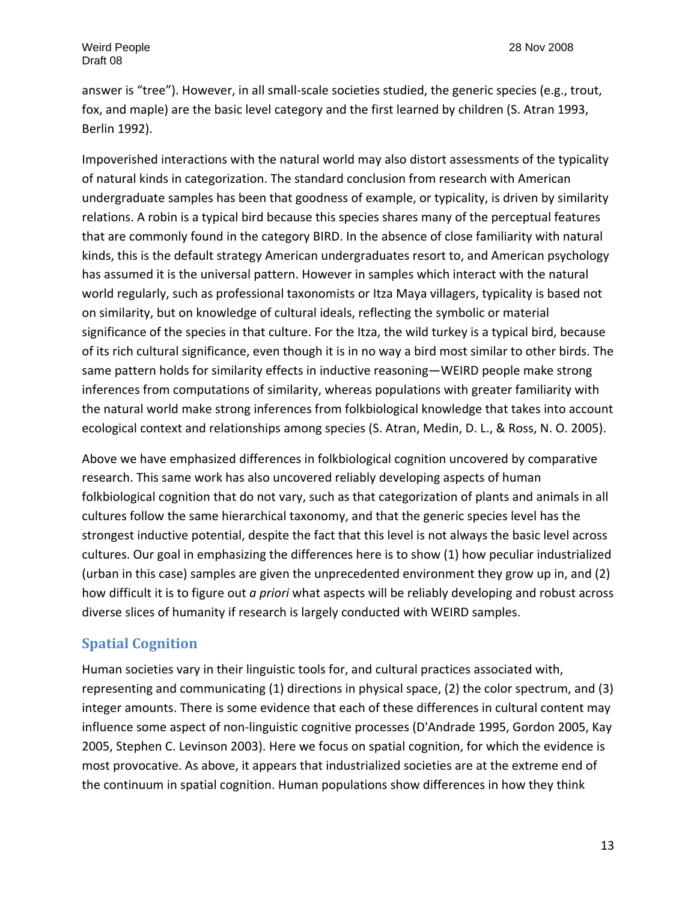answer is "tree"). However, in all small‐scale societies studied, the generic species (e.g., trout, fox, and maple) are the basic level category and the first learned by children (S. Atran 1993, Berlin 1992).

Impoverished interactions with the natural world may also distort assessments of the typicality of natural kinds in categorization. The standard conclusion from research with American undergraduate samples has been that goodness of example, or typicality, is driven by similarity relations. A robin is a typical bird because this species shares many of the perceptual features that are commonly found in the category BIRD. In the absence of close familiarity with natural kinds, this is the default strategy American undergraduates resort to, and American psychology has assumed it is the universal pattern. However in samples which interact with the natural world regularly, such as professional taxonomists or Itza Maya villagers, typicality is based not on similarity, but on knowledge of cultural ideals, reflecting the symbolic or material significance of the species in that culture. For the Itza, the wild turkey is a typical bird, because of its rich cultural significance, even though it is in no way a bird most similar to other birds. The same pattern holds for similarity effects in inductive reasoning—WEIRD people make strong inferences from computations of similarity, whereas populations with greater familiarity with the natural world make strong inferences from folkbiological knowledge that takes into account ecological context and relationships among species (S. Atran, Medin, D. L., & Ross, N. O. 2005).

Above we have emphasized differences in folkbiological cognition uncovered by comparative research. This same work has also uncovered reliably developing aspects of human folkbiological cognition that do not vary, such as that categorization of plants and animals in all cultures follow the same hierarchical taxonomy, and that the generic species level has the strongest inductive potential, despite the fact that this level is not always the basic level across cultures. Our goal in emphasizing the differences here is to show (1) how peculiar industrialized (urban in this case) samples are given the unprecedented environment they grow up in, and (2) how difficult it is to figure out *a priori* what aspects will be reliably developing and robust across diverse slices of humanity if research is largely conducted with WEIRD samples.

# **Spatial Cognition**

Human societies vary in their linguistic tools for, and cultural practices associated with, representing and communicating (1) directions in physical space, (2) the color spectrum, and (3) integer amounts. There is some evidence that each of these differences in cultural content may influence some aspect of non‐linguistic cognitive processes (D'Andrade 1995, Gordon 2005, Kay 2005, Stephen C. Levinson 2003). Here we focus on spatial cognition, for which the evidence is most provocative. As above, it appears that industrialized societies are at the extreme end of the continuum in spatial cognition. Human populations show differences in how they think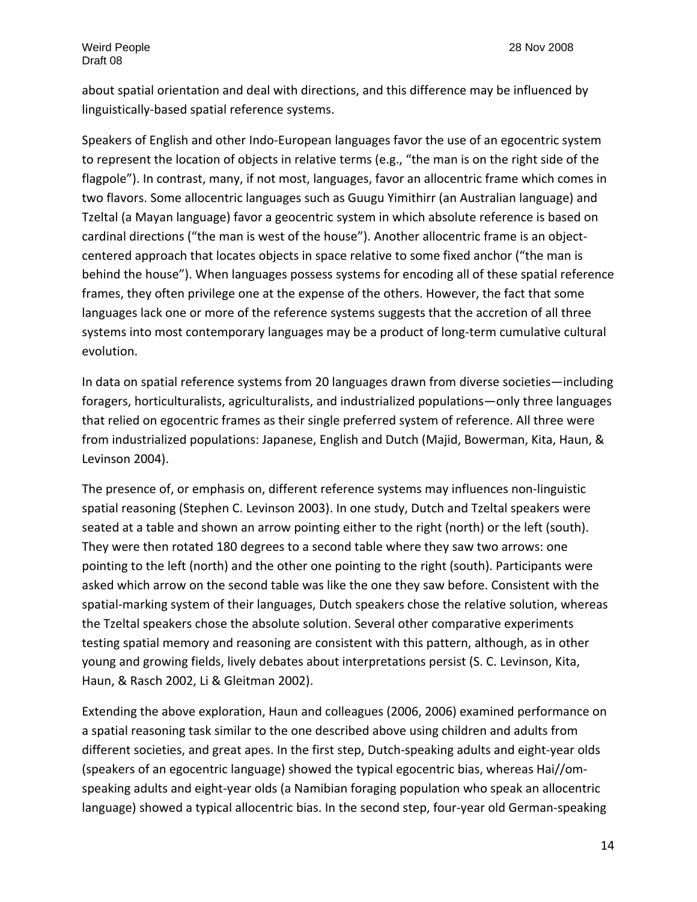about spatial orientation and deal with directions, and this difference may be influenced by linguistically‐based spatial reference systems.

Speakers of English and other Indo‐European languages favor the use of an egocentric system to represent the location of objects in relative terms (e.g., "the man is on the right side of the flagpole"). In contrast, many, if not most, languages, favor an allocentric frame which comes in two flavors. Some allocentric languages such as Guugu Yimithirr (an Australian language) and Tzeltal (a Mayan language) favor a geocentric system in which absolute reference is based on cardinal directions ("the man is west of the house"). Another allocentric frame is an object‐ centered approach that locates objects in space relative to some fixed anchor ("the man is behind the house"). When languages possess systems for encoding all of these spatial reference frames, they often privilege one at the expense of the others. However, the fact that some languages lack one or more of the reference systems suggests that the accretion of all three systems into most contemporary languages may be a product of long-term cumulative cultural evolution.

In data on spatial reference systems from 20 languages drawn from diverse societies—including foragers, horticulturalists, agriculturalists, and industrialized populations—only three languages that relied on egocentric frames as their single preferred system of reference. All three were from industrialized populations: Japanese, English and Dutch (Majid, Bowerman, Kita, Haun, & Levinson 2004).

The presence of, or emphasis on, different reference systems may influences non‐linguistic spatial reasoning (Stephen C. Levinson 2003). In one study, Dutch and Tzeltal speakers were seated at a table and shown an arrow pointing either to the right (north) or the left (south). They were then rotated 180 degrees to a second table where they saw two arrows: one pointing to the left (north) and the other one pointing to the right (south). Participants were asked which arrow on the second table was like the one they saw before. Consistent with the spatial‐marking system of their languages, Dutch speakers chose the relative solution, whereas the Tzeltal speakers chose the absolute solution. Several other comparative experiments testing spatial memory and reasoning are consistent with this pattern, although, as in other young and growing fields, lively debates about interpretations persist (S. C. Levinson, Kita, Haun, & Rasch 2002, Li & Gleitman 2002).

Extending the above exploration, Haun and colleagues (2006, 2006) examined performance on a spatial reasoning task similar to the one described above using children and adults from different societies, and great apes. In the first step, Dutch‐speaking adults and eight‐year olds (speakers of an egocentric language) showed the typical egocentric bias, whereas Hai//om‐ speaking adults and eight‐year olds (a Namibian foraging population who speak an allocentric language) showed a typical allocentric bias. In the second step, four‐year old German‐speaking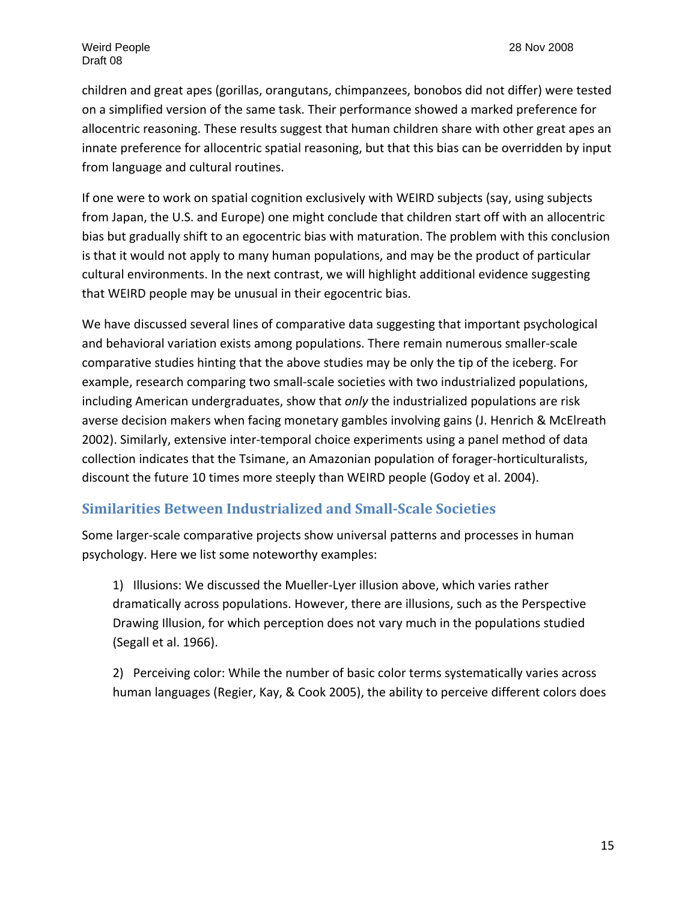children and great apes (gorillas, orangutans, chimpanzees, bonobos did not differ) were tested on a simplified version of the same task. Their performance showed a marked preference for allocentric reasoning. These results suggest that human children share with other great apes an innate preference for allocentric spatial reasoning, but that this bias can be overridden by input from language and cultural routines.

If one were to work on spatial cognition exclusively with WEIRD subjects (say, using subjects from Japan, the U.S. and Europe) one might conclude that children start off with an allocentric bias but gradually shift to an egocentric bias with maturation. The problem with this conclusion is that it would not apply to many human populations, and may be the product of particular cultural environments. In the next contrast, we will highlight additional evidence suggesting that WEIRD people may be unusual in their egocentric bias.

We have discussed several lines of comparative data suggesting that important psychological and behavioral variation exists among populations. There remain numerous smaller‐scale comparative studies hinting that the above studies may be only the tip of the iceberg. For example, research comparing two small‐scale societies with two industrialized populations, including American undergraduates, show that *only* the industrialized populations are risk averse decision makers when facing monetary gambles involving gains (J. Henrich & McElreath 2002). Similarly, extensive inter‐temporal choice experiments using a panel method of data collection indicates that the Tsimane, an Amazonian population of forager‐horticulturalists, discount the future 10 times more steeply than WEIRD people (Godoy et al. 2004).

# **Similarities Between Industrialized and SmallScale Societies**

Some larger‐scale comparative projects show universal patterns and processes in human psychology. Here we list some noteworthy examples:

1) Illusions: We discussed the Mueller‐Lyer illusion above, which varies rather dramatically across populations. However, there are illusions, such as the Perspective Drawing Illusion, for which perception does not vary much in the populations studied (Segall et al. 1966).

2) Perceiving color: While the number of basic color terms systematically varies across human languages (Regier, Kay, & Cook 2005), the ability to perceive different colors does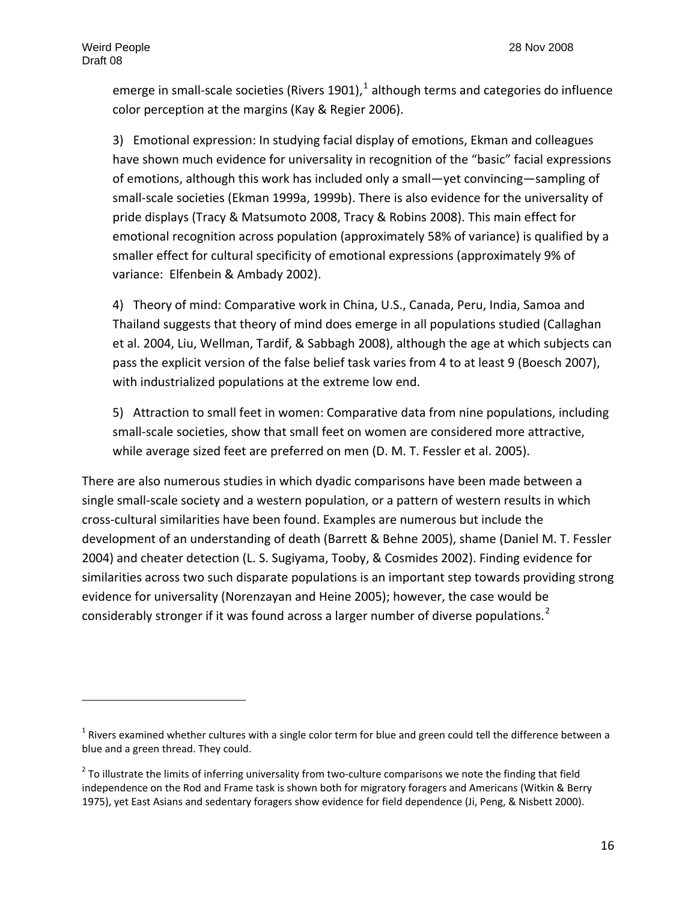emerge in small-scale societies (Rivers [1](#page-15-0)901), $1$  although terms and categories do influence color perception at the margins (Kay & Regier 2006).

3) Emotional expression: In studying facial display of emotions, Ekman and colleagues have shown much evidence for universality in recognition of the "basic" facial expressions of emotions, although this work has included only a small—yet convincing—sampling of small‐scale societies (Ekman 1999a, 1999b). There is also evidence for the universality of pride displays (Tracy & Matsumoto 2008, Tracy & Robins 2008). This main effect for emotional recognition across population (approximately 58% of variance) is qualified by a smaller effect for cultural specificity of emotional expressions (approximately 9% of variance: Elfenbein & Ambady 2002).

4) Theory of mind: Comparative work in China, U.S., Canada, Peru, India, Samoa and Thailand suggests that theory of mind does emerge in all populations studied (Callaghan et al. 2004, Liu, Wellman, Tardif, & Sabbagh 2008), although the age at which subjects can pass the explicit version of the false belief task varies from 4 to at least 9 (Boesch 2007), with industrialized populations at the extreme low end.

5) Attraction to small feet in women: Comparative data from nine populations, including small-scale societies, show that small feet on women are considered more attractive, while average sized feet are preferred on men (D. M. T. Fessler et al. 2005).

There are also numerous studies in which dyadic comparisons have been made between a single small-scale society and a western population, or a pattern of western results in which cross‐cultural similarities have been found. Examples are numerous but include the development of an understanding of death (Barrett & Behne 2005), shame (Daniel M. T. Fessler 2004) and cheater detection (L. S. Sugiyama, Tooby, & Cosmides 2002). Finding evidence for similarities across two such disparate populations is an important step towards providing strong evidence for universality (Norenzayan and Heine 2005); however, the case would be considerably stronger if it was found across a larger number of diverse populations.<sup>[2](#page-15-1)</sup>

<span id="page-15-0"></span> $1$  Rivers examined whether cultures with a single color term for blue and green could tell the difference between a blue and a green thread. They could.

<span id="page-15-1"></span> $<sup>2</sup>$  To illustrate the limits of inferring universality from two-culture comparisons we note the finding that field</sup> independence on the Rod and Frame task is shown both for migratory foragers and Americans (Witkin & Berry 1975), yet East Asians and sedentary foragers show evidence for field dependence (Ji, Peng, & Nisbett 2000).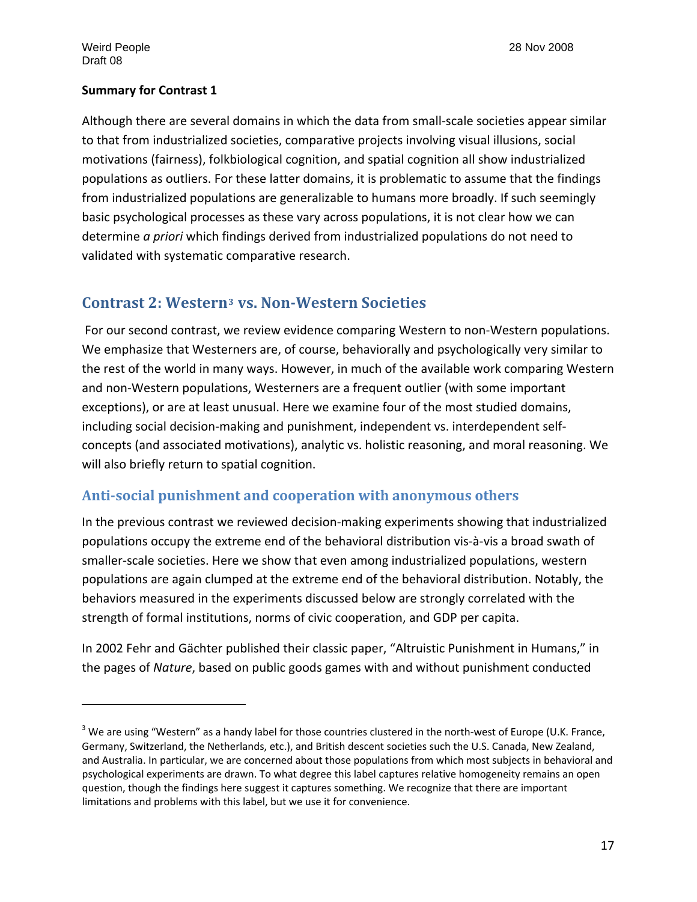#### **Summary for Contrast 1**

Although there are several domains in which the data from small‐scale societies appear similar to that from industrialized societies, comparative projects involving visual illusions, social motivations (fairness), folkbiological cognition, and spatial cognition all show industrialized populations as outliers. For these latter domains, it is problematic to assume that the findings from industrialized populations are generalizable to humans more broadly. If such seemingly basic psychological processes as these vary across populations, it is not clear how we can determine *a priori* which findings derived from industrialized populations do not need to validated with systematic comparative research.

# **Contrast 2: Western[3](#page-16-0) vs. NonWestern Societies**

For our second contrast, we review evidence comparing Western to non‐Western populations. We emphasize that Westerners are, of course, behaviorally and psychologically very similar to the rest of the world in many ways. However, in much of the available work comparing Western and non‐Western populations, Westerners are a frequent outlier (with some important exceptions), or are at least unusual. Here we examine four of the most studied domains, including social decision‐making and punishment, independent vs. interdependent self‐ concepts (and associated motivations), analytic vs. holistic reasoning, and moral reasoning. We will also briefly return to spatial cognition.

# **Antisocial punishment and cooperation with anonymous others**

In the previous contrast we reviewed decision-making experiments showing that industrialized populations occupy the extreme end of the behavioral distribution vis‐à‐vis a broad swath of smaller‐scale societies. Here we show that even among industrialized populations, western populations are again clumped at the extreme end of the behavioral distribution. Notably, the behaviors measured in the experiments discussed below are strongly correlated with the strength of formal institutions, norms of civic cooperation, and GDP per capita.

In 2002 Fehr and Gächter published their classic paper, "Altruistic Punishment in Humans," in the pages of *Nature*, based on public goods games with and without punishment conducted

<span id="page-16-0"></span> $3$  We are using "Western" as a handy label for those countries clustered in the north-west of Europe (U.K. France, Germany, Switzerland, the Netherlands, etc.), and British descent societies such the U.S. Canada, New Zealand, and Australia. In particular, we are concerned about those populations from which most subjects in behavioral and psychological experiments are drawn. To what degree this label captures relative homogeneity remains an open question, though the findings here suggest it captures something. We recognize that there are important limitations and problems with this label, but we use it for convenience.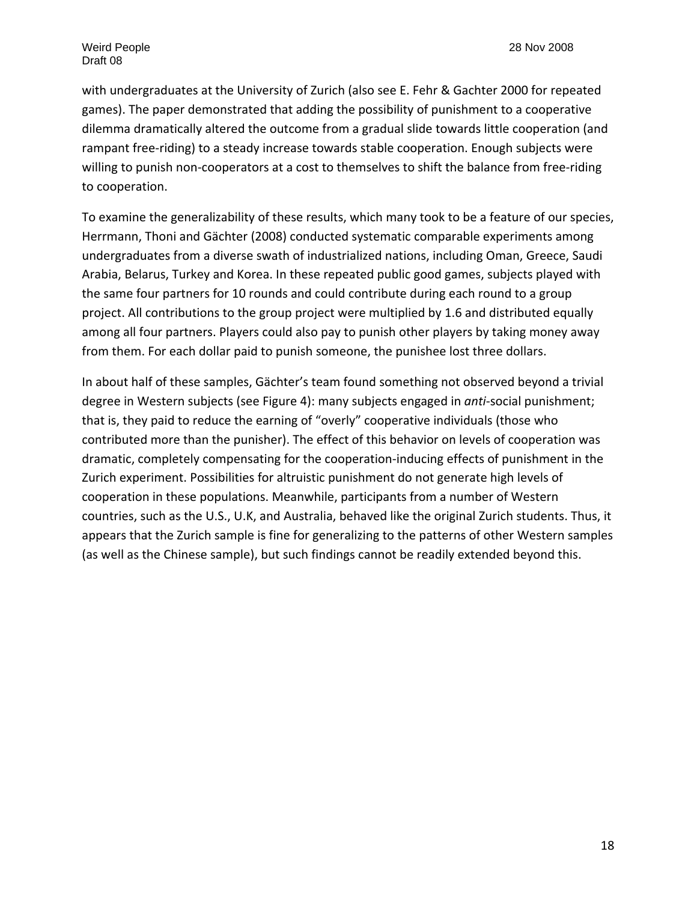with undergraduates at the University of Zurich (also see E. Fehr & Gachter 2000 for repeated games). The paper demonstrated that adding the possibility of punishment to a cooperative dilemma dramatically altered the outcome from a gradual slide towards little cooperation (and rampant free-riding) to a steady increase towards stable cooperation. Enough subjects were willing to punish non-cooperators at a cost to themselves to shift the balance from free-riding to cooperation.

To examine the generalizability of these results, which many took to be a feature of our species, Herrmann, Thoni and Gächter (2008) conducted systematic comparable experiments among undergraduates from a diverse swath of industrialized nations, including Oman, Greece, Saudi Arabia, Belarus, Turkey and Korea. In these repeated public good games, subjects played with the same four partners for 10 rounds and could contribute during each round to a group project. All contributions to the group project were multiplied by 1.6 and distributed equally among all four partners. Players could also pay to punish other players by taking money away from them. For each dollar paid to punish someone, the punishee lost three dollars.

In about half of these samples, Gächter's team found something not observed beyond a trivial degree in Western subjects (see Figure 4): many subjects engaged in *anti*‐social punishment; that is, they paid to reduce the earning of "overly" cooperative individuals (those who contributed more than the punisher). The effect of this behavior on levels of cooperation was dramatic, completely compensating for the cooperation‐inducing effects of punishment in the Zurich experiment. Possibilities for altruistic punishment do not generate high levels of cooperation in these populations. Meanwhile, participants from a number of Western countries, such as the U.S., U.K, and Australia, behaved like the original Zurich students. Thus, it appears that the Zurich sample is fine for generalizing to the patterns of other Western samples (as well as the Chinese sample), but such findings cannot be readily extended beyond this.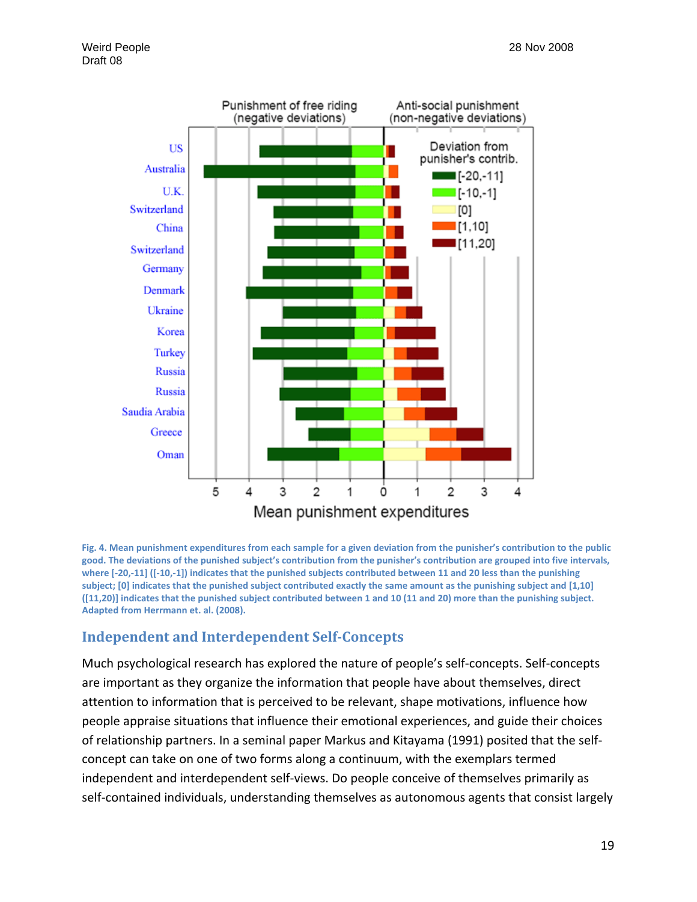

Fig. 4. Mean punishment expenditures from each sample for a given deviation from the punisher's contribution to the public good. The deviations of the punished subject's contribution from the punisher's contribution are grouped into five intervals, where [-20,-11] ([-10,-1]) indicates that the punished subjects contributed between 11 and 20 less than the punishing subject; [0] indicates that the punished subject contributed exactly the same amount as the punishing subject and [1,10] ([11,20]] indicates that the punished subject contributed between 1 and 10 (11 and 20) more than the punishing subject. **Adapted from Herrmann et. al. (2008).** 

# **Independent and Interdependent SelfConcepts**

Much psychological research has explored the nature of people's self‐concepts. Self‐concepts are important as they organize the information that people have about themselves, direct attention to information that is perceived to be relevant, shape motivations, influence how people appraise situations that influence their emotional experiences, and guide their choices of relationship partners. In a seminal paper Markus and Kitayama (1991) posited that the self‐ concept can take on one of two forms along a continuum, with the exemplars termed independent and interdependent self‐views. Do people conceive of themselves primarily as self-contained individuals, understanding themselves as autonomous agents that consist largely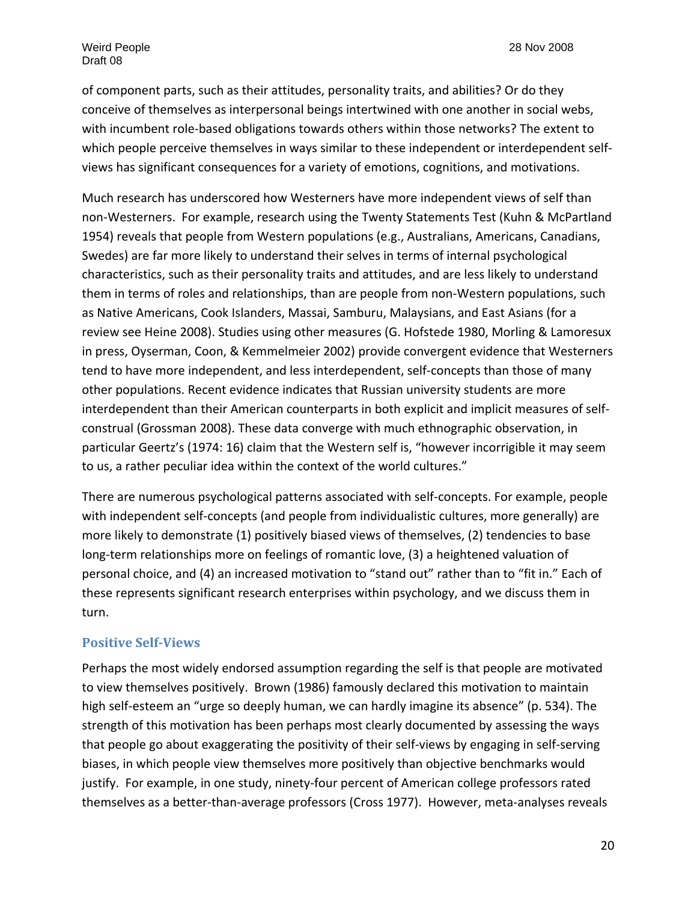of component parts, such as their attitudes, personality traits, and abilities? Or do they conceive of themselves as interpersonal beings intertwined with one another in social webs, with incumbent role-based obligations towards others within those networks? The extent to which people perceive themselves in ways similar to these independent or interdependent selfviews has significant consequences for a variety of emotions, cognitions, and motivations.

Much research has underscored how Westerners have more independent views of self than non‐Westerners. For example, research using the Twenty Statements Test (Kuhn & McPartland 1954) reveals that people from Western populations (e.g., Australians, Americans, Canadians, Swedes) are far more likely to understand their selves in terms of internal psychological characteristics, such as their personality traits and attitudes, and are less likely to understand them in terms of roles and relationships, than are people from non‐Western populations, such as Native Americans, Cook Islanders, Massai, Samburu, Malaysians, and East Asians (for a review see Heine 2008). Studies using other measures (G. Hofstede 1980, Morling & Lamoresux in press, Oyserman, Coon, & Kemmelmeier 2002) provide convergent evidence that Westerners tend to have more independent, and less interdependent, self‐concepts than those of many other populations. Recent evidence indicates that Russian university students are more interdependent than their American counterparts in both explicit and implicit measures of self‐ construal (Grossman 2008). These data converge with much ethnographic observation, in particular Geertz's (1974: 16) claim that the Western self is, "however incorrigible it may seem to us, a rather peculiar idea within the context of the world cultures."

There are numerous psychological patterns associated with self‐concepts. For example, people with independent self-concepts (and people from individualistic cultures, more generally) are more likely to demonstrate (1) positively biased views of themselves, (2) tendencies to base long-term relationships more on feelings of romantic love, (3) a heightened valuation of personal choice, and (4) an increased motivation to "stand out" rather than to "fit in." Each of these represents significant research enterprises within psychology, and we discuss them in turn.

#### **Positive SelfViews**

Perhaps the most widely endorsed assumption regarding the self is that people are motivated to view themselves positively. Brown (1986) famously declared this motivation to maintain high self-esteem an "urge so deeply human, we can hardly imagine its absence" (p. 534). The strength of this motivation has been perhaps most clearly documented by assessing the ways that people go about exaggerating the positivity of their self‐views by engaging in self‐serving biases, in which people view themselves more positively than objective benchmarks would justify. For example, in one study, ninety-four percent of American college professors rated themselves as a better‐than‐average professors (Cross 1977). However, meta‐analyses reveals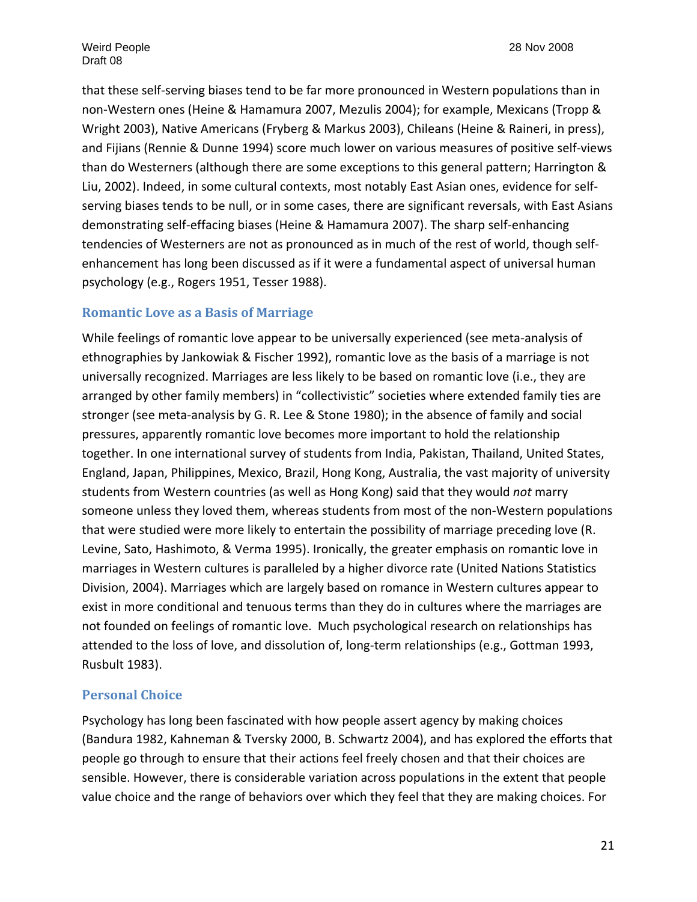that these self‐serving biases tend to be far more pronounced in Western populations than in non‐Western ones (Heine & Hamamura 2007, Mezulis 2004); for example, Mexicans (Tropp & Wright 2003), Native Americans (Fryberg & Markus 2003), Chileans (Heine & Raineri, in press), and Fijians (Rennie & Dunne 1994) score much lower on various measures of positive self‐views than do Westerners (although there are some exceptions to this general pattern; Harrington & Liu, 2002). Indeed, in some cultural contexts, most notably East Asian ones, evidence for self‐ serving biases tends to be null, or in some cases, there are significant reversals, with East Asians demonstrating self‐effacing biases (Heine & Hamamura 2007). The sharp self‐enhancing tendencies of Westerners are not as pronounced as in much of the rest of world, though self‐ enhancement has long been discussed as if it were a fundamental aspect of universal human psychology (e.g., Rogers 1951, Tesser 1988).

#### **Romantic Love as a Basis of Marriage**

While feelings of romantic love appear to be universally experienced (see meta‐analysis of ethnographies by Jankowiak & Fischer 1992), romantic love as the basis of a marriage is not universally recognized. Marriages are less likely to be based on romantic love (i.e., they are arranged by other family members) in "collectivistic" societies where extended family ties are stronger (see meta‐analysis by G. R. Lee & Stone 1980); in the absence of family and social pressures, apparently romantic love becomes more important to hold the relationship together. In one international survey of students from India, Pakistan, Thailand, United States, England, Japan, Philippines, Mexico, Brazil, Hong Kong, Australia, the vast majority of university students from Western countries (as well as Hong Kong) said that they would *not* marry someone unless they loved them, whereas students from most of the non-Western populations that were studied were more likely to entertain the possibility of marriage preceding love (R. Levine, Sato, Hashimoto, & Verma 1995). Ironically, the greater emphasis on romantic love in marriages in Western cultures is paralleled by a higher divorce rate (United Nations Statistics Division, 2004). Marriages which are largely based on romance in Western cultures appear to exist in more conditional and tenuous terms than they do in cultures where the marriages are not founded on feelings of romantic love. Much psychological research on relationships has attended to the loss of love, and dissolution of, long‐term relationships (e.g., Gottman 1993, Rusbult 1983).

#### **Personal Choice**

Psychology has long been fascinated with how people assert agency by making choices (Bandura 1982, Kahneman & Tversky 2000, B. Schwartz 2004), and has explored the efforts that people go through to ensure that their actions feel freely chosen and that their choices are sensible. However, there is considerable variation across populations in the extent that people value choice and the range of behaviors over which they feel that they are making choices. For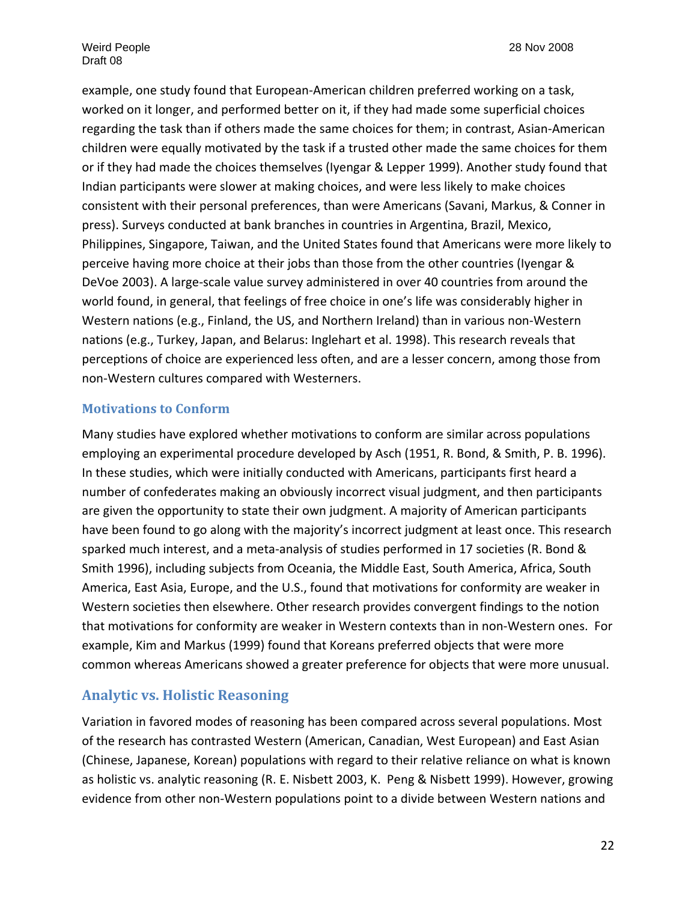example, one study found that European‐American children preferred working on a task, worked on it longer, and performed better on it, if they had made some superficial choices regarding the task than if others made the same choices for them; in contrast, Asian‐American children were equally motivated by the task if a trusted other made the same choices for them or if they had made the choices themselves (Iyengar & Lepper 1999). Another study found that Indian participants were slower at making choices, and were less likely to make choices consistent with their personal preferences, than were Americans (Savani, Markus, & Conner in press). Surveys conducted at bank branches in countries in Argentina, Brazil, Mexico, Philippines, Singapore, Taiwan, and the United States found that Americans were more likely to perceive having more choice at their jobs than those from the other countries (Iyengar & DeVoe 2003). A large-scale value survey administered in over 40 countries from around the world found, in general, that feelings of free choice in one's life was considerably higher in Western nations (e.g., Finland, the US, and Northern Ireland) than in various non‐Western nations (e.g., Turkey, Japan, and Belarus: Inglehart et al. 1998). This research reveals that perceptions of choice are experienced less often, and are a lesser concern, among those from non‐Western cultures compared with Westerners.

#### **Motivations to Conform**

Many studies have explored whether motivations to conform are similar across populations employing an experimental procedure developed by Asch (1951, R. Bond, & Smith, P. B. 1996). In these studies, which were initially conducted with Americans, participants first heard a number of confederates making an obviously incorrect visual judgment, and then participants are given the opportunity to state their own judgment. A majority of American participants have been found to go along with the majority's incorrect judgment at least once. This research sparked much interest, and a meta-analysis of studies performed in 17 societies (R. Bond & Smith 1996), including subjects from Oceania, the Middle East, South America, Africa, South America, East Asia, Europe, and the U.S., found that motivations for conformity are weaker in Western societies then elsewhere. Other research provides convergent findings to the notion that motivations for conformity are weaker in Western contexts than in non‐Western ones. For example, Kim and Markus (1999) found that Koreans preferred objects that were more common whereas Americans showed a greater preference for objects that were more unusual.

# **Analytic vs. Holistic Reasoning**

Variation in favored modes of reasoning has been compared across several populations. Most of the research has contrasted Western (American, Canadian, West European) and East Asian (Chinese, Japanese, Korean) populations with regard to their relative reliance on what is known as holistic vs. analytic reasoning (R. E. Nisbett 2003, K. Peng & Nisbett 1999). However, growing evidence from other non‐Western populations point to a divide between Western nations and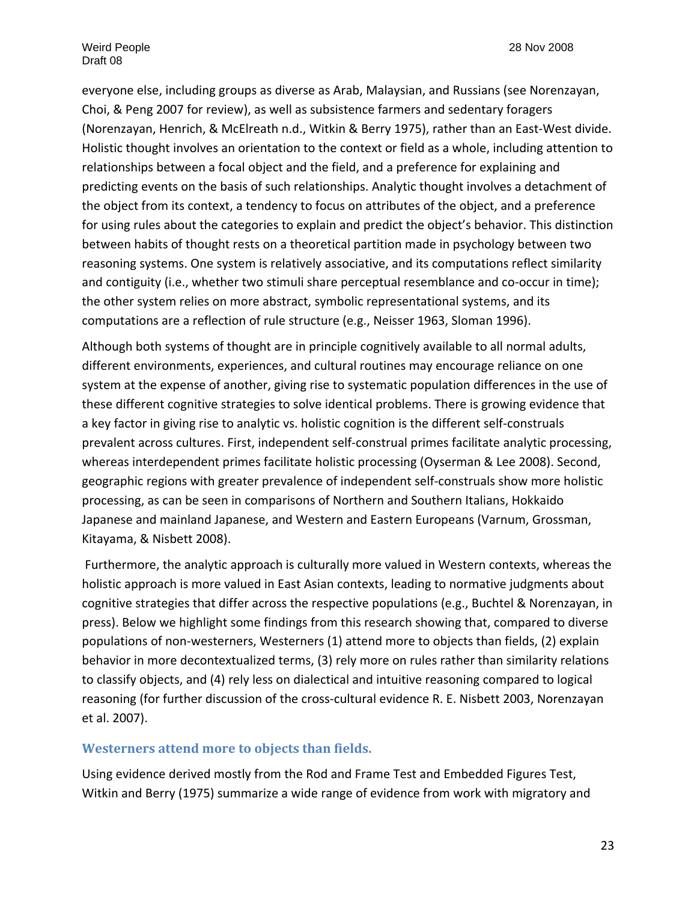everyone else, including groups as diverse as Arab, Malaysian, and Russians (see Norenzayan, Choi, & Peng 2007 for review), as well as subsistence farmers and sedentary foragers (Norenzayan, Henrich, & McElreath n.d., Witkin & Berry 1975), rather than an East‐West divide. Holistic thought involves an orientation to the context or field as a whole, including attention to relationships between a focal object and the field, and a preference for explaining and predicting events on the basis of such relationships. Analytic thought involves a detachment of the object from its context, a tendency to focus on attributes of the object, and a preference for using rules about the categories to explain and predict the object's behavior. This distinction between habits of thought rests on a theoretical partition made in psychology between two reasoning systems. One system is relatively associative, and its computations reflect similarity and contiguity (i.e., whether two stimuli share perceptual resemblance and co-occur in time); the other system relies on more abstract, symbolic representational systems, and its computations are a reflection of rule structure (e.g., Neisser 1963, Sloman 1996).

Although both systems of thought are in principle cognitively available to all normal adults, different environments, experiences, and cultural routines may encourage reliance on one system at the expense of another, giving rise to systematic population differences in the use of these different cognitive strategies to solve identical problems. There is growing evidence that a key factor in giving rise to analytic vs. holistic cognition is the different self‐construals prevalent across cultures. First, independent self‐construal primes facilitate analytic processing, whereas interdependent primes facilitate holistic processing (Oyserman & Lee 2008). Second, geographic regions with greater prevalence of independent self‐construals show more holistic processing, as can be seen in comparisons of Northern and Southern Italians, Hokkaido Japanese and mainland Japanese, and Western and Eastern Europeans (Varnum, Grossman, Kitayama, & Nisbett 2008).

Furthermore, the analytic approach is culturally more valued in Western contexts, whereas the holistic approach is more valued in East Asian contexts, leading to normative judgments about cognitive strategies that differ across the respective populations (e.g., Buchtel & Norenzayan, in press). Below we highlight some findings from this research showing that, compared to diverse populations of non‐westerners, Westerners (1) attend more to objects than fields, (2) explain behavior in more decontextualized terms, (3) rely more on rules rather than similarity relations to classify objects, and (4) rely less on dialectical and intuitive reasoning compared to logical reasoning (for further discussion of the cross-cultural evidence R. E. Nisbett 2003, Norenzayan et al. 2007).

#### **Westerners attend more to objects than fields.**

Using evidence derived mostly from the Rod and Frame Test and Embedded Figures Test, Witkin and Berry (1975) summarize a wide range of evidence from work with migratory and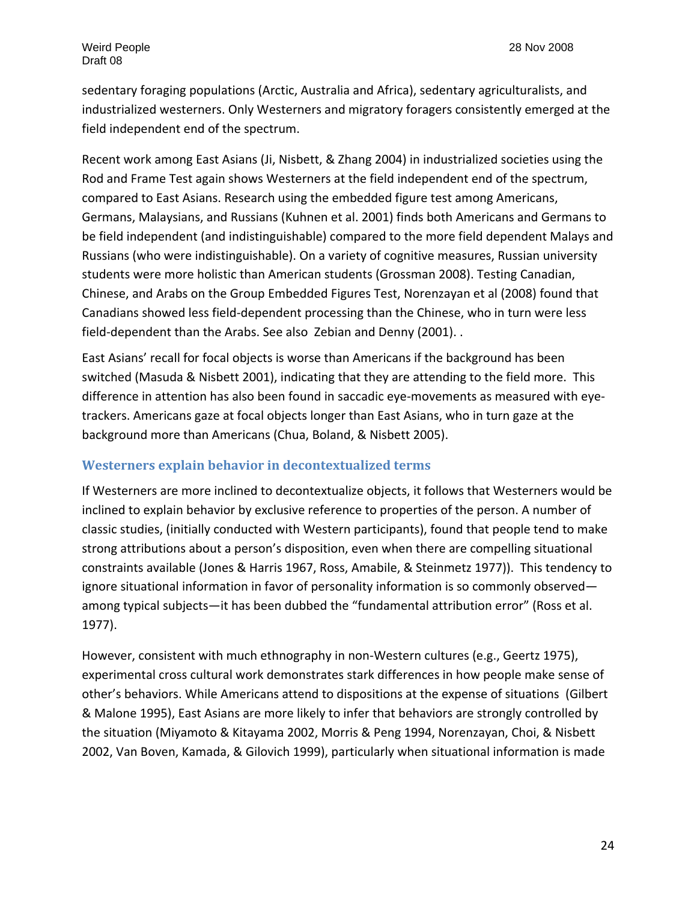sedentary foraging populations (Arctic, Australia and Africa), sedentary agriculturalists, and industrialized westerners. Only Westerners and migratory foragers consistently emerged at the field independent end of the spectrum.

Recent work among East Asians (Ji, Nisbett, & Zhang 2004) in industrialized societies using the Rod and Frame Test again shows Westerners at the field independent end of the spectrum, compared to East Asians. Research using the embedded figure test among Americans, Germans, Malaysians, and Russians (Kuhnen et al. 2001) finds both Americans and Germans to be field independent (and indistinguishable) compared to the more field dependent Malays and Russians (who were indistinguishable). On a variety of cognitive measures, Russian university students were more holistic than American students (Grossman 2008). Testing Canadian, Chinese, and Arabs on the Group Embedded Figures Test, Norenzayan et al (2008) found that Canadians showed less field‐dependent processing than the Chinese, who in turn were less field-dependent than the Arabs. See also Zebian and Denny (2001)..

East Asians' recall for focal objects is worse than Americans if the background has been switched (Masuda & Nisbett 2001), indicating that they are attending to the field more. This difference in attention has also been found in saccadic eye-movements as measured with eyetrackers. Americans gaze at focal objects longer than East Asians, who in turn gaze at the background more than Americans (Chua, Boland, & Nisbett 2005).

#### **Westerners explain behavior in decontextualized terms**

If Westerners are more inclined to decontextualize objects, it follows that Westerners would be inclined to explain behavior by exclusive reference to properties of the person. A number of classic studies, (initially conducted with Western participants), found that people tend to make strong attributions about a person's disposition, even when there are compelling situational constraints available (Jones & Harris 1967, Ross, Amabile, & Steinmetz 1977)). This tendency to ignore situational information in favor of personality information is so commonly observed among typical subjects—it has been dubbed the "fundamental attribution error" (Ross et al. 1977).

However, consistent with much ethnography in non‐Western cultures (e.g., Geertz 1975), experimental cross cultural work demonstrates stark differences in how people make sense of other's behaviors. While Americans attend to dispositions at the expense of situations (Gilbert & Malone 1995), East Asians are more likely to infer that behaviors are strongly controlled by the situation (Miyamoto & Kitayama 2002, Morris & Peng 1994, Norenzayan, Choi, & Nisbett 2002, Van Boven, Kamada, & Gilovich 1999), particularly when situational information is made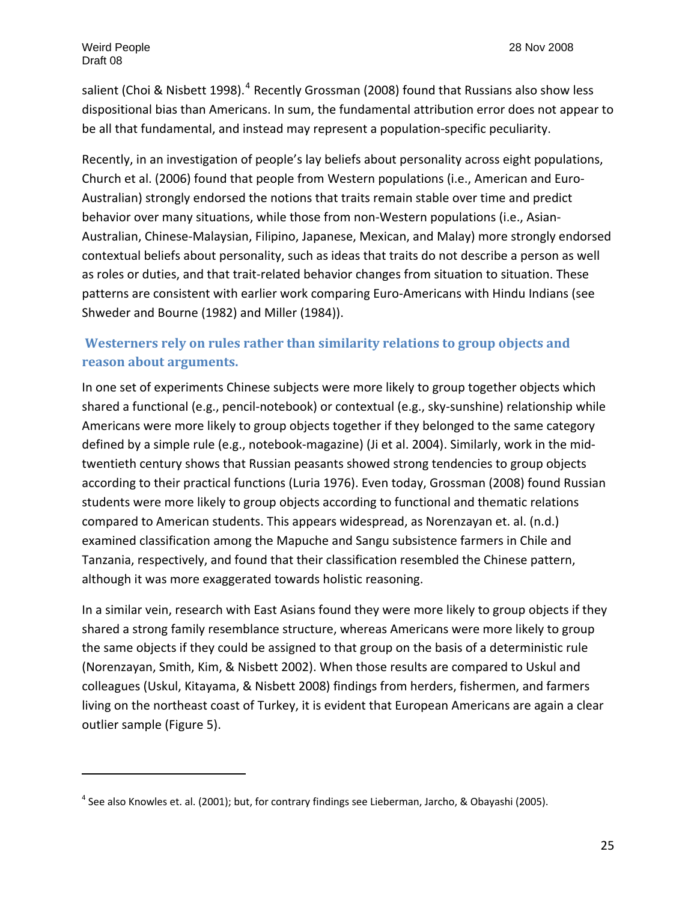salient (Choi & Nisbett 1998).<sup>[4](#page-24-0)</sup> Recently Grossman (2008) found that Russians also show less dispositional bias than Americans. In sum, the fundamental attribution error does not appear to be all that fundamental, and instead may represent a population‐specific peculiarity.

Recently, in an investigation of people's lay beliefs about personality across eight populations, Church et al. (2006) found that people from Western populations (i.e., American and Euro‐ Australian) strongly endorsed the notions that traits remain stable over time and predict behavior over many situations, while those from non‐Western populations (i.e., Asian‐ Australian, Chinese‐Malaysian, Filipino, Japanese, Mexican, and Malay) more strongly endorsed contextual beliefs about personality, such as ideas that traits do not describe a person as well as roles or duties, and that trait‐related behavior changes from situation to situation. These patterns are consistent with earlier work comparing Euro-Americans with Hindu Indians (see Shweder and Bourne (1982) and Miller (1984)).

# **Westerners rely on rules rather than similarity relations to group objects and reason about arguments.**

In one set of experiments Chinese subjects were more likely to group together objects which shared a functional (e.g., pencil-notebook) or contextual (e.g., sky-sunshine) relationship while Americans were more likely to group objects together if they belonged to the same category defined by a simple rule (e.g., notebook‐magazine) (Ji et al. 2004). Similarly, work in the mid‐ twentieth century shows that Russian peasants showed strong tendencies to group objects according to their practical functions (Luria 1976). Even today, Grossman (2008) found Russian students were more likely to group objects according to functional and thematic relations compared to American students. This appears widespread, as Norenzayan et. al. (n.d.) examined classification among the Mapuche and Sangu subsistence farmers in Chile and Tanzania, respectively, and found that their classification resembled the Chinese pattern, although it was more exaggerated towards holistic reasoning.

In a similar vein, research with East Asians found they were more likely to group objects if they shared a strong family resemblance structure, whereas Americans were more likely to group the same objects if they could be assigned to that group on the basis of a deterministic rule (Norenzayan, Smith, Kim, & Nisbett 2002). When those results are compared to Uskul and colleagues (Uskul, Kitayama, & Nisbett 2008) findings from herders, fishermen, and farmers living on the northeast coast of Turkey, it is evident that European Americans are again a clear outlier sample (Figure 5).

<span id="page-24-0"></span> $<sup>4</sup>$  See also Knowles et. al. (2001); but, for contrary findings see Lieberman, Jarcho, & Obayashi (2005).</sup>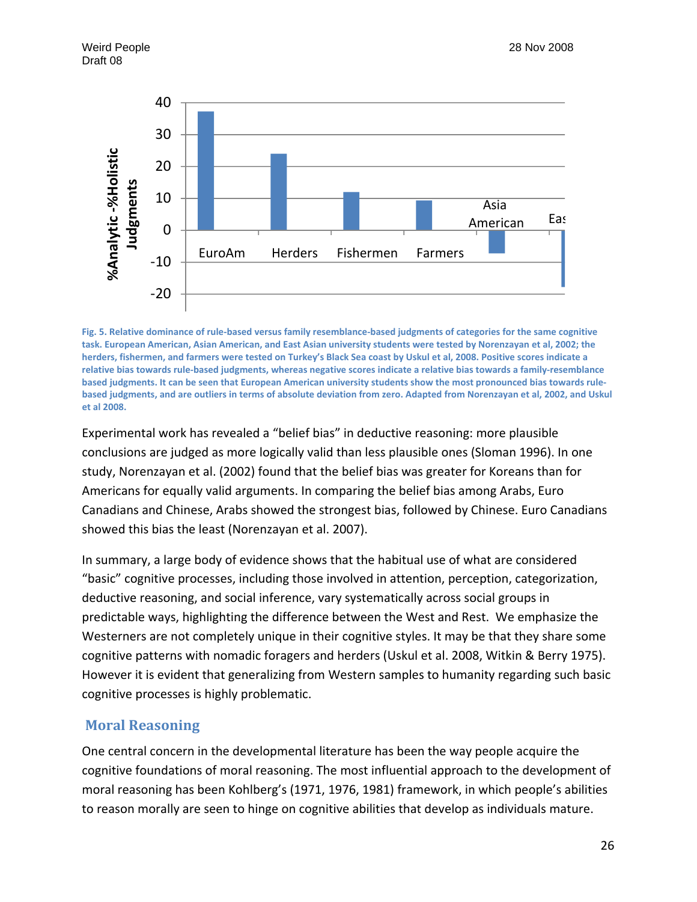

Fig. 5. Relative dominance of rule-based versus family resemblance-based judgments of categories for the same cognitive task. European American, Asian American, and East Asian university students were tested by Norenzayan et al, 2002; the herders, fishermen, and farmers were tested on Turkey's Black Sea coast by Uskul et al, 2008. Positive scores indicate a relative bias towards rule-based judgments, whereas negative scores indicate a relative bias towards a family-resemblance based judgments. It can be seen that European American university students show the most pronounced bias towards rulebased judgments, and are outliers in terms of absolute deviation from zero. Adapted from Norenzayan et al, 2002, and Uskul **et al 2008.** 

Experimental work has revealed a "belief bias" in deductive reasoning: more plausible conclusions are judged as more logically valid than less plausible ones (Sloman 1996). In one study, Norenzayan et al. (2002) found that the belief bias was greater for Koreans than for Americans for equally valid arguments. In comparing the belief bias among Arabs, Euro Canadians and Chinese, Arabs showed the strongest bias, followed by Chinese. Euro Canadians showed this bias the least (Norenzayan et al. 2007).

In summary, a large body of evidence shows that the habitual use of what are considered "basic" cognitive processes, including those involved in attention, perception, categorization, deductive reasoning, and social inference, vary systematically across social groups in predictable ways, highlighting the difference between the West and Rest. We emphasize the Westerners are not completely unique in their cognitive styles. It may be that they share some cognitive patterns with nomadic foragers and herders (Uskul et al. 2008, Witkin & Berry 1975). However it is evident that generalizing from Western samples to humanity regarding such basic cognitive processes is highly problematic.

# **Moral Reasoning**

One central concern in the developmental literature has been the way people acquire the cognitive foundations of moral reasoning. The most influential approach to the development of moral reasoning has been Kohlberg's (1971, 1976, 1981) framework, in which people's abilities to reason morally are seen to hinge on cognitive abilities that develop as individuals mature.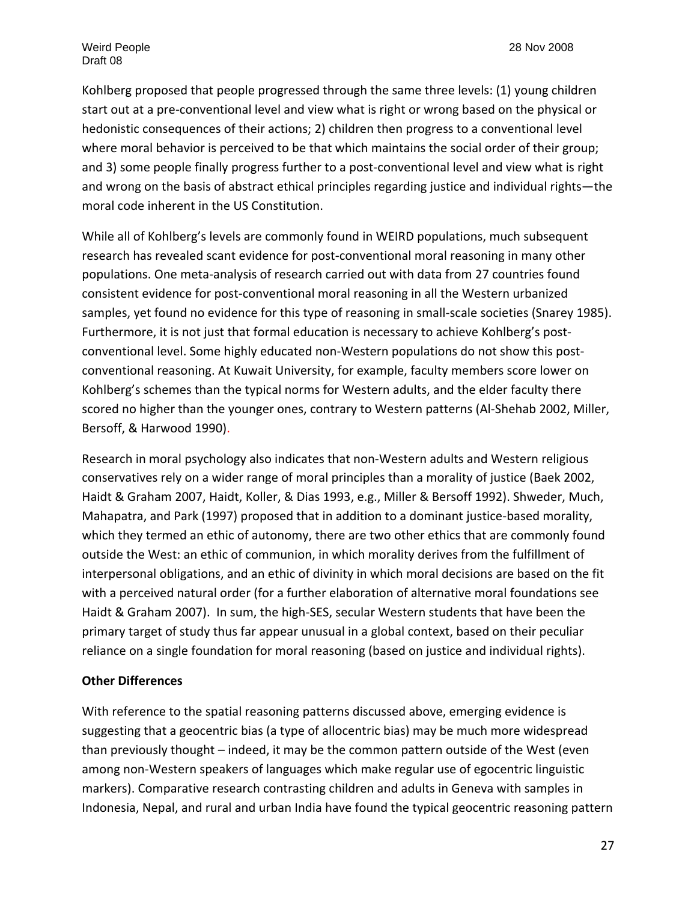Kohlberg proposed that people progressed through the same three levels: (1) young children start out at a pre‐conventional level and view what is right or wrong based on the physical or hedonistic consequences of their actions; 2) children then progress to a conventional level where moral behavior is perceived to be that which maintains the social order of their group; and 3) some people finally progress further to a post-conventional level and view what is right and wrong on the basis of abstract ethical principles regarding justice and individual rights—the moral code inherent in the US Constitution.

While all of Kohlberg's levels are commonly found in WEIRD populations, much subsequent research has revealed scant evidence for post‐conventional moral reasoning in many other populations. One meta‐analysis of research carried out with data from 27 countries found consistent evidence for post‐conventional moral reasoning in all the Western urbanized samples, yet found no evidence for this type of reasoning in small-scale societies (Snarey 1985). Furthermore, it is not just that formal education is necessary to achieve Kohlberg's post‐ conventional level. Some highly educated non‐Western populations do not show this post‐ conventional reasoning. At Kuwait University, for example, faculty members score lower on Kohlberg's schemes than the typical norms for Western adults, and the elder faculty there scored no higher than the younger ones, contrary to Western patterns (Al-Shehab 2002, Miller, Bersoff, & Harwood 1990).

Research in moral psychology also indicates that non‐Western adults and Western religious conservatives rely on a wider range of moral principles than a morality of justice (Baek 2002, Haidt & Graham 2007, Haidt, Koller, & Dias 1993, e.g., Miller & Bersoff 1992). Shweder, Much, Mahapatra, and Park (1997) proposed that in addition to a dominant justice-based morality, which they termed an ethic of autonomy, there are two other ethics that are commonly found outside the West: an ethic of communion, in which morality derives from the fulfillment of interpersonal obligations, and an ethic of divinity in which moral decisions are based on the fit with a perceived natural order (for a further elaboration of alternative moral foundations see Haidt & Graham 2007). In sum, the high‐SES, secular Western students that have been the primary target of study thus far appear unusual in a global context, based on their peculiar reliance on a single foundation for moral reasoning (based on justice and individual rights).

#### **Other Differences**

With reference to the spatial reasoning patterns discussed above, emerging evidence is suggesting that a geocentric bias (a type of allocentric bias) may be much more widespread than previously thought – indeed, it may be the common pattern outside of the West (even among non‐Western speakers of languages which make regular use of egocentric linguistic markers). Comparative research contrasting children and adults in Geneva with samples in Indonesia, Nepal, and rural and urban India have found the typical geocentric reasoning pattern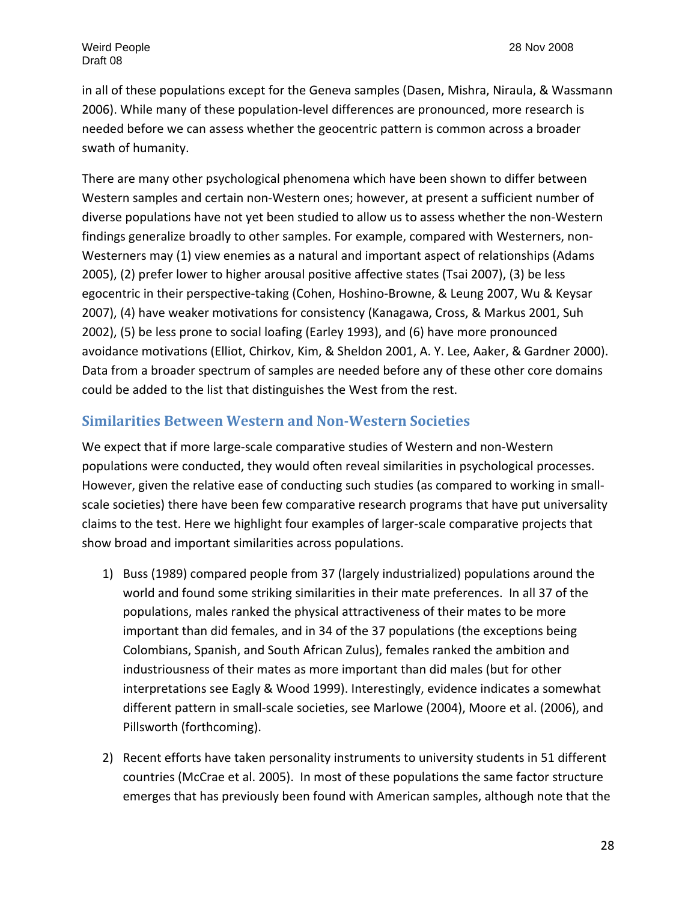in all of these populations except for the Geneva samples (Dasen, Mishra, Niraula, & Wassmann 2006). While many of these population‐level differences are pronounced, more research is needed before we can assess whether the geocentric pattern is common across a broader swath of humanity.

There are many other psychological phenomena which have been shown to differ between Western samples and certain non‐Western ones; however, at present a sufficient number of diverse populations have not yet been studied to allow us to assess whether the non‐Western findings generalize broadly to other samples. For example, compared with Westerners, non‐ Westerners may (1) view enemies as a natural and important aspect of relationships (Adams 2005), (2) prefer lower to higher arousal positive affective states (Tsai 2007), (3) be less egocentric in their perspective‐taking (Cohen, Hoshino‐Browne, & Leung 2007, Wu & Keysar 2007), (4) have weaker motivations for consistency (Kanagawa, Cross, & Markus 2001, Suh 2002), (5) be less prone to social loafing (Earley 1993), and (6) have more pronounced avoidance motivations (Elliot, Chirkov, Kim, & Sheldon 2001, A. Y. Lee, Aaker, & Gardner 2000). Data from a broader spectrum of samples are needed before any of these other core domains could be added to the list that distinguishes the West from the rest.

#### **Similarities Between Western and NonWestern Societies**

We expect that if more large-scale comparative studies of Western and non-Western populations were conducted, they would often reveal similarities in psychological processes. However, given the relative ease of conducting such studies (as compared to working in small‐ scale societies) there have been few comparative research programs that have put universality claims to the test. Here we highlight four examples of larger‐scale comparative projects that show broad and important similarities across populations.

- 1) Buss (1989) compared people from 37 (largely industrialized) populations around the world and found some striking similarities in their mate preferences. In all 37 of the populations, males ranked the physical attractiveness of their mates to be more important than did females, and in 34 of the 37 populations (the exceptions being Colombians, Spanish, and South African Zulus), females ranked the ambition and industriousness of their mates as more important than did males (but for other interpretations see Eagly & Wood 1999). Interestingly, evidence indicates a somewhat different pattern in small‐scale societies, see Marlowe (2004), Moore et al. (2006), and Pillsworth (forthcoming).
- 2) Recent efforts have taken personality instruments to university students in 51 different countries (McCrae et al. 2005). In most of these populations the same factor structure emerges that has previously been found with American samples, although note that the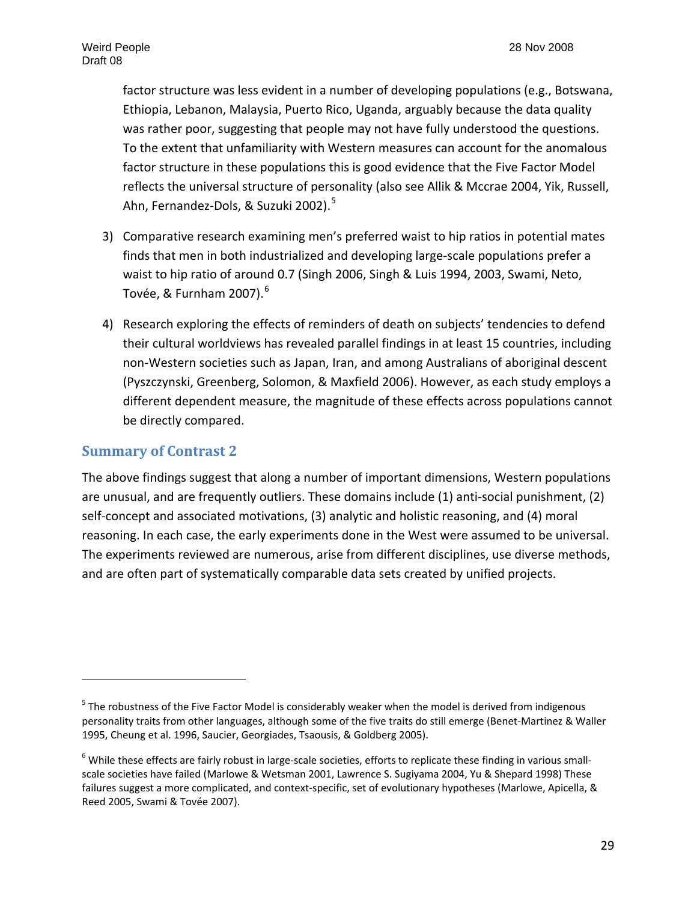factor structure was less evident in a number of developing populations (e.g., Botswana, Ethiopia, Lebanon, Malaysia, Puerto Rico, Uganda, arguably because the data quality was rather poor, suggesting that people may not have fully understood the questions. To the extent that unfamiliarity with Western measures can account for the anomalous factor structure in these populations this is good evidence that the Five Factor Model reflects the universal structure of personality (also see Allik & Mccrae 2004, Yik, Russell, Ahn, Fernandez-Dols, & Suzuki 2002).<sup>[5](#page-28-0)</sup>

- 3) Comparative research examining men's preferred waist to hip ratios in potential mates finds that men in both industrialized and developing large‐scale populations prefer a waist to hip ratio of around 0.7 (Singh 2006, Singh & Luis 1994, 2003, Swami, Neto, Tovée, & Furnham 2007). $^6$  $^6$
- 4) Research exploring the effects of reminders of death on subjects' tendencies to defend their cultural worldviews has revealed parallel findings in at least 15 countries, including non‐Western societies such as Japan, Iran, and among Australians of aboriginal descent (Pyszczynski, Greenberg, Solomon, & Maxfield 2006). However, as each study employs a different dependent measure, the magnitude of these effects across populations cannot be directly compared.

### **Summary of Contrast 2**

The above findings suggest that along a number of important dimensions, Western populations are unusual, and are frequently outliers. These domains include (1) anti‐social punishment, (2) self-concept and associated motivations, (3) analytic and holistic reasoning, and (4) moral reasoning. In each case, the early experiments done in the West were assumed to be universal. The experiments reviewed are numerous, arise from different disciplines, use diverse methods, and are often part of systematically comparable data sets created by unified projects.

<span id="page-28-0"></span><sup>&</sup>lt;sup>5</sup> The robustness of the Five Factor Model is considerably weaker when the model is derived from indigenous personality traits from other languages, although some of the five traits do still emerge (Benet‐Martinez & Waller 1995, Cheung et al. 1996, Saucier, Georgiades, Tsaousis, & Goldberg 2005).

<span id="page-28-1"></span> $6$  While these effects are fairly robust in large-scale societies, efforts to replicate these finding in various smallscale societies have failed (Marlowe & Wetsman 2001, Lawrence S. Sugiyama 2004, Yu & Shepard 1998) These failures suggest a more complicated, and context-specific, set of evolutionary hypotheses (Marlowe, Apicella, & Reed 2005, Swami & Tovée 2007).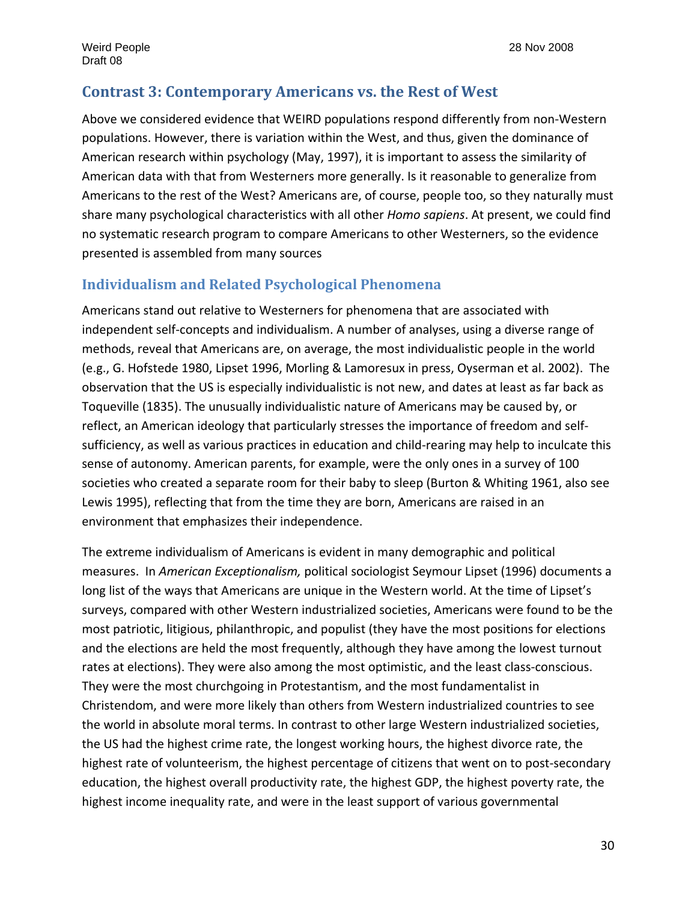# **Contrast 3: Contemporary Americans vs. the Rest of West**

Above we considered evidence that WEIRD populations respond differently from non‐Western populations. However, there is variation within the West, and thus, given the dominance of American research within psychology (May, 1997), it is important to assess the similarity of American data with that from Westerners more generally. Is it reasonable to generalize from Americans to the rest of the West? Americans are, of course, people too, so they naturally must share many psychological characteristics with all other *Homo sapiens*. At present, we could find no systematic research program to compare Americans to other Westerners, so the evidence presented is assembled from many sources

# **Individualism and Related Psychological Phenomena**

Americans stand out relative to Westerners for phenomena that are associated with independent self‐concepts and individualism. A number of analyses, using a diverse range of methods, reveal that Americans are, on average, the most individualistic people in the world (e.g., G. Hofstede 1980, Lipset 1996, Morling & Lamoresux in press, Oyserman et al. 2002). The observation that the US is especially individualistic is not new, and dates at least as far back as Toqueville (1835). The unusually individualistic nature of Americans may be caused by, or reflect, an American ideology that particularly stresses the importance of freedom and self‐ sufficiency, as well as various practices in education and child-rearing may help to inculcate this sense of autonomy. American parents, for example, were the only ones in a survey of 100 societies who created a separate room for their baby to sleep (Burton & Whiting 1961, also see Lewis 1995), reflecting that from the time they are born, Americans are raised in an environment that emphasizes their independence.

The extreme individualism of Americans is evident in many demographic and political measures. In *American Exceptionalism,* political sociologist Seymour Lipset (1996) documents a long list of the ways that Americans are unique in the Western world. At the time of Lipset's surveys, compared with other Western industrialized societies, Americans were found to be the most patriotic, litigious, philanthropic, and populist (they have the most positions for elections and the elections are held the most frequently, although they have among the lowest turnout rates at elections). They were also among the most optimistic, and the least class-conscious. They were the most churchgoing in Protestantism, and the most fundamentalist in Christendom, and were more likely than others from Western industrialized countries to see the world in absolute moral terms. In contrast to other large Western industrialized societies, the US had the highest crime rate, the longest working hours, the highest divorce rate, the highest rate of volunteerism, the highest percentage of citizens that went on to post-secondary education, the highest overall productivity rate, the highest GDP, the highest poverty rate, the highest income inequality rate, and were in the least support of various governmental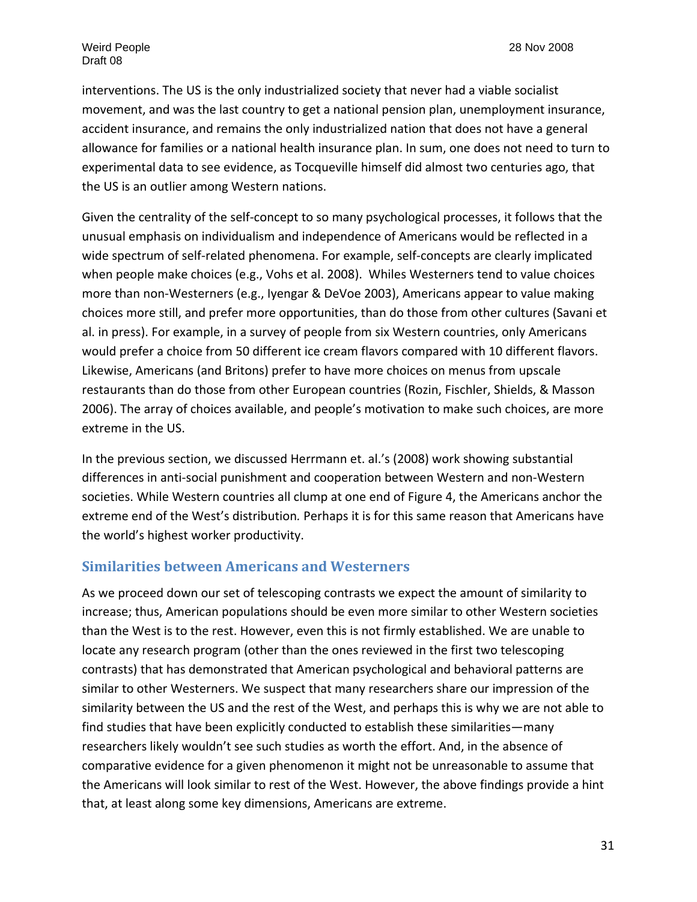interventions. The US is the only industrialized society that never had a viable socialist movement, and was the last country to get a national pension plan, unemployment insurance, accident insurance, and remains the only industrialized nation that does not have a general allowance for families or a national health insurance plan. In sum, one does not need to turn to experimental data to see evidence, as Tocqueville himself did almost two centuries ago, that the US is an outlier among Western nations.

Given the centrality of the self‐concept to so many psychological processes, it follows that the unusual emphasis on individualism and independence of Americans would be reflected in a wide spectrum of self-related phenomena. For example, self-concepts are clearly implicated when people make choices (e.g., Vohs et al. 2008). Whiles Westerners tend to value choices more than non‐Westerners (e.g., Iyengar & DeVoe 2003), Americans appear to value making choices more still, and prefer more opportunities, than do those from other cultures (Savani et al. in press). For example, in a survey of people from six Western countries, only Americans would prefer a choice from 50 different ice cream flavors compared with 10 different flavors. Likewise, Americans (and Britons) prefer to have more choices on menus from upscale restaurants than do those from other European countries (Rozin, Fischler, Shields, & Masson 2006). The array of choices available, and people's motivation to make such choices, are more extreme in the US.

In the previous section, we discussed Herrmann et. al.'s (2008) work showing substantial differences in anti‐social punishment and cooperation between Western and non‐Western societies. While Western countries all clump at one end of Figure 4, the Americans anchor the extreme end of the West's distribution*.* Perhaps it is for this same reason that Americans have the world's highest worker productivity.

#### **Similarities between Americans and Westerners**

As we proceed down our set of telescoping contrasts we expect the amount of similarity to increase; thus, American populations should be even more similar to other Western societies than the West is to the rest. However, even this is not firmly established. We are unable to locate any research program (other than the ones reviewed in the first two telescoping contrasts) that has demonstrated that American psychological and behavioral patterns are similar to other Westerners. We suspect that many researchers share our impression of the similarity between the US and the rest of the West, and perhaps this is why we are not able to find studies that have been explicitly conducted to establish these similarities—many researchers likely wouldn't see such studies as worth the effort. And, in the absence of comparative evidence for a given phenomenon it might not be unreasonable to assume that the Americans will look similar to rest of the West. However, the above findings provide a hint that, at least along some key dimensions, Americans are extreme.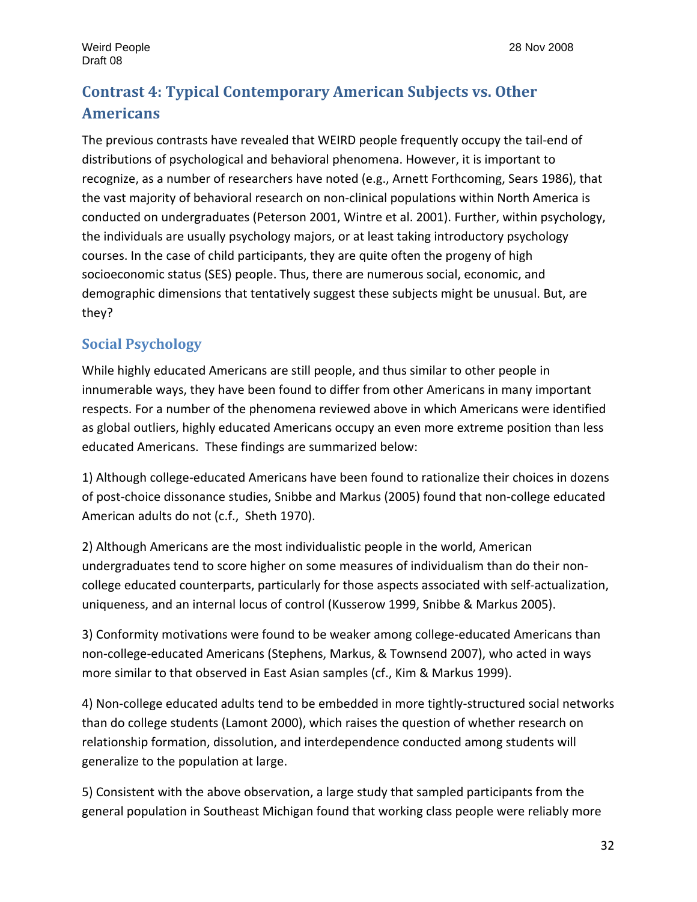# **Contrast 4: Typical Contemporary American Subjects vs. Other Americans**

The previous contrasts have revealed that WEIRD people frequently occupy the tail‐end of distributions of psychological and behavioral phenomena. However, it is important to recognize, as a number of researchers have noted (e.g., Arnett Forthcoming, Sears 1986), that the vast majority of behavioral research on non‐clinical populations within North America is conducted on undergraduates (Peterson 2001, Wintre et al. 2001). Further, within psychology, the individuals are usually psychology majors, or at least taking introductory psychology courses. In the case of child participants, they are quite often the progeny of high socioeconomic status (SES) people. Thus, there are numerous social, economic, and demographic dimensions that tentatively suggest these subjects might be unusual. But, are they?

# **Social Psychology**

While highly educated Americans are still people, and thus similar to other people in innumerable ways, they have been found to differ from other Americans in many important respects. For a number of the phenomena reviewed above in which Americans were identified as global outliers, highly educated Americans occupy an even more extreme position than less educated Americans. These findings are summarized below:

1) Although college‐educated Americans have been found to rationalize their choices in dozens of post‐choice dissonance studies, Snibbe and Markus (2005) found that non‐college educated American adults do not (c.f., Sheth 1970).

2) Although Americans are the most individualistic people in the world, American undergraduates tend to score higher on some measures of individualism than do their non‐ college educated counterparts, particularly for those aspects associated with self‐actualization, uniqueness, and an internal locus of control (Kusserow 1999, Snibbe & Markus 2005).

3) Conformity motivations were found to be weaker among college‐educated Americans than non‐college‐educated Americans (Stephens, Markus, & Townsend 2007), who acted in ways more similar to that observed in East Asian samples (cf., Kim & Markus 1999).

4) Non-college educated adults tend to be embedded in more tightly-structured social networks than do college students (Lamont 2000), which raises the question of whether research on relationship formation, dissolution, and interdependence conducted among students will generalize to the population at large.

5) Consistent with the above observation, a large study that sampled participants from the general population in Southeast Michigan found that working class people were reliably more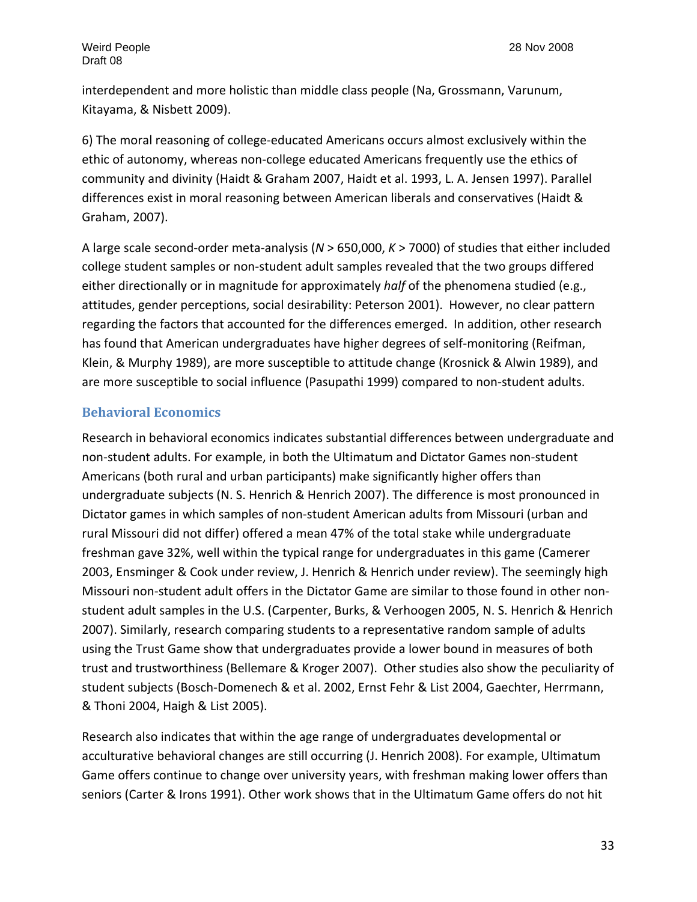interdependent and more holistic than middle class people (Na, Grossmann, Varunum, Kitayama, & Nisbett 2009).

6) The moral reasoning of college‐educated Americans occurs almost exclusively within the ethic of autonomy, whereas non‐college educated Americans frequently use the ethics of community and divinity (Haidt & Graham 2007, Haidt et al. 1993, L. A. Jensen 1997). Parallel differences exist in moral reasoning between American liberals and conservatives (Haidt & Graham, 2007). 

A large scale second‐order meta‐analysis (*N* > 650,000, *K* > 7000) of studies that either included college student samples or non‐student adult samples revealed that the two groups differed either directionally or in magnitude for approximately *half* of the phenomena studied (e.g., attitudes, gender perceptions, social desirability: Peterson 2001). However, no clear pattern regarding the factors that accounted for the differences emerged. In addition, other research has found that American undergraduates have higher degrees of self-monitoring (Reifman, Klein, & Murphy 1989), are more susceptible to attitude change (Krosnick & Alwin 1989), and are more susceptible to social influence (Pasupathi 1999) compared to non‐student adults.

#### **Behavioral Economics**

Research in behavioral economics indicates substantial differences between undergraduate and non‐student adults. For example, in both the Ultimatum and Dictator Games non‐student Americans (both rural and urban participants) make significantly higher offers than undergraduate subjects (N. S. Henrich & Henrich 2007). The difference is most pronounced in Dictator games in which samples of non‐student American adults from Missouri (urban and rural Missouri did not differ) offered a mean 47% of the total stake while undergraduate freshman gave 32%, well within the typical range for undergraduates in this game (Camerer 2003, Ensminger & Cook under review, J. Henrich & Henrich under review). The seemingly high Missouri non-student adult offers in the Dictator Game are similar to those found in other nonstudent adult samples in the U.S. (Carpenter, Burks, & Verhoogen 2005, N. S. Henrich & Henrich 2007). Similarly, research comparing students to a representative random sample of adults using the Trust Game show that undergraduates provide a lower bound in measures of both trust and trustworthiness (Bellemare & Kroger 2007). Other studies also show the peculiarity of student subjects (Bosch‐Domenech & et al. 2002, Ernst Fehr & List 2004, Gaechter, Herrmann, & Thoni 2004, Haigh & List 2005).

Research also indicates that within the age range of undergraduates developmental or acculturative behavioral changes are still occurring (J. Henrich 2008). For example, Ultimatum Game offers continue to change over university years, with freshman making lower offers than seniors (Carter & Irons 1991). Other work shows that in the Ultimatum Game offers do not hit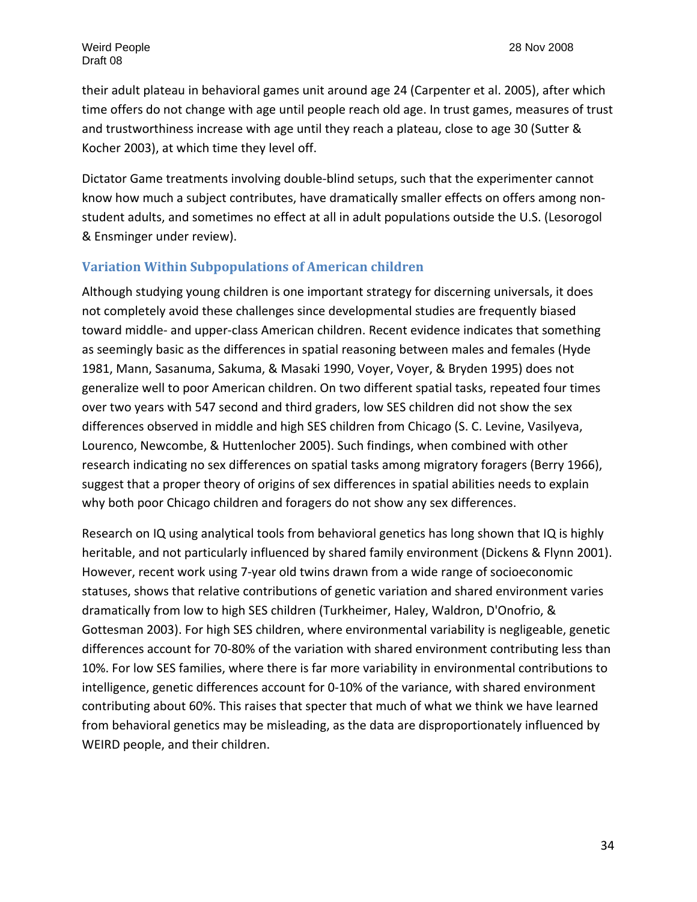their adult plateau in behavioral games unit around age 24 (Carpenter et al. 2005), after which time offers do not change with age until people reach old age. In trust games, measures of trust and trustworthiness increase with age until they reach a plateau, close to age 30 (Sutter & Kocher 2003), at which time they level off.

Dictator Game treatments involving double‐blind setups, such that the experimenter cannot know how much a subject contributes, have dramatically smaller effects on offers among non‐ student adults, and sometimes no effect at all in adult populations outside the U.S. (Lesorogol & Ensminger under review).

#### **Variation Within Subpopulations of American children**

Although studying young children is one important strategy for discerning universals, it does not completely avoid these challenges since developmental studies are frequently biased toward middle‐ and upper‐class American children. Recent evidence indicates that something as seemingly basic as the differences in spatial reasoning between males and females (Hyde 1981, Mann, Sasanuma, Sakuma, & Masaki 1990, Voyer, Voyer, & Bryden 1995) does not generalize well to poor American children. On two different spatial tasks, repeated four times over two years with 547 second and third graders, low SES children did not show the sex differences observed in middle and high SES children from Chicago (S. C. Levine, Vasilyeva, Lourenco, Newcombe, & Huttenlocher 2005). Such findings, when combined with other research indicating no sex differences on spatial tasks among migratory foragers (Berry 1966), suggest that a proper theory of origins of sex differences in spatial abilities needs to explain why both poor Chicago children and foragers do not show any sex differences.

Research on IQ using analytical tools from behavioral genetics has long shown that IQ is highly heritable, and not particularly influenced by shared family environment (Dickens & Flynn 2001). However, recent work using 7‐year old twins drawn from a wide range of socioeconomic statuses, shows that relative contributions of genetic variation and shared environment varies dramatically from low to high SES children (Turkheimer, Haley, Waldron, D'Onofrio, & Gottesman 2003). For high SES children, where environmental variability is negligeable, genetic differences account for 70‐80% of the variation with shared environment contributing less than 10%. For low SES families, where there is far more variability in environmental contributions to intelligence, genetic differences account for 0‐10% of the variance, with shared environment contributing about 60%. This raises that specter that much of what we think we have learned from behavioral genetics may be misleading, as the data are disproportionately influenced by WEIRD people, and their children.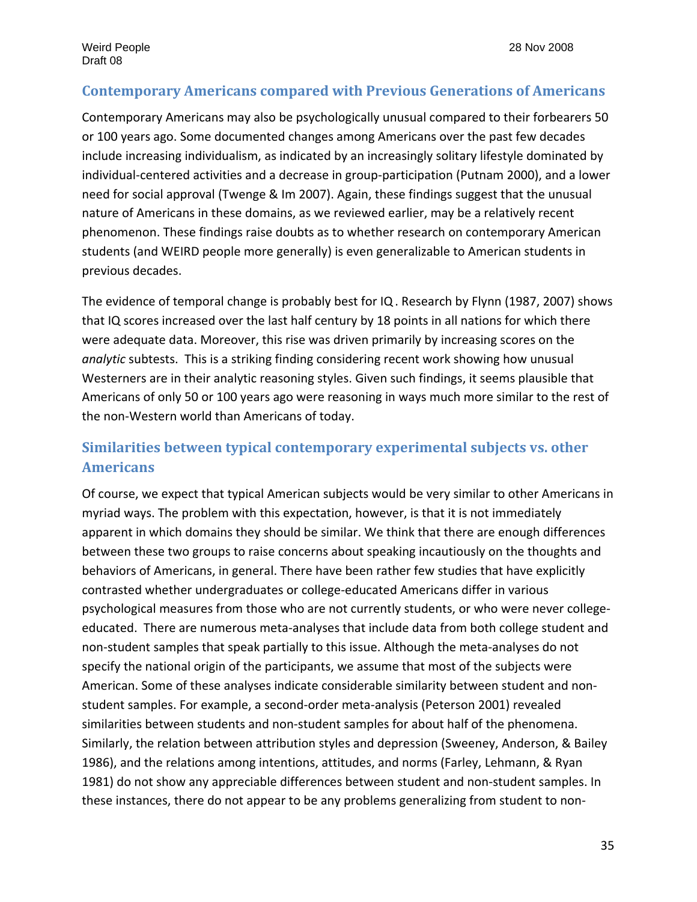# **Contemporary Americans compared with Previous Generations of Americans**

Contemporary Americans may also be psychologically unusual compared to their forbearers 50 or 100 years ago. Some documented changes among Americans over the past few decades include increasing individualism, as indicated by an increasingly solitary lifestyle dominated by individual‐centered activities and a decrease in group‐participation (Putnam 2000), and a lower need for social approval (Twenge & Im 2007). Again, these findings suggest that the unusual nature of Americans in these domains, as we reviewed earlier, may be a relatively recent phenomenon. These findings raise doubts as to whether research on contemporary American students (and WEIRD people more generally) is even generalizable to American students in previous decades.

The evidence of temporal change is probably best for IQ. Research by Flynn (1987, 2007) shows that IQ scores increased over the last half century by 18 points in all nations for which there were adequate data. Moreover, this rise was driven primarily by increasing scores on the *analytic* subtests. This is a striking finding considering recent work showing how unusual Westerners are in their analytic reasoning styles. Given such findings, it seems plausible that Americans of only 50 or 100 years ago were reasoning in ways much more similar to the rest of the non‐Western world than Americans of today.

# **Similarities between typical contemporary experimental subjects vs. other Americans**

Of course, we expect that typical American subjects would be very similar to other Americans in myriad ways. The problem with this expectation, however, is that it is not immediately apparent in which domains they should be similar. We think that there are enough differences between these two groups to raise concerns about speaking incautiously on the thoughts and behaviors of Americans, in general. There have been rather few studies that have explicitly contrasted whether undergraduates or college‐educated Americans differ in various psychological measures from those who are not currently students, or who were never college‐ educated. There are numerous meta‐analyses that include data from both college student and non-student samples that speak partially to this issue. Although the meta-analyses do not specify the national origin of the participants, we assume that most of the subjects were American. Some of these analyses indicate considerable similarity between student and non‐ student samples. For example, a second‐order meta‐analysis (Peterson 2001) revealed similarities between students and non‐student samples for about half of the phenomena. Similarly, the relation between attribution styles and depression (Sweeney, Anderson, & Bailey 1986), and the relations among intentions, attitudes, and norms (Farley, Lehmann, & Ryan 1981) do not show any appreciable differences between student and non‐student samples. In these instances, there do not appear to be any problems generalizing from student to non‐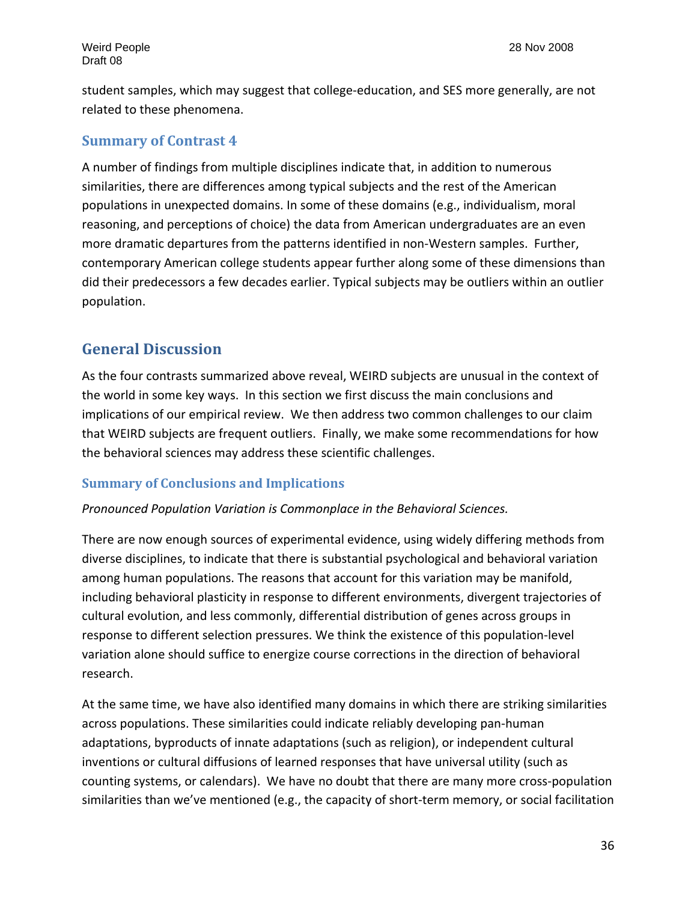student samples, which may suggest that college‐education, and SES more generally, are not related to these phenomena.

#### **Summary of Contrast 4**

A number of findings from multiple disciplines indicate that, in addition to numerous similarities, there are differences among typical subjects and the rest of the American populations in unexpected domains. In some of these domains (e.g., individualism, moral reasoning, and perceptions of choice) the data from American undergraduates are an even more dramatic departures from the patterns identified in non‐Western samples. Further, contemporary American college students appear further along some of these dimensions than did their predecessors a few decades earlier. Typical subjects may be outliers within an outlier population.

# **General Discussion**

As the four contrasts summarized above reveal, WEIRD subjects are unusual in the context of the world in some key ways. In this section we first discuss the main conclusions and implications of our empirical review. We then address two common challenges to our claim that WEIRD subjects are frequent outliers. Finally, we make some recommendations for how the behavioral sciences may address these scientific challenges.

#### **Summary of Conclusions and Implications**

#### *Pronounced Population Variation is Commonplace in the Behavioral Sciences.*

There are now enough sources of experimental evidence, using widely differing methods from diverse disciplines, to indicate that there is substantial psychological and behavioral variation among human populations. The reasons that account for this variation may be manifold, including behavioral plasticity in response to different environments, divergent trajectories of cultural evolution, and less commonly, differential distribution of genes across groups in response to different selection pressures. We think the existence of this population‐level variation alone should suffice to energize course corrections in the direction of behavioral research.

At the same time, we have also identified many domains in which there are striking similarities across populations. These similarities could indicate reliably developing pan‐human adaptations, byproducts of innate adaptations (such as religion), or independent cultural inventions or cultural diffusions of learned responses that have universal utility (such as counting systems, or calendars). We have no doubt that there are many more cross‐population similarities than we've mentioned (e.g., the capacity of short-term memory, or social facilitation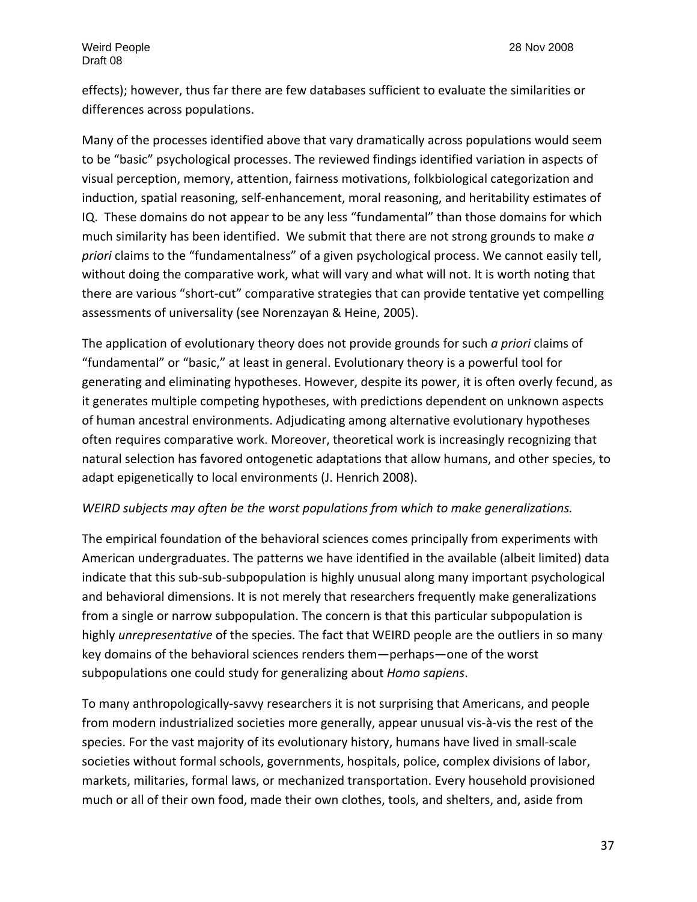effects); however, thus far there are few databases sufficient to evaluate the similarities or differences across populations.

Many of the processes identified above that vary dramatically across populations would seem to be "basic" psychological processes. The reviewed findings identified variation in aspects of visual perception, memory, attention, fairness motivations, folkbiological categorization and induction, spatial reasoning, self-enhancement, moral reasoning, and heritability estimates of IQ. These domains do not appear to be any less "fundamental" than those domains for which much similarity has been identified. We submit that there are not strong grounds to make *a priori* claims to the "fundamentalness" of a given psychological process. We cannot easily tell, without doing the comparative work, what will vary and what will not. It is worth noting that there are various "short‐cut" comparative strategies that can provide tentative yet compelling assessments of universality (see Norenzayan & Heine, 2005).

The application of evolutionary theory does not provide grounds for such *a priori* claims of "fundamental" or "basic," at least in general. Evolutionary theory is a powerful tool for generating and eliminating hypotheses. However, despite its power, it is often overly fecund, as it generates multiple competing hypotheses, with predictions dependent on unknown aspects of human ancestral environments. Adjudicating among alternative evolutionary hypotheses often requires comparative work. Moreover, theoretical work is increasingly recognizing that natural selection has favored ontogenetic adaptations that allow humans, and other species, to adapt epigenetically to local environments (J. Henrich 2008).

#### *WEIRD subjects may often be the worst populations from which to make generalizations.*

The empirical foundation of the behavioral sciences comes principally from experiments with American undergraduates. The patterns we have identified in the available (albeit limited) data indicate that this sub‐sub‐subpopulation is highly unusual along many important psychological and behavioral dimensions. It is not merely that researchers frequently make generalizations from a single or narrow subpopulation. The concern is that this particular subpopulation is highly *unrepresentative* of the species. The fact that WEIRD people are the outliers in so many key domains of the behavioral sciences renders them—perhaps—one of the worst subpopulations one could study for generalizing about *Homo sapiens*.

To many anthropologically‐savvy researchers it is not surprising that Americans, and people from modern industrialized societies more generally, appear unusual vis‐à‐vis the rest of the species. For the vast majority of its evolutionary history, humans have lived in small‐scale societies without formal schools, governments, hospitals, police, complex divisions of labor, markets, militaries, formal laws, or mechanized transportation. Every household provisioned much or all of their own food, made their own clothes, tools, and shelters, and, aside from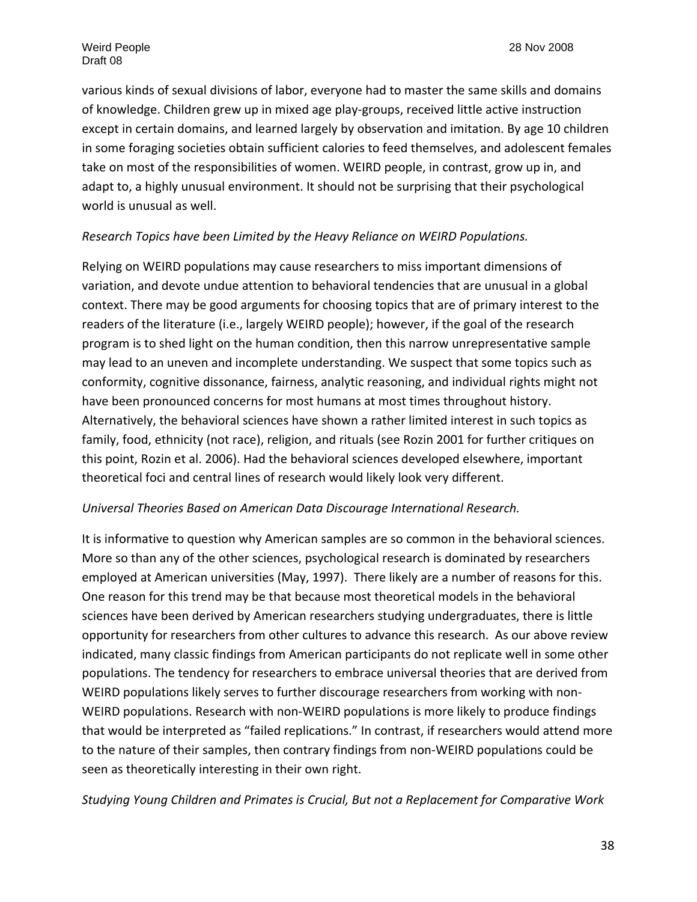various kinds of sexual divisions of labor, everyone had to master the same skills and domains of knowledge. Children grew up in mixed age play‐groups, received little active instruction except in certain domains, and learned largely by observation and imitation. By age 10 children in some foraging societies obtain sufficient calories to feed themselves, and adolescent females take on most of the responsibilities of women. WEIRD people, in contrast, grow up in, and adapt to, a highly unusual environment. It should not be surprising that their psychological world is unusual as well.

#### *Research Topics have been Limited by the Heavy Reliance on WEIRD Populations.*

Relying on WEIRD populations may cause researchers to miss important dimensions of variation, and devote undue attention to behavioral tendencies that are unusual in a global context. There may be good arguments for choosing topics that are of primary interest to the readers of the literature (i.e., largely WEIRD people); however, if the goal of the research program is to shed light on the human condition, then this narrow unrepresentative sample may lead to an uneven and incomplete understanding. We suspect that some topics such as conformity, cognitive dissonance, fairness, analytic reasoning, and individual rights might not have been pronounced concerns for most humans at most times throughout history. Alternatively, the behavioral sciences have shown a rather limited interest in such topics as family, food, ethnicity (not race), religion, and rituals (see Rozin 2001 for further critiques on this point, Rozin et al. 2006). Had the behavioral sciences developed elsewhere, important theoretical foci and central lines of research would likely look very different.

#### *Universal Theories Based on American Data Discourage International Research.*

It is informative to question why American samples are so common in the behavioral sciences. More so than any of the other sciences, psychological research is dominated by researchers employed at American universities (May, 1997). There likely are a number of reasons for this. One reason for this trend may be that because most theoretical models in the behavioral sciences have been derived by American researchers studying undergraduates, there is little opportunity for researchers from other cultures to advance this research. As our above review indicated, many classic findings from American participants do not replicate well in some other populations. The tendency for researchers to embrace universal theories that are derived from WEIRD populations likely serves to further discourage researchers from working with non‐ WEIRD populations. Research with non‐WEIRD populations is more likely to produce findings that would be interpreted as "failed replications." In contrast, if researchers would attend more to the nature of their samples, then contrary findings from non‐WEIRD populations could be seen as theoretically interesting in their own right.

*Studying Young Children and Primates is Crucial, But not a Replacement for Comparative Work*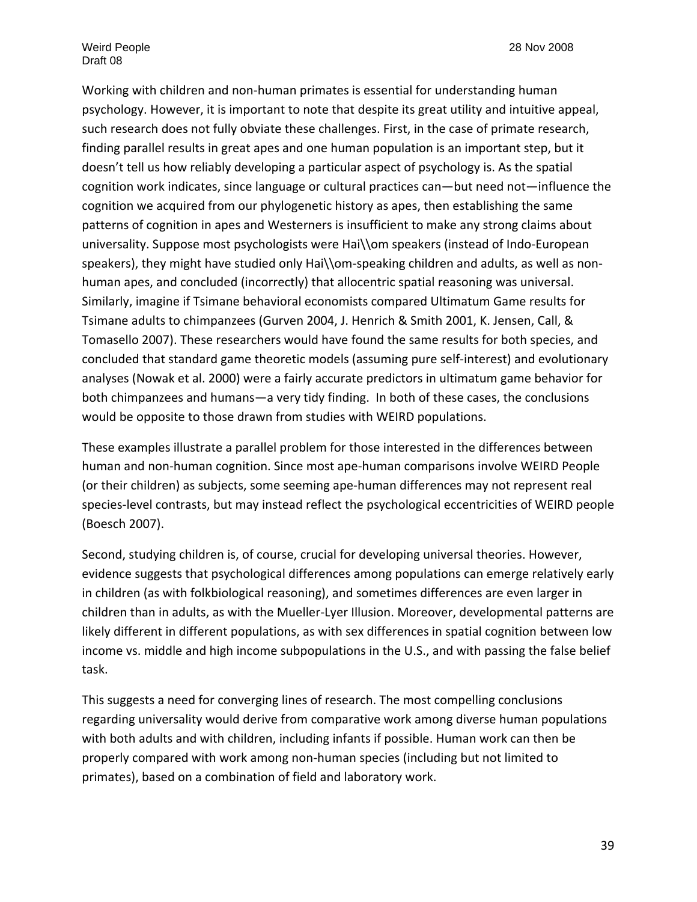Working with children and non‐human primates is essential for understanding human psychology. However, it is important to note that despite its great utility and intuitive appeal, such research does not fully obviate these challenges. First, in the case of primate research, finding parallel results in great apes and one human population is an important step, but it doesn't tell us how reliably developing a particular aspect of psychology is. As the spatial cognition work indicates, since language or cultural practices can—but need not—influence the cognition we acquired from our phylogenetic history as apes, then establishing the same patterns of cognition in apes and Westerners is insufficient to make any strong claims about universality. Suppose most psychologists were Hai\\om speakers (instead of Indo-European speakers), they might have studied only Hai\\om-speaking children and adults, as well as nonhuman apes, and concluded (incorrectly) that allocentric spatial reasoning was universal. Similarly, imagine if Tsimane behavioral economists compared Ultimatum Game results for Tsimane adults to chimpanzees (Gurven 2004, J. Henrich & Smith 2001, K. Jensen, Call, & Tomasello 2007). These researchers would have found the same results for both species, and concluded that standard game theoretic models (assuming pure self‐interest) and evolutionary analyses (Nowak et al. 2000) were a fairly accurate predictors in ultimatum game behavior for both chimpanzees and humans—a very tidy finding. In both of these cases, the conclusions would be opposite to those drawn from studies with WEIRD populations.

These examples illustrate a parallel problem for those interested in the differences between human and non‐human cognition. Since most ape‐human comparisons involve WEIRD People (or their children) as subjects, some seeming ape‐human differences may not represent real species‐level contrasts, but may instead reflect the psychological eccentricities of WEIRD people (Boesch 2007).

Second, studying children is, of course, crucial for developing universal theories. However, evidence suggests that psychological differences among populations can emerge relatively early in children (as with folkbiological reasoning), and sometimes differences are even larger in children than in adults, as with the Mueller‐Lyer Illusion. Moreover, developmental patterns are likely different in different populations, as with sex differences in spatial cognition between low income vs. middle and high income subpopulations in the U.S., and with passing the false belief task.

This suggests a need for converging lines of research. The most compelling conclusions regarding universality would derive from comparative work among diverse human populations with both adults and with children, including infants if possible. Human work can then be properly compared with work among non‐human species (including but not limited to primates), based on a combination of field and laboratory work.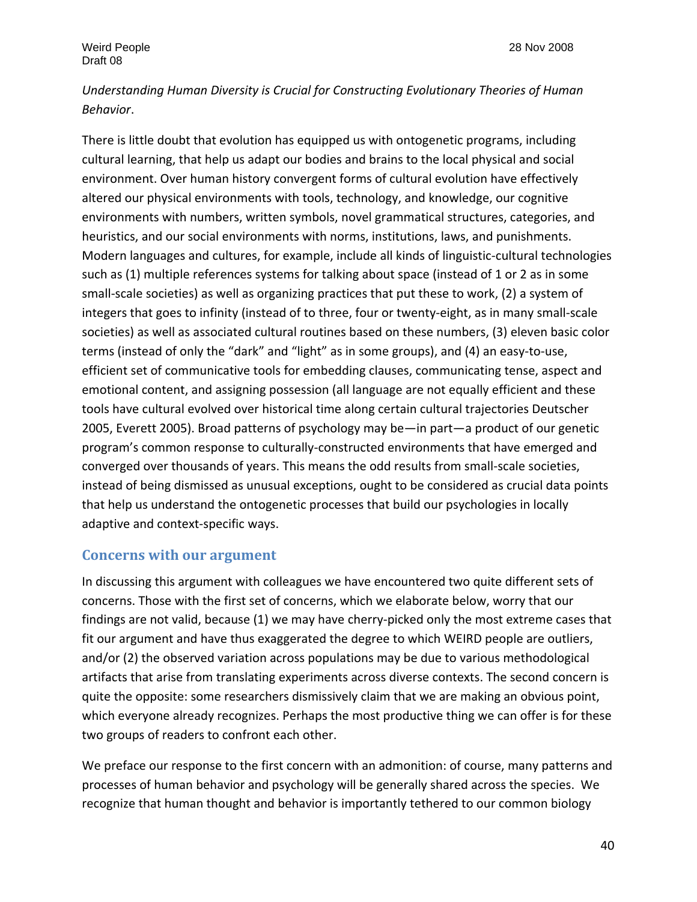# *Understanding Human Diversity is Crucial for Constructing Evolutionary Theories of Human Behavior*.

There is little doubt that evolution has equipped us with ontogenetic programs, including cultural learning, that help us adapt our bodies and brains to the local physical and social environment. Over human history convergent forms of cultural evolution have effectively altered our physical environments with tools, technology, and knowledge, our cognitive environments with numbers, written symbols, novel grammatical structures, categories, and heuristics, and our social environments with norms, institutions, laws, and punishments. Modern languages and cultures, for example, include all kinds of linguistic‐cultural technologies such as (1) multiple references systems for talking about space (instead of 1 or 2 as in some small-scale societies) as well as organizing practices that put these to work, (2) a system of integers that goes to infinity (instead of to three, four or twenty‐eight, as in many small‐scale societies) as well as associated cultural routines based on these numbers, (3) eleven basic color terms (instead of only the "dark" and "light" as in some groups), and (4) an easy‐to‐use, efficient set of communicative tools for embedding clauses, communicating tense, aspect and emotional content, and assigning possession (all language are not equally efficient and these tools have cultural evolved over historical time along certain cultural trajectories Deutscher 2005, Everett 2005). Broad patterns of psychology may be—in part—a product of our genetic program's common response to culturally‐constructed environments that have emerged and converged over thousands of years. This means the odd results from small‐scale societies, instead of being dismissed as unusual exceptions, ought to be considered as crucial data points that help us understand the ontogenetic processes that build our psychologies in locally adaptive and context‐specific ways.

# **Concerns with our argument**

In discussing this argument with colleagues we have encountered two quite different sets of concerns. Those with the first set of concerns, which we elaborate below, worry that our findings are not valid, because (1) we may have cherry-picked only the most extreme cases that fit our argument and have thus exaggerated the degree to which WEIRD people are outliers, and/or (2) the observed variation across populations may be due to various methodological artifacts that arise from translating experiments across diverse contexts. The second concern is quite the opposite: some researchers dismissively claim that we are making an obvious point, which everyone already recognizes. Perhaps the most productive thing we can offer is for these two groups of readers to confront each other.

We preface our response to the first concern with an admonition: of course, many patterns and processes of human behavior and psychology will be generally shared across the species. We recognize that human thought and behavior is importantly tethered to our common biology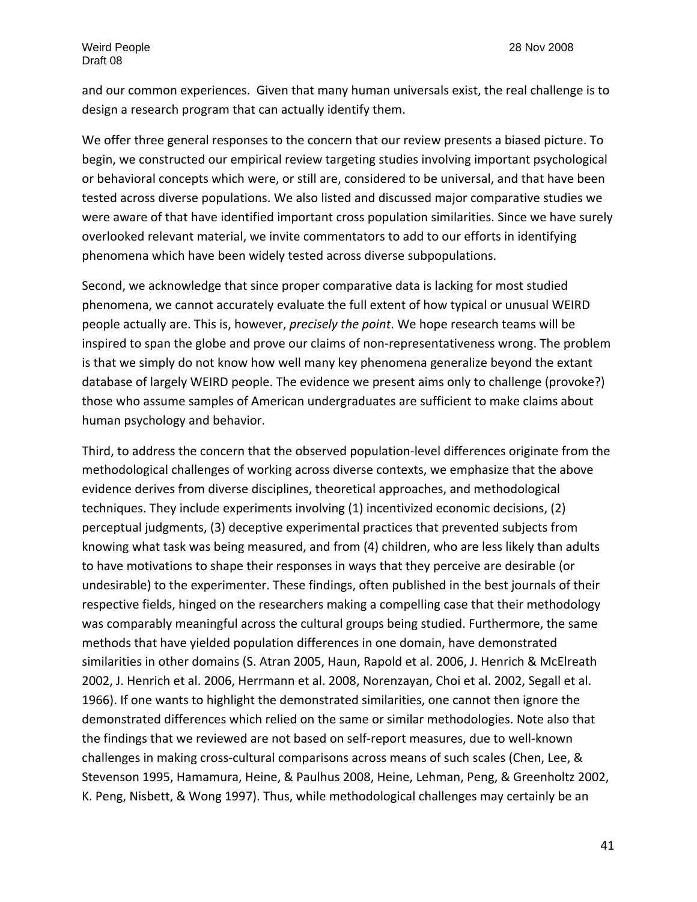and our common experiences. Given that many human universals exist, the real challenge is to design a research program that can actually identify them.

We offer three general responses to the concern that our review presents a biased picture. To begin, we constructed our empirical review targeting studies involving important psychological or behavioral concepts which were, or still are, considered to be universal, and that have been tested across diverse populations. We also listed and discussed major comparative studies we were aware of that have identified important cross population similarities. Since we have surely overlooked relevant material, we invite commentators to add to our efforts in identifying phenomena which have been widely tested across diverse subpopulations.

Second, we acknowledge that since proper comparative data is lacking for most studied phenomena, we cannot accurately evaluate the full extent of how typical or unusual WEIRD people actually are. This is, however, *precisely the point*. We hope research teams will be inspired to span the globe and prove our claims of non‐representativeness wrong. The problem is that we simply do not know how well many key phenomena generalize beyond the extant database of largely WEIRD people. The evidence we present aims only to challenge (provoke?) those who assume samples of American undergraduates are sufficient to make claims about human psychology and behavior.

Third, to address the concern that the observed population‐level differences originate from the methodological challenges of working across diverse contexts, we emphasize that the above evidence derives from diverse disciplines, theoretical approaches, and methodological techniques. They include experiments involving (1) incentivized economic decisions, (2) perceptual judgments, (3) deceptive experimental practices that prevented subjects from knowing what task was being measured, and from (4) children, who are less likely than adults to have motivations to shape their responses in ways that they perceive are desirable (or undesirable) to the experimenter. These findings, often published in the best journals of their respective fields, hinged on the researchers making a compelling case that their methodology was comparably meaningful across the cultural groups being studied. Furthermore, the same methods that have yielded population differences in one domain, have demonstrated similarities in other domains (S. Atran 2005, Haun, Rapold et al. 2006, J. Henrich & McElreath 2002, J. Henrich et al. 2006, Herrmann et al. 2008, Norenzayan, Choi et al. 2002, Segall et al. 1966). If one wants to highlight the demonstrated similarities, one cannot then ignore the demonstrated differences which relied on the same or similar methodologies. Note also that the findings that we reviewed are not based on self‐report measures, due to well‐known challenges in making cross-cultural comparisons across means of such scales (Chen, Lee, & Stevenson 1995, Hamamura, Heine, & Paulhus 2008, Heine, Lehman, Peng, & Greenholtz 2002, K. Peng, Nisbett, & Wong 1997). Thus, while methodological challenges may certainly be an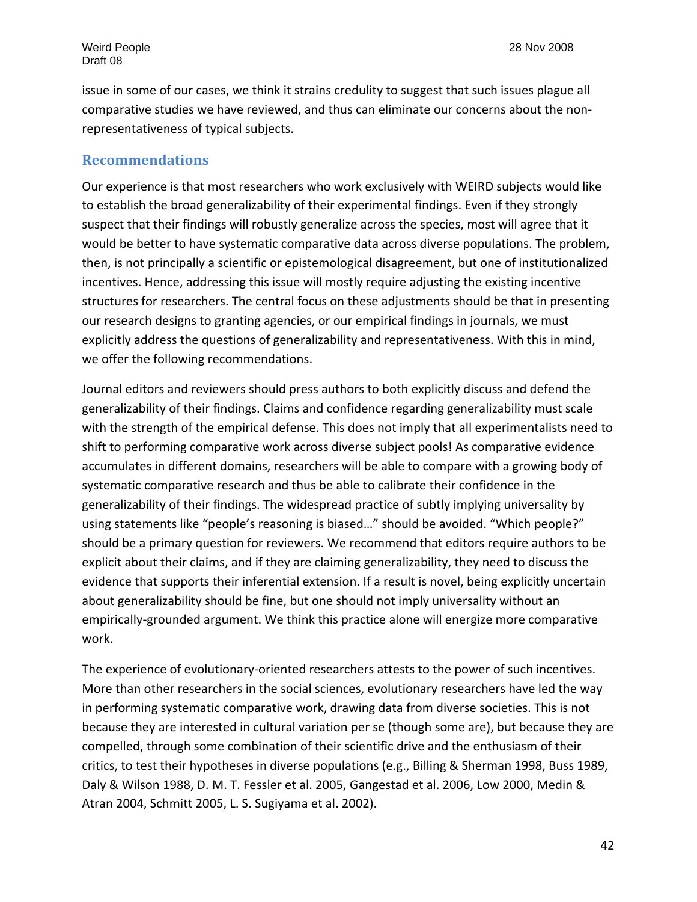issue in some of our cases, we think it strains credulity to suggest that such issues plague all comparative studies we have reviewed, and thus can eliminate our concerns about the non‐ representativeness of typical subjects.

#### **Recommendations**

Our experience is that most researchers who work exclusively with WEIRD subjects would like to establish the broad generalizability of their experimental findings. Even if they strongly suspect that their findings will robustly generalize across the species, most will agree that it would be better to have systematic comparative data across diverse populations. The problem, then, is not principally a scientific or epistemological disagreement, but one of institutionalized incentives. Hence, addressing this issue will mostly require adjusting the existing incentive structures for researchers. The central focus on these adjustments should be that in presenting our research designs to granting agencies, or our empirical findings in journals, we must explicitly address the questions of generalizability and representativeness. With this in mind, we offer the following recommendations.

Journal editors and reviewers should press authors to both explicitly discuss and defend the generalizability of their findings. Claims and confidence regarding generalizability must scale with the strength of the empirical defense. This does not imply that all experimentalists need to shift to performing comparative work across diverse subject pools! As comparative evidence accumulates in different domains, researchers will be able to compare with a growing body of systematic comparative research and thus be able to calibrate their confidence in the generalizability of their findings. The widespread practice of subtly implying universality by using statements like "people's reasoning is biased…" should be avoided. "Which people?" should be a primary question for reviewers. We recommend that editors require authors to be explicit about their claims, and if they are claiming generalizability, they need to discuss the evidence that supports their inferential extension. If a result is novel, being explicitly uncertain about generalizability should be fine, but one should not imply universality without an empirically-grounded argument. We think this practice alone will energize more comparative work.

The experience of evolutionary‐oriented researchers attests to the power of such incentives. More than other researchers in the social sciences, evolutionary researchers have led the way in performing systematic comparative work, drawing data from diverse societies. This is not because they are interested in cultural variation per se (though some are), but because they are compelled, through some combination of their scientific drive and the enthusiasm of their critics, to test their hypotheses in diverse populations (e.g., Billing & Sherman 1998, Buss 1989, Daly & Wilson 1988, D. M. T. Fessler et al. 2005, Gangestad et al. 2006, Low 2000, Medin & Atran 2004, Schmitt 2005, L. S. Sugiyama et al. 2002).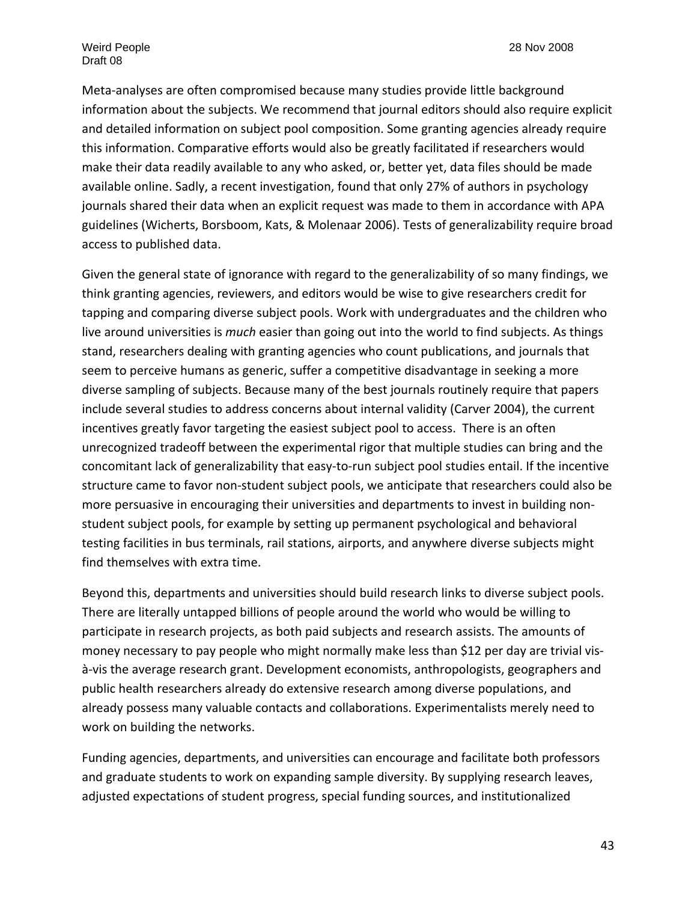Meta‐analyses are often compromised because many studies provide little background information about the subjects. We recommend that journal editors should also require explicit and detailed information on subject pool composition. Some granting agencies already require this information. Comparative efforts would also be greatly facilitated if researchers would make their data readily available to any who asked, or, better yet, data files should be made available online. Sadly, a recent investigation, found that only 27% of authors in psychology journals shared their data when an explicit request was made to them in accordance with APA guidelines (Wicherts, Borsboom, Kats, & Molenaar 2006). Tests of generalizability require broad access to published data.

Given the general state of ignorance with regard to the generalizability of so many findings, we think granting agencies, reviewers, and editors would be wise to give researchers credit for tapping and comparing diverse subject pools. Work with undergraduates and the children who live around universities is *much* easier than going out into the world to find subjects. As things stand, researchers dealing with granting agencies who count publications, and journals that seem to perceive humans as generic, suffer a competitive disadvantage in seeking a more diverse sampling of subjects. Because many of the best journals routinely require that papers include several studies to address concerns about internal validity (Carver 2004), the current incentives greatly favor targeting the easiest subject pool to access. There is an often unrecognized tradeoff between the experimental rigor that multiple studies can bring and the concomitant lack of generalizability that easy‐to‐run subject pool studies entail. If the incentive structure came to favor non‐student subject pools, we anticipate that researchers could also be more persuasive in encouraging their universities and departments to invest in building non‐ student subject pools, for example by setting up permanent psychological and behavioral testing facilities in bus terminals, rail stations, airports, and anywhere diverse subjects might find themselves with extra time.

Beyond this, departments and universities should build research links to diverse subject pools. There are literally untapped billions of people around the world who would be willing to participate in research projects, as both paid subjects and research assists. The amounts of money necessary to pay people who might normally make less than \$12 per day are trivial visà‐vis the average research grant. Development economists, anthropologists, geographers and public health researchers already do extensive research among diverse populations, and already possess many valuable contacts and collaborations. Experimentalists merely need to work on building the networks.

Funding agencies, departments, and universities can encourage and facilitate both professors and graduate students to work on expanding sample diversity. By supplying research leaves, adjusted expectations of student progress, special funding sources, and institutionalized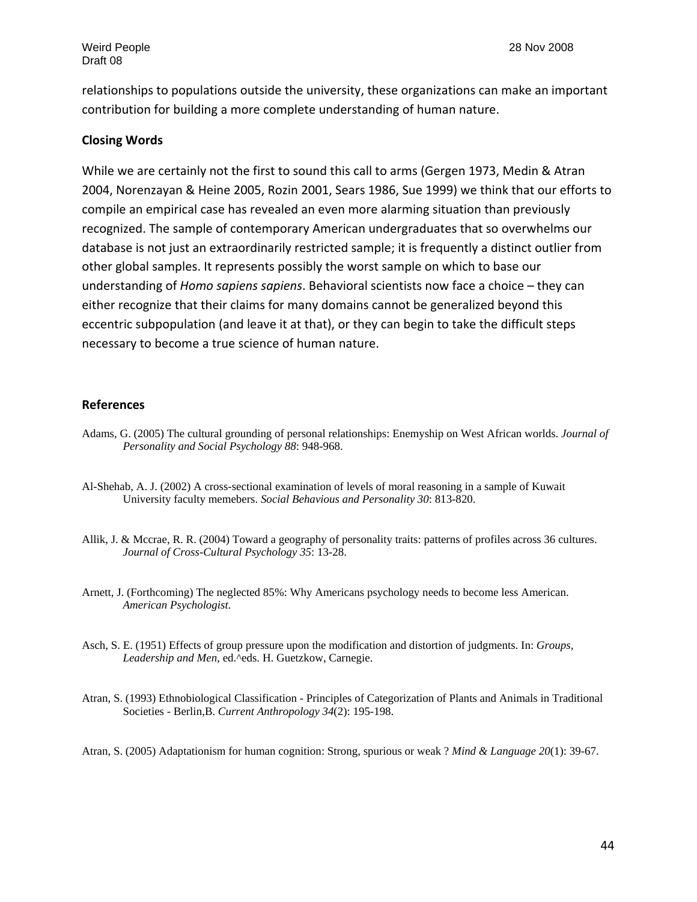relationships to populations outside the university, these organizations can make an important contribution for building a more complete understanding of human nature.

#### **Closing Words**

While we are certainly not the first to sound this call to arms (Gergen 1973, Medin & Atran 2004, Norenzayan & Heine 2005, Rozin 2001, Sears 1986, Sue 1999) we think that our efforts to compile an empirical case has revealed an even more alarming situation than previously recognized. The sample of contemporary American undergraduates that so overwhelms our database is not just an extraordinarily restricted sample; it is frequently a distinct outlier from other global samples. It represents possibly the worst sample on which to base our understanding of *Homo sapiens sapiens*. Behavioral scientists now face a choice – they can either recognize that their claims for many domains cannot be generalized beyond this eccentric subpopulation (and leave it at that), or they can begin to take the difficult steps necessary to become a true science of human nature.

#### **References**

- Adams, G. (2005) The cultural grounding of personal relationships: Enemyship on West African worlds. *Journal of Personality and Social Psychology 88*: 948-968.
- Al-Shehab, A. J. (2002) A cross-sectional examination of levels of moral reasoning in a sample of Kuwait University faculty memebers. *Social Behavious and Personality 30*: 813-820.
- Allik, J. & Mccrae, R. R. (2004) Toward a geography of personality traits: patterns of profiles across 36 cultures. *Journal of Cross-Cultural Psychology 35*: 13-28.
- Arnett, J. (Forthcoming) The neglected 85%: Why Americans psychology needs to become less American. *American Psychologist*.
- Asch, S. E. (1951) Effects of group pressure upon the modification and distortion of judgments. In: *Groups, Leadership and Men*, ed.^eds. H. Guetzkow, Carnegie.
- Atran, S. (1993) Ethnobiological Classification Principles of Categorization of Plants and Animals in Traditional Societies - Berlin,B. *Current Anthropology 34*(2): 195-198.

Atran, S. (2005) Adaptationism for human cognition: Strong, spurious or weak ? *Mind & Language 20*(1): 39-67.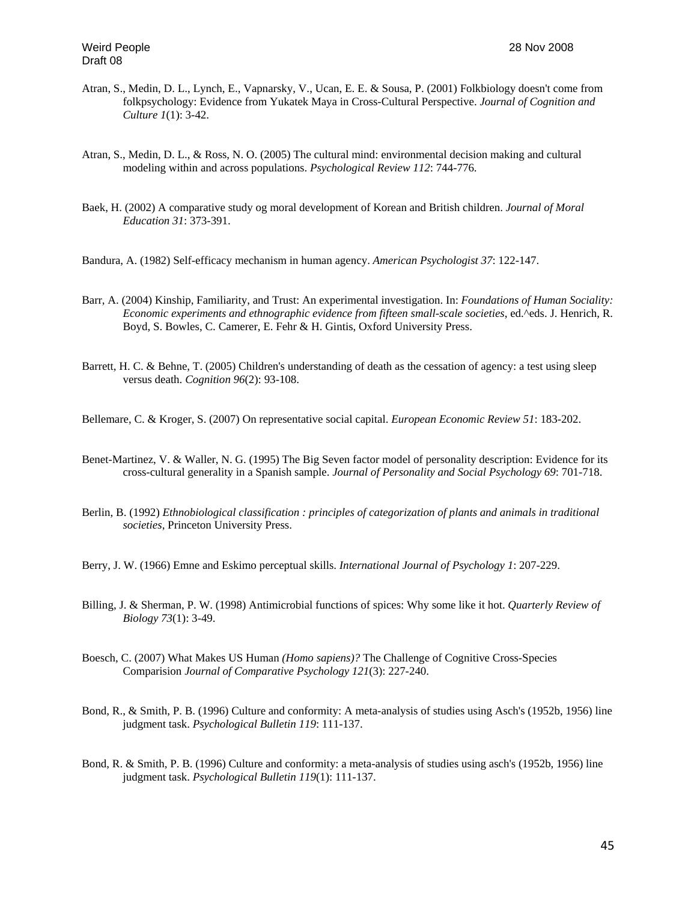- Atran, S., Medin, D. L., Lynch, E., Vapnarsky, V., Ucan, E. E. & Sousa, P. (2001) Folkbiology doesn't come from folkpsychology: Evidence from Yukatek Maya in Cross-Cultural Perspective. *Journal of Cognition and Culture 1*(1): 3-42.
- Atran, S., Medin, D. L., & Ross, N. O. (2005) The cultural mind: environmental decision making and cultural modeling within and across populations. *Psychological Review 112*: 744-776.
- Baek, H. (2002) A comparative study og moral development of Korean and British children. *Journal of Moral Education 31*: 373-391.
- Bandura, A. (1982) Self-efficacy mechanism in human agency. *American Psychologist 37*: 122-147.
- Barr, A. (2004) Kinship, Familiarity, and Trust: An experimental investigation. In: *Foundations of Human Sociality: Economic experiments and ethnographic evidence from fifteen small-scale societies*, ed.^eds. J. Henrich, R. Boyd, S. Bowles, C. Camerer, E. Fehr & H. Gintis, Oxford University Press.
- Barrett, H. C. & Behne, T. (2005) Children's understanding of death as the cessation of agency: a test using sleep versus death. *Cognition 96*(2): 93-108.

Bellemare, C. & Kroger, S. (2007) On representative social capital. *European Economic Review 51*: 183-202.

- Benet-Martinez, V. & Waller, N. G. (1995) The Big Seven factor model of personality description: Evidence for its cross-cultural generality in a Spanish sample. *Journal of Personality and Social Psychology 69*: 701-718.
- Berlin, B. (1992) *Ethnobiological classification : principles of categorization of plants and animals in traditional societies*, Princeton University Press.

Berry, J. W. (1966) Emne and Eskimo perceptual skills. *International Journal of Psychology 1*: 207-229.

- Billing, J. & Sherman, P. W. (1998) Antimicrobial functions of spices: Why some like it hot. *Quarterly Review of Biology 73*(1): 3-49.
- Boesch, C. (2007) What Makes US Human *(Homo sapiens)?* The Challenge of Cognitive Cross-Species Comparision *Journal of Comparative Psychology 121*(3): 227-240.
- Bond, R., & Smith, P. B. (1996) Culture and conformity: A meta-analysis of studies using Asch's (1952b, 1956) line judgment task. *Psychological Bulletin 119*: 111-137.
- Bond, R. & Smith, P. B. (1996) Culture and conformity: a meta-analysis of studies using asch's (1952b, 1956) line judgment task. *Psychological Bulletin 119*(1): 111-137.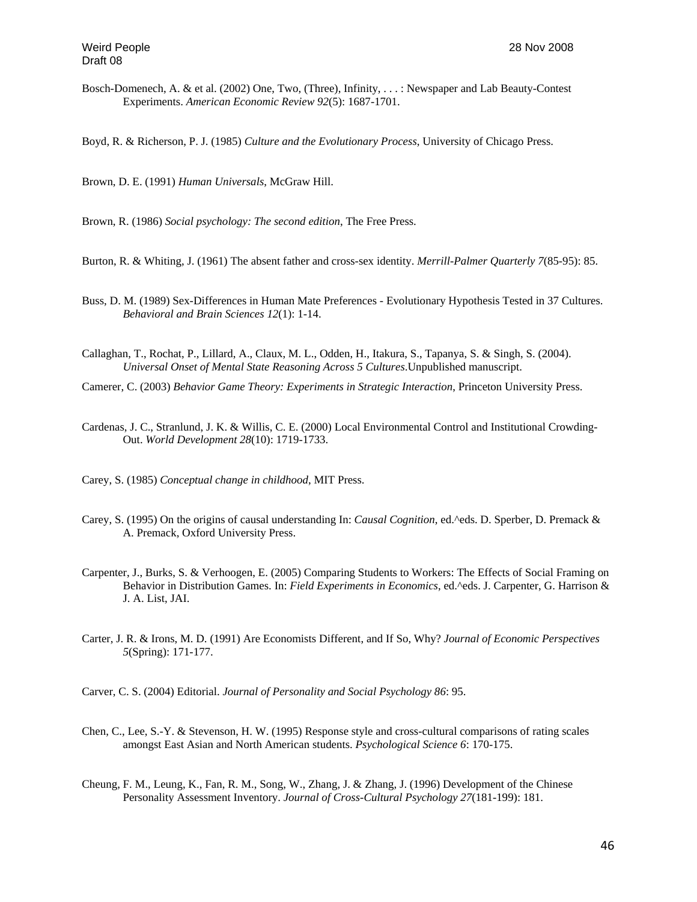Bosch-Domenech, A. & et al. (2002) One, Two, (Three), Infinity, . . . : Newspaper and Lab Beauty-Contest Experiments. *American Economic Review 92*(5): 1687-1701.

Boyd, R. & Richerson, P. J. (1985) *Culture and the Evolutionary Process*, University of Chicago Press.

Brown, D. E. (1991) *Human Universals*, McGraw Hill.

Brown, R. (1986) *Social psychology: The second edition*, The Free Press.

Burton, R. & Whiting, J. (1961) The absent father and cross-sex identity. *Merrill-Palmer Quarterly 7*(85-95): 85.

- Buss, D. M. (1989) Sex-Differences in Human Mate Preferences Evolutionary Hypothesis Tested in 37 Cultures. *Behavioral and Brain Sciences 12*(1): 1-14.
- Callaghan, T., Rochat, P., Lillard, A., Claux, M. L., Odden, H., Itakura, S., Tapanya, S. & Singh, S. (2004). *Universal Onset of Mental State Reasoning Across 5 Cultures*.Unpublished manuscript.
- Camerer, C. (2003) *Behavior Game Theory: Experiments in Strategic Interaction*, Princeton University Press.
- Cardenas, J. C., Stranlund, J. K. & Willis, C. E. (2000) Local Environmental Control and Institutional Crowding-Out. *World Development 28*(10): 1719-1733.
- Carey, S. (1985) *Conceptual change in childhood*, MIT Press.
- Carey, S. (1995) On the origins of causal understanding In: *Causal Cognition*, ed.^eds. D. Sperber, D. Premack & A. Premack, Oxford University Press.
- Carpenter, J., Burks, S. & Verhoogen, E. (2005) Comparing Students to Workers: The Effects of Social Framing on Behavior in Distribution Games. In: *Field Experiments in Economics*, ed.^eds. J. Carpenter, G. Harrison & J. A. List, JAI.
- Carter, J. R. & Irons, M. D. (1991) Are Economists Different, and If So, Why? *Journal of Economic Perspectives 5*(Spring): 171-177.
- Carver, C. S. (2004) Editorial. *Journal of Personality and Social Psychology 86*: 95.
- Chen, C., Lee, S.-Y. & Stevenson, H. W. (1995) Response style and cross-cultural comparisons of rating scales amongst East Asian and North American students. *Psychological Science 6*: 170-175.
- Cheung, F. M., Leung, K., Fan, R. M., Song, W., Zhang, J. & Zhang, J. (1996) Development of the Chinese Personality Assessment Inventory. *Journal of Cross-Cultural Psychology 27*(181-199): 181.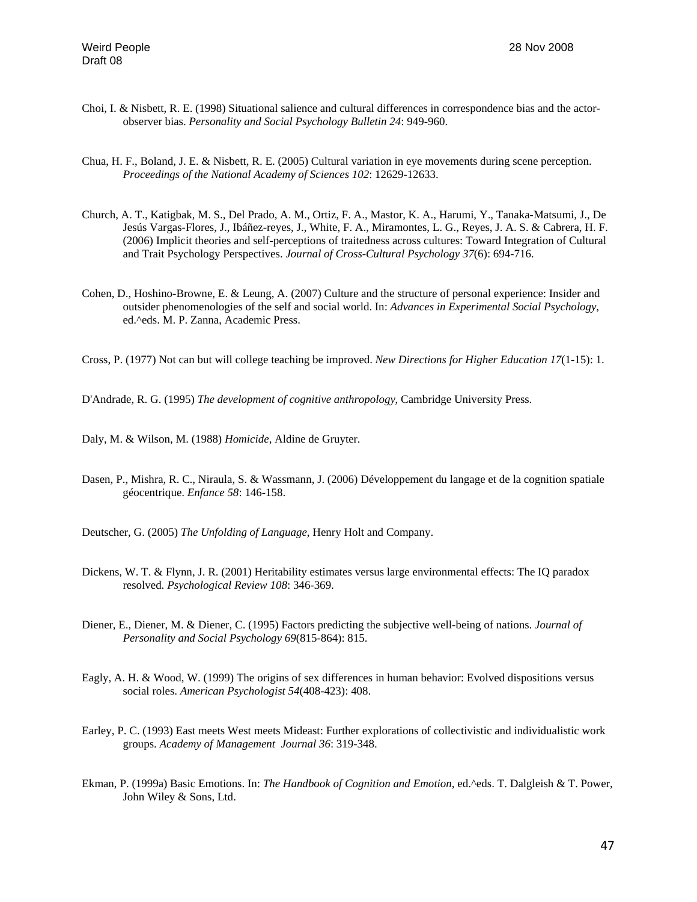- Choi, I. & Nisbett, R. E. (1998) Situational salience and cultural differences in correspondence bias and the actorobserver bias. *Personality and Social Psychology Bulletin 24*: 949-960.
- Chua, H. F., Boland, J. E. & Nisbett, R. E. (2005) Cultural variation in eye movements during scene perception. *Proceedings of the National Academy of Sciences 102*: 12629-12633.
- Church, A. T., Katigbak, M. S., Del Prado, A. M., Ortiz, F. A., Mastor, K. A., Harumi, Y., Tanaka-Matsumi, J., De Jesús Vargas-Flores, J., Ibáñez-reyes, J., White, F. A., Miramontes, L. G., Reyes, J. A. S. & Cabrera, H. F. (2006) Implicit theories and self-perceptions of traitedness across cultures: Toward Integration of Cultural and Trait Psychology Perspectives. *Journal of Cross-Cultural Psychology 37*(6): 694-716.
- Cohen, D., Hoshino-Browne, E. & Leung, A. (2007) Culture and the structure of personal experience: Insider and outsider phenomenologies of the self and social world. In: *Advances in Experimental Social Psychology*, ed.^eds. M. P. Zanna, Academic Press.
- Cross, P. (1977) Not can but will college teaching be improved. *New Directions for Higher Education 17*(1-15): 1.
- D'Andrade, R. G. (1995) *The development of cognitive anthropology*, Cambridge University Press.
- Daly, M. & Wilson, M. (1988) *Homicide*, Aldine de Gruyter.
- Dasen, P., Mishra, R. C., Niraula, S. & Wassmann, J. (2006) Développement du langage et de la cognition spatiale géocentrique. *Enfance 58*: 146-158.
- Deutscher, G. (2005) *The Unfolding of Language*, Henry Holt and Company.
- Dickens, W. T. & Flynn, J. R. (2001) Heritability estimates versus large environmental effects: The IQ paradox resolved. *Psychological Review 108*: 346-369.
- Diener, E., Diener, M. & Diener, C. (1995) Factors predicting the subjective well-being of nations. *Journal of Personality and Social Psychology 69*(815-864): 815.
- Eagly, A. H. & Wood, W. (1999) The origins of sex differences in human behavior: Evolved dispositions versus social roles. *American Psychologist 54*(408-423): 408.
- Earley, P. C. (1993) East meets West meets Mideast: Further explorations of collectivistic and individualistic work groups. *Academy of Management Journal 36*: 319-348.
- Ekman, P. (1999a) Basic Emotions. In: *The Handbook of Cognition and Emotion*, ed.^eds. T. Dalgleish & T. Power, John Wiley & Sons, Ltd.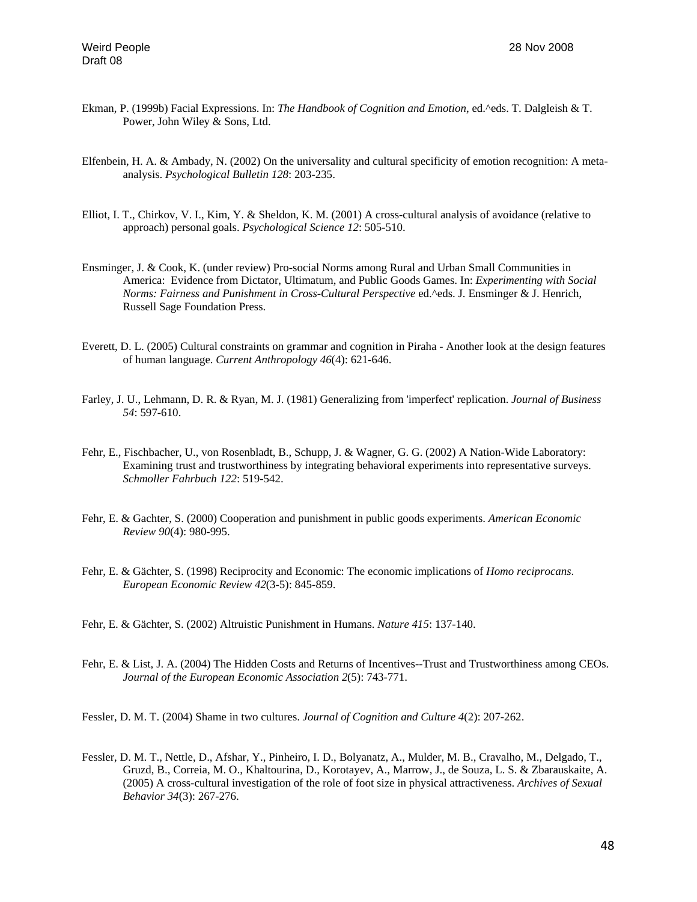- Ekman, P. (1999b) Facial Expressions. In: *The Handbook of Cognition and Emotion*, ed.^eds. T. Dalgleish & T. Power, John Wiley & Sons, Ltd.
- Elfenbein, H. A. & Ambady, N. (2002) On the universality and cultural specificity of emotion recognition: A metaanalysis. *Psychological Bulletin 128*: 203-235.
- Elliot, I. T., Chirkov, V. I., Kim, Y. & Sheldon, K. M. (2001) A cross-cultural analysis of avoidance (relative to approach) personal goals. *Psychological Science 12*: 505-510.
- Ensminger, J. & Cook, K. (under review) Pro-social Norms among Rural and Urban Small Communities in America: Evidence from Dictator, Ultimatum, and Public Goods Games. In: *Experimenting with Social Norms: Fairness and Punishment in Cross-Cultural Perspective* ed.^eds. J. Ensminger & J. Henrich, Russell Sage Foundation Press.
- Everett, D. L. (2005) Cultural constraints on grammar and cognition in Piraha Another look at the design features of human language. *Current Anthropology 46*(4): 621-646.
- Farley, J. U., Lehmann, D. R. & Ryan, M. J. (1981) Generalizing from 'imperfect' replication. *Journal of Business 54*: 597-610.
- Fehr, E., Fischbacher, U., von Rosenbladt, B., Schupp, J. & Wagner, G. G. (2002) A Nation-Wide Laboratory: Examining trust and trustworthiness by integrating behavioral experiments into representative surveys. *Schmoller Fahrbuch 122*: 519-542.
- Fehr, E. & Gachter, S. (2000) Cooperation and punishment in public goods experiments. *American Economic Review 90*(4): 980-995.
- Fehr, E. & Gächter, S. (1998) Reciprocity and Economic: The economic implications of *Homo reciprocans*. *European Economic Review 42*(3-5): 845-859.
- Fehr, E. & Gächter, S. (2002) Altruistic Punishment in Humans. *Nature 415*: 137-140.
- Fehr, E. & List, J. A. (2004) The Hidden Costs and Returns of Incentives--Trust and Trustworthiness among CEOs. *Journal of the European Economic Association 2*(5): 743-771.

Fessler, D. M. T. (2004) Shame in two cultures. *Journal of Cognition and Culture 4*(2): 207-262.

Fessler, D. M. T., Nettle, D., Afshar, Y., Pinheiro, I. D., Bolyanatz, A., Mulder, M. B., Cravalho, M., Delgado, T., Gruzd, B., Correia, M. O., Khaltourina, D., Korotayev, A., Marrow, J., de Souza, L. S. & Zbarauskaite, A. (2005) A cross-cultural investigation of the role of foot size in physical attractiveness. *Archives of Sexual Behavior 34*(3): 267-276.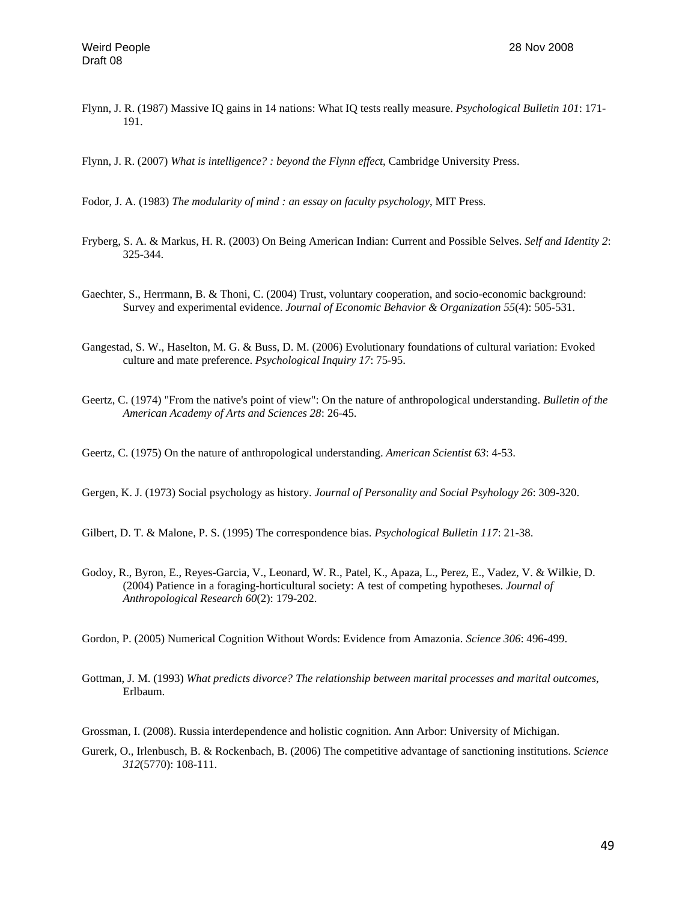Flynn, J. R. (1987) Massive IQ gains in 14 nations: What IQ tests really measure. *Psychological Bulletin 101*: 171- 191.

Flynn, J. R. (2007) *What is intelligence? : beyond the Flynn effect*, Cambridge University Press.

- Fodor, J. A. (1983) *The modularity of mind : an essay on faculty psychology*, MIT Press.
- Fryberg, S. A. & Markus, H. R. (2003) On Being American Indian: Current and Possible Selves. *Self and Identity 2*: 325-344.
- Gaechter, S., Herrmann, B. & Thoni, C. (2004) Trust, voluntary cooperation, and socio-economic background: Survey and experimental evidence. *Journal of Economic Behavior & Organization 55*(4): 505-531.
- Gangestad, S. W., Haselton, M. G. & Buss, D. M. (2006) Evolutionary foundations of cultural variation: Evoked culture and mate preference. *Psychological Inquiry 17*: 75-95.
- Geertz, C. (1974) "From the native's point of view": On the nature of anthropological understanding. *Bulletin of the American Academy of Arts and Sciences 28*: 26-45.

Geertz, C. (1975) On the nature of anthropological understanding. *American Scientist 63*: 4-53.

Gergen, K. J. (1973) Social psychology as history. *Journal of Personality and Social Psyhology 26*: 309-320.

Gilbert, D. T. & Malone, P. S. (1995) The correspondence bias. *Psychological Bulletin 117*: 21-38.

Godoy, R., Byron, E., Reyes-Garcia, V., Leonard, W. R., Patel, K., Apaza, L., Perez, E., Vadez, V. & Wilkie, D. (2004) Patience in a foraging-horticultural society: A test of competing hypotheses. *Journal of Anthropological Research 60*(2): 179-202.

Gordon, P. (2005) Numerical Cognition Without Words: Evidence from Amazonia. *Science 306*: 496-499.

- Gottman, J. M. (1993) *What predicts divorce? The relationship between marital processes and marital outcomes*, Erlbaum.
- Grossman, I. (2008). Russia interdependence and holistic cognition. Ann Arbor: University of Michigan.
- Gurerk, O., Irlenbusch, B. & Rockenbach, B. (2006) The competitive advantage of sanctioning institutions. *Science 312*(5770): 108-111.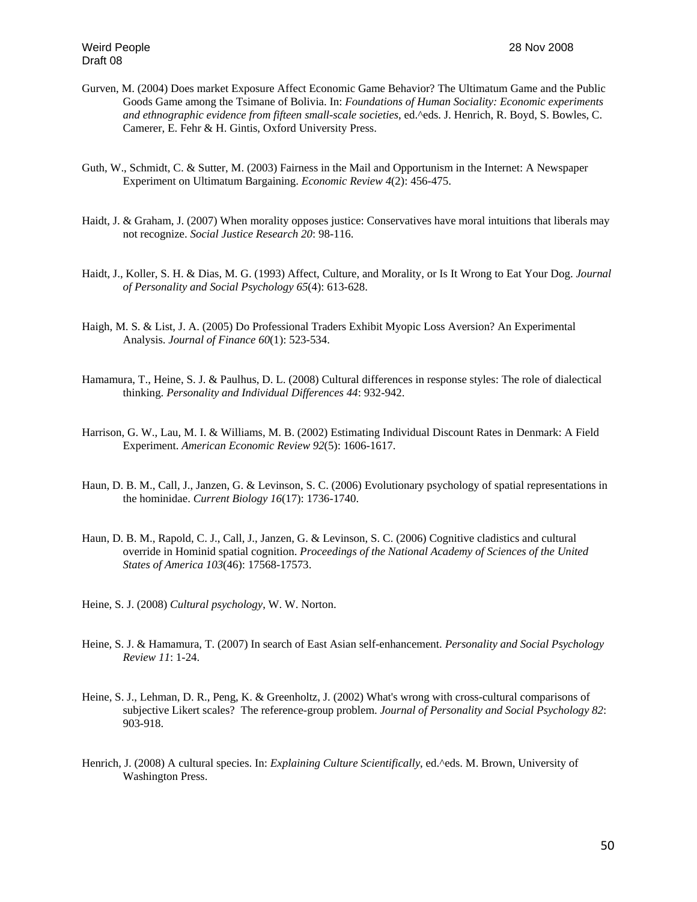- Gurven, M. (2004) Does market Exposure Affect Economic Game Behavior? The Ultimatum Game and the Public Goods Game among the Tsimane of Bolivia. In: *Foundations of Human Sociality: Economic experiments and ethnographic evidence from fifteen small-scale societies*, ed.^eds. J. Henrich, R. Boyd, S. Bowles, C. Camerer, E. Fehr & H. Gintis, Oxford University Press.
- Guth, W., Schmidt, C. & Sutter, M. (2003) Fairness in the Mail and Opportunism in the Internet: A Newspaper Experiment on Ultimatum Bargaining. *Economic Review 4*(2): 456-475.
- Haidt, J. & Graham, J. (2007) When morality opposes justice: Conservatives have moral intuitions that liberals may not recognize. *Social Justice Research 20*: 98-116.
- Haidt, J., Koller, S. H. & Dias, M. G. (1993) Affect, Culture, and Morality, or Is It Wrong to Eat Your Dog. *Journal of Personality and Social Psychology 65*(4): 613-628.
- Haigh, M. S. & List, J. A. (2005) Do Professional Traders Exhibit Myopic Loss Aversion? An Experimental Analysis. *Journal of Finance 60*(1): 523-534.
- Hamamura, T., Heine, S. J. & Paulhus, D. L. (2008) Cultural differences in response styles: The role of dialectical thinking. *Personality and Individual Differences 44*: 932-942.
- Harrison, G. W., Lau, M. I. & Williams, M. B. (2002) Estimating Individual Discount Rates in Denmark: A Field Experiment. *American Economic Review 92*(5): 1606-1617.
- Haun, D. B. M., Call, J., Janzen, G. & Levinson, S. C. (2006) Evolutionary psychology of spatial representations in the hominidae. *Current Biology 16*(17): 1736-1740.
- Haun, D. B. M., Rapold, C. J., Call, J., Janzen, G. & Levinson, S. C. (2006) Cognitive cladistics and cultural override in Hominid spatial cognition. *Proceedings of the National Academy of Sciences of the United States of America 103*(46): 17568-17573.
- Heine, S. J. (2008) *Cultural psychology*, W. W. Norton.
- Heine, S. J. & Hamamura, T. (2007) In search of East Asian self-enhancement. *Personality and Social Psychology Review 11*: 1-24.
- Heine, S. J., Lehman, D. R., Peng, K. & Greenholtz, J. (2002) What's wrong with cross-cultural comparisons of subjective Likert scales? The reference-group problem. *Journal of Personality and Social Psychology 82*: 903-918.
- Henrich, J. (2008) A cultural species. In: *Explaining Culture Scientifically*, ed.^eds. M. Brown, University of Washington Press.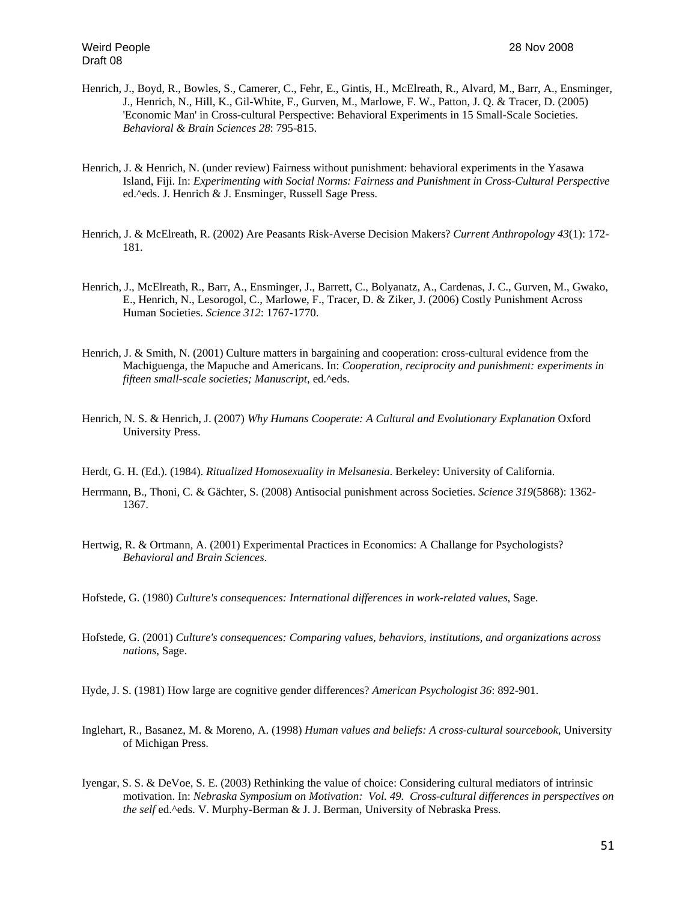- Henrich, J., Boyd, R., Bowles, S., Camerer, C., Fehr, E., Gintis, H., McElreath, R., Alvard, M., Barr, A., Ensminger, J., Henrich, N., Hill, K., Gil-White, F., Gurven, M., Marlowe, F. W., Patton, J. Q. & Tracer, D. (2005) 'Economic Man' in Cross-cultural Perspective: Behavioral Experiments in 15 Small-Scale Societies. *Behavioral & Brain Sciences 28*: 795-815.
- Henrich, J. & Henrich, N. (under review) Fairness without punishment: behavioral experiments in the Yasawa Island, Fiji. In: *Experimenting with Social Norms: Fairness and Punishment in Cross-Cultural Perspective*  ed.^eds. J. Henrich & J. Ensminger, Russell Sage Press.
- Henrich, J. & McElreath, R. (2002) Are Peasants Risk-Averse Decision Makers? *Current Anthropology 43*(1): 172- 181.
- Henrich, J., McElreath, R., Barr, A., Ensminger, J., Barrett, C., Bolyanatz, A., Cardenas, J. C., Gurven, M., Gwako, E., Henrich, N., Lesorogol, C., Marlowe, F., Tracer, D. & Ziker, J. (2006) Costly Punishment Across Human Societies. *Science 312*: 1767-1770.
- Henrich, J. & Smith, N. (2001) Culture matters in bargaining and cooperation: cross-cultural evidence from the Machiguenga, the Mapuche and Americans. In: *Cooperation, reciprocity and punishment: experiments in fifteen small-scale societies; Manuscript*, ed.^eds.
- Henrich, N. S. & Henrich, J. (2007) *Why Humans Cooperate: A Cultural and Evolutionary Explanation* Oxford University Press.
- Herdt, G. H. (Ed.). (1984). *Ritualized Homosexuality in Melsanesia*. Berkeley: University of California.
- Herrmann, B., Thoni, C. & Gächter, S. (2008) Antisocial punishment across Societies. *Science 319*(5868): 1362- 1367.
- Hertwig, R. & Ortmann, A. (2001) Experimental Practices in Economics: A Challange for Psychologists? *Behavioral and Brain Sciences*.
- Hofstede, G. (1980) *Culture's consequences: International differences in work-related values*, Sage.
- Hofstede, G. (2001) *Culture's consequences: Comparing values, behaviors, institutions, and organizations across nations*, Sage.
- Hyde, J. S. (1981) How large are cognitive gender differences? *American Psychologist 36*: 892-901.
- Inglehart, R., Basanez, M. & Moreno, A. (1998) *Human values and beliefs: A cross-cultural sourcebook*, University of Michigan Press.
- Iyengar, S. S. & DeVoe, S. E. (2003) Rethinking the value of choice: Considering cultural mediators of intrinsic motivation. In: *Nebraska Symposium on Motivation: Vol. 49. Cross-cultural differences in perspectives on the self* ed.^eds. V. Murphy-Berman & J. J. Berman, University of Nebraska Press.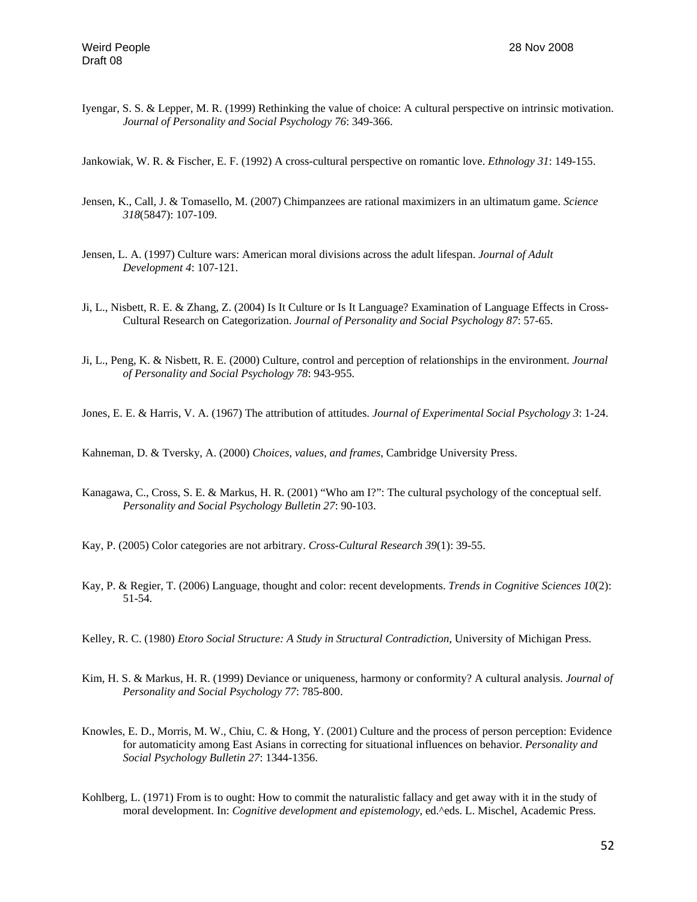Iyengar, S. S. & Lepper, M. R. (1999) Rethinking the value of choice: A cultural perspective on intrinsic motivation. *Journal of Personality and Social Psychology 76*: 349-366.

Jankowiak, W. R. & Fischer, E. F. (1992) A cross-cultural perspective on romantic love. *Ethnology 31*: 149-155.

- Jensen, K., Call, J. & Tomasello, M. (2007) Chimpanzees are rational maximizers in an ultimatum game. *Science 318*(5847): 107-109.
- Jensen, L. A. (1997) Culture wars: American moral divisions across the adult lifespan. *Journal of Adult Development 4*: 107-121.
- Ji, L., Nisbett, R. E. & Zhang, Z. (2004) Is It Culture or Is It Language? Examination of Language Effects in Cross-Cultural Research on Categorization. *Journal of Personality and Social Psychology 87*: 57-65.
- Ji, L., Peng, K. & Nisbett, R. E. (2000) Culture, control and perception of relationships in the environment. *Journal of Personality and Social Psychology 78*: 943-955.

Jones, E. E. & Harris, V. A. (1967) The attribution of attitudes. *Journal of Experimental Social Psychology 3*: 1-24.

Kahneman, D. & Tversky, A. (2000) *Choices, values, and frames*, Cambridge University Press.

Kanagawa, C., Cross, S. E. & Markus, H. R. (2001) "Who am I?": The cultural psychology of the conceptual self. *Personality and Social Psychology Bulletin 27*: 90-103.

Kay, P. (2005) Color categories are not arbitrary. *Cross-Cultural Research 39*(1): 39-55.

Kay, P. & Regier, T. (2006) Language, thought and color: recent developments. *Trends in Cognitive Sciences 10*(2): 51-54.

Kelley, R. C. (1980) *Etoro Social Structure: A Study in Structural Contradiction*, University of Michigan Press.

- Kim, H. S. & Markus, H. R. (1999) Deviance or uniqueness, harmony or conformity? A cultural analysis. *Journal of Personality and Social Psychology 77*: 785-800.
- Knowles, E. D., Morris, M. W., Chiu, C. & Hong, Y. (2001) Culture and the process of person perception: Evidence for automaticity among East Asians in correcting for situational influences on behavior. *Personality and Social Psychology Bulletin 27*: 1344-1356.
- Kohlberg, L. (1971) From is to ought: How to commit the naturalistic fallacy and get away with it in the study of moral development. In: *Cognitive development and epistemology*, ed.^eds. L. Mischel, Academic Press.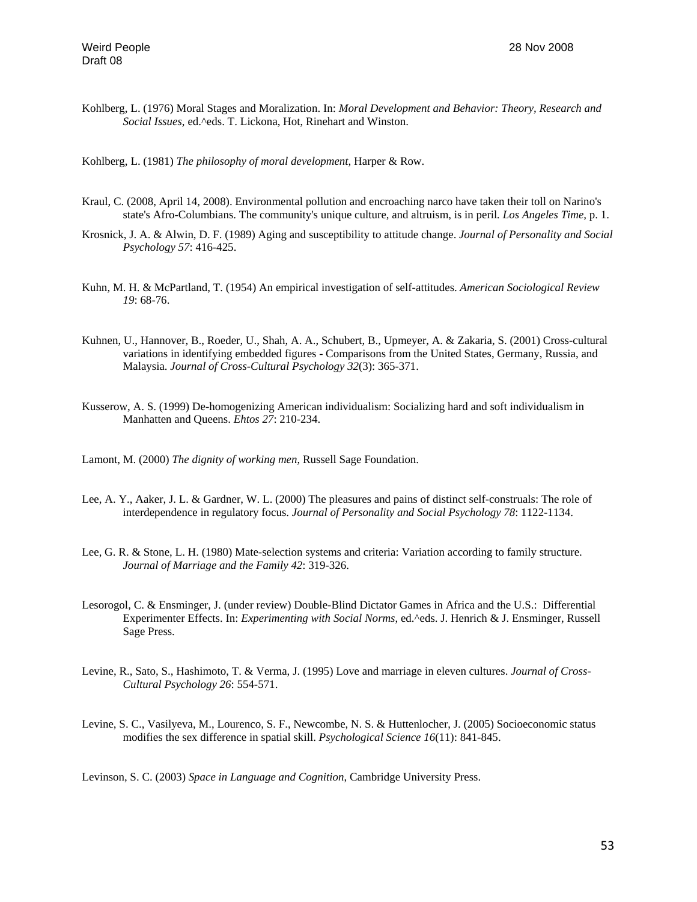Kohlberg, L. (1976) Moral Stages and Moralization. In: *Moral Development and Behavior: Theory, Research and Social Issues*, ed.^eds. T. Lickona, Hot, Rinehart and Winston.

Kohlberg, L. (1981) *The philosophy of moral development*, Harper & Row.

- Kraul, C. (2008, April 14, 2008). Environmental pollution and encroaching narco have taken their toll on Narino's state's Afro-Columbians. The community's unique culture, and altruism, is in peril*. Los Angeles Time,* p. 1.
- Krosnick, J. A. & Alwin, D. F. (1989) Aging and susceptibility to attitude change. *Journal of Personality and Social Psychology 57*: 416-425.
- Kuhn, M. H. & McPartland, T. (1954) An empirical investigation of self-attitudes. *American Sociological Review 19*: 68-76.
- Kuhnen, U., Hannover, B., Roeder, U., Shah, A. A., Schubert, B., Upmeyer, A. & Zakaria, S. (2001) Cross-cultural variations in identifying embedded figures - Comparisons from the United States, Germany, Russia, and Malaysia. *Journal of Cross-Cultural Psychology 32*(3): 365-371.
- Kusserow, A. S. (1999) De-homogenizing American individualism: Socializing hard and soft individualism in Manhatten and Queens. *Ehtos 27*: 210-234.

Lamont, M. (2000) *The dignity of working men*, Russell Sage Foundation.

- Lee, A. Y., Aaker, J. L. & Gardner, W. L. (2000) The pleasures and pains of distinct self-construals: The role of interdependence in regulatory focus. *Journal of Personality and Social Psychology 78*: 1122-1134.
- Lee, G. R. & Stone, L. H. (1980) Mate-selection systems and criteria: Variation according to family structure. *Journal of Marriage and the Family 42*: 319-326.
- Lesorogol, C. & Ensminger, J. (under review) Double-Blind Dictator Games in Africa and the U.S.: Differential Experimenter Effects. In: *Experimenting with Social Norms*, ed.^eds. J. Henrich & J. Ensminger, Russell Sage Press.
- Levine, R., Sato, S., Hashimoto, T. & Verma, J. (1995) Love and marriage in eleven cultures. *Journal of Cross-Cultural Psychology 26*: 554-571.
- Levine, S. C., Vasilyeva, M., Lourenco, S. F., Newcombe, N. S. & Huttenlocher, J. (2005) Socioeconomic status modifies the sex difference in spatial skill. *Psychological Science 16*(11): 841-845.

Levinson, S. C. (2003) *Space in Language and Cognition*, Cambridge University Press.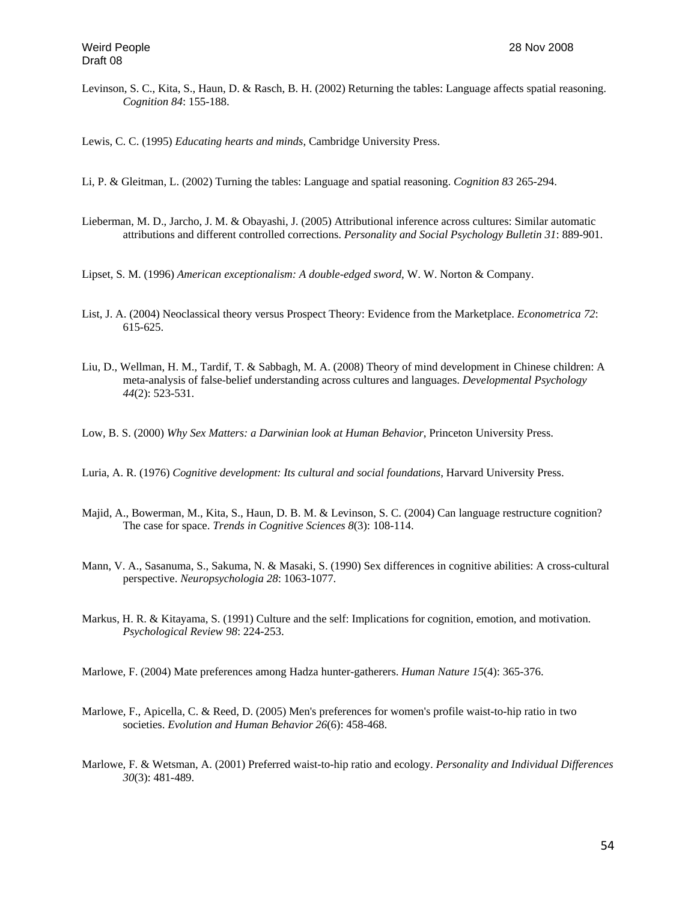Levinson, S. C., Kita, S., Haun, D. & Rasch, B. H. (2002) Returning the tables: Language affects spatial reasoning. *Cognition 84*: 155-188.

Lewis, C. C. (1995) *Educating hearts and minds*, Cambridge University Press.

- Li, P. & Gleitman, L. (2002) Turning the tables: Language and spatial reasoning. *Cognition 83* 265-294.
- Lieberman, M. D., Jarcho, J. M. & Obayashi, J. (2005) Attributional inference across cultures: Similar automatic attributions and different controlled corrections. *Personality and Social Psychology Bulletin 31*: 889-901.
- Lipset, S. M. (1996) *American exceptionalism: A double-edged sword*, W. W. Norton & Company.
- List, J. A. (2004) Neoclassical theory versus Prospect Theory: Evidence from the Marketplace. *Econometrica 72*: 615-625.
- Liu, D., Wellman, H. M., Tardif, T. & Sabbagh, M. A. (2008) Theory of mind development in Chinese children: A meta-analysis of false-belief understanding across cultures and languages. *Developmental Psychology 44*(2): 523-531.
- Low, B. S. (2000) *Why Sex Matters: a Darwinian look at Human Behavior*, Princeton University Press.
- Luria, A. R. (1976) *Cognitive development: Its cultural and social foundations*, Harvard University Press.
- Majid, A., Bowerman, M., Kita, S., Haun, D. B. M. & Levinson, S. C. (2004) Can language restructure cognition? The case for space. *Trends in Cognitive Sciences 8*(3): 108-114.
- Mann, V. A., Sasanuma, S., Sakuma, N. & Masaki, S. (1990) Sex differences in cognitive abilities: A cross-cultural perspective. *Neuropsychologia 28*: 1063-1077.
- Markus, H. R. & Kitayama, S. (1991) Culture and the self: Implications for cognition, emotion, and motivation. *Psychological Review 98*: 224-253.
- Marlowe, F. (2004) Mate preferences among Hadza hunter-gatherers. *Human Nature 15*(4): 365-376.
- Marlowe, F., Apicella, C. & Reed, D. (2005) Men's preferences for women's profile waist-to-hip ratio in two societies. *Evolution and Human Behavior 26*(6): 458-468.
- Marlowe, F. & Wetsman, A. (2001) Preferred waist-to-hip ratio and ecology. *Personality and Individual Differences 30*(3): 481-489.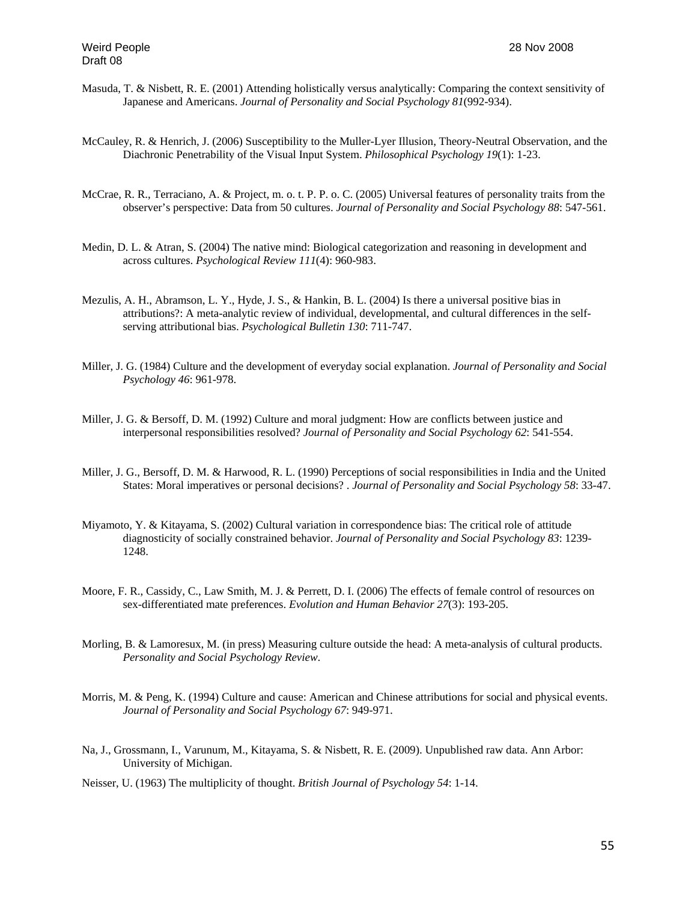- Masuda, T. & Nisbett, R. E. (2001) Attending holistically versus analytically: Comparing the context sensitivity of Japanese and Americans. *Journal of Personality and Social Psychology 81*(992-934).
- McCauley, R. & Henrich, J. (2006) Susceptibility to the Muller-Lyer Illusion, Theory-Neutral Observation, and the Diachronic Penetrability of the Visual Input System. *Philosophical Psychology 19*(1): 1-23.
- McCrae, R. R., Terraciano, A. & Project, m. o. t. P. P. o. C. (2005) Universal features of personality traits from the observer's perspective: Data from 50 cultures. *Journal of Personality and Social Psychology 88*: 547-561.
- Medin, D. L. & Atran, S. (2004) The native mind: Biological categorization and reasoning in development and across cultures. *Psychological Review 111*(4): 960-983.
- Mezulis, A. H., Abramson, L. Y., Hyde, J. S., & Hankin, B. L. (2004) Is there a universal positive bias in attributions?: A meta-analytic review of individual, developmental, and cultural differences in the selfserving attributional bias. *Psychological Bulletin 130*: 711-747.
- Miller, J. G. (1984) Culture and the development of everyday social explanation. *Journal of Personality and Social Psychology 46*: 961-978.
- Miller, J. G. & Bersoff, D. M. (1992) Culture and moral judgment: How are conflicts between justice and interpersonal responsibilities resolved? *Journal of Personality and Social Psychology 62*: 541-554.
- Miller, J. G., Bersoff, D. M. & Harwood, R. L. (1990) Perceptions of social responsibilities in India and the United States: Moral imperatives or personal decisions? . *Journal of Personality and Social Psychology 58*: 33-47.
- Miyamoto, Y. & Kitayama, S. (2002) Cultural variation in correspondence bias: The critical role of attitude diagnosticity of socially constrained behavior. *Journal of Personality and Social Psychology 83*: 1239- 1248.
- Moore, F. R., Cassidy, C., Law Smith, M. J. & Perrett, D. I. (2006) The effects of female control of resources on sex-differentiated mate preferences. *Evolution and Human Behavior 27*(3): 193-205.
- Morling, B. & Lamoresux, M. (in press) Measuring culture outside the head: A meta-analysis of cultural products. *Personality and Social Psychology Review*.
- Morris, M. & Peng, K. (1994) Culture and cause: American and Chinese attributions for social and physical events. *Journal of Personality and Social Psychology 67*: 949-971.
- Na, J., Grossmann, I., Varunum, M., Kitayama, S. & Nisbett, R. E. (2009). Unpublished raw data. Ann Arbor: University of Michigan.

Neisser, U. (1963) The multiplicity of thought. *British Journal of Psychology 54*: 1-14.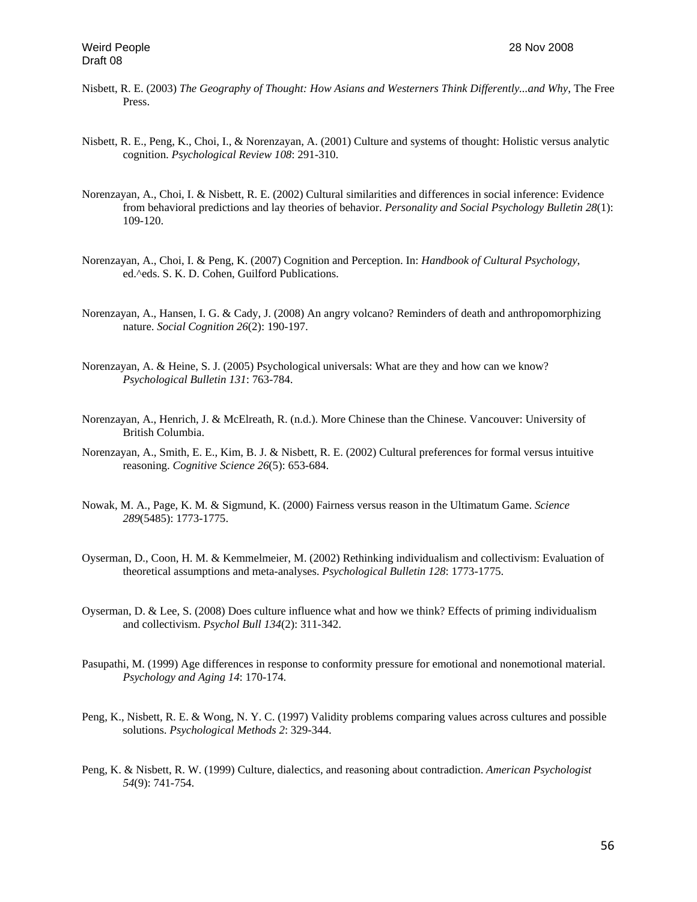- Nisbett, R. E. (2003) *The Geography of Thought: How Asians and Westerners Think Differently...and Why*, The Free Press.
- Nisbett, R. E., Peng, K., Choi, I., & Norenzayan, A. (2001) Culture and systems of thought: Holistic versus analytic cognition. *Psychological Review 108*: 291-310.
- Norenzayan, A., Choi, I. & Nisbett, R. E. (2002) Cultural similarities and differences in social inference: Evidence from behavioral predictions and lay theories of behavior. *Personality and Social Psychology Bulletin 28*(1): 109-120.
- Norenzayan, A., Choi, I. & Peng, K. (2007) Cognition and Perception. In: *Handbook of Cultural Psychology*, ed.^eds. S. K. D. Cohen, Guilford Publications.
- Norenzayan, A., Hansen, I. G. & Cady, J. (2008) An angry volcano? Reminders of death and anthropomorphizing nature. *Social Cognition 26*(2): 190-197.
- Norenzayan, A. & Heine, S. J. (2005) Psychological universals: What are they and how can we know? *Psychological Bulletin 131*: 763-784.
- Norenzayan, A., Henrich, J. & McElreath, R. (n.d.). More Chinese than the Chinese. Vancouver: University of British Columbia.
- Norenzayan, A., Smith, E. E., Kim, B. J. & Nisbett, R. E. (2002) Cultural preferences for formal versus intuitive reasoning. *Cognitive Science 26*(5): 653-684.
- Nowak, M. A., Page, K. M. & Sigmund, K. (2000) Fairness versus reason in the Ultimatum Game. *Science 289*(5485): 1773-1775.
- Oyserman, D., Coon, H. M. & Kemmelmeier, M. (2002) Rethinking individualism and collectivism: Evaluation of theoretical assumptions and meta-analyses. *Psychological Bulletin 128*: 1773-1775.
- Oyserman, D. & Lee, S. (2008) Does culture influence what and how we think? Effects of priming individualism and collectivism. *Psychol Bull 134*(2): 311-342.
- Pasupathi, M. (1999) Age differences in response to conformity pressure for emotional and nonemotional material. *Psychology and Aging 14*: 170-174.
- Peng, K., Nisbett, R. E. & Wong, N. Y. C. (1997) Validity problems comparing values across cultures and possible solutions. *Psychological Methods 2*: 329-344.
- Peng, K. & Nisbett, R. W. (1999) Culture, dialectics, and reasoning about contradiction. *American Psychologist 54*(9): 741-754.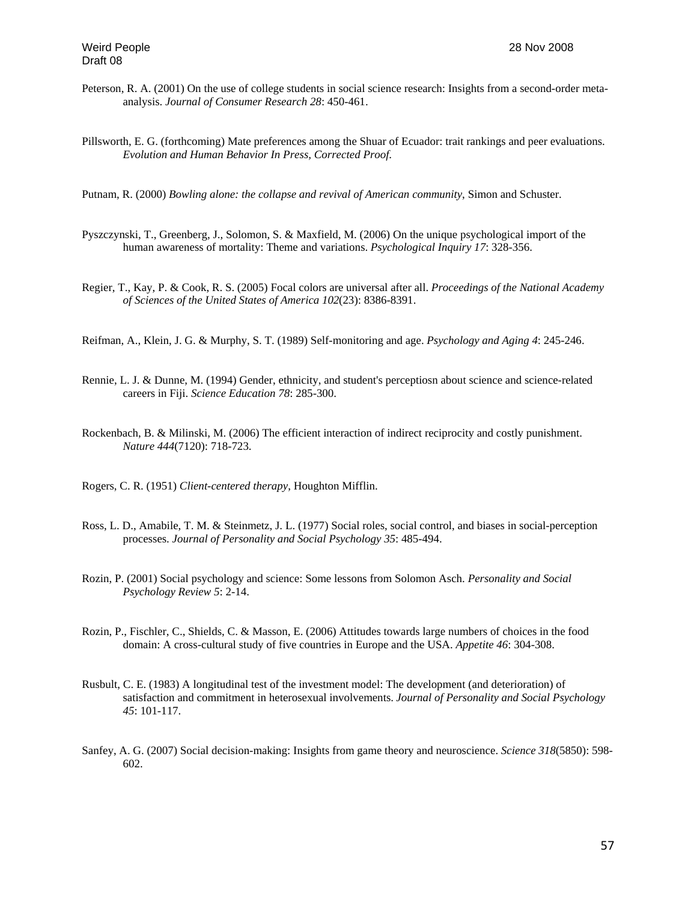- Peterson, R. A. (2001) On the use of college students in social science research: Insights from a second-order metaanalysis. *Journal of Consumer Research 28*: 450-461.
- Pillsworth, E. G. (forthcoming) Mate preferences among the Shuar of Ecuador: trait rankings and peer evaluations. *Evolution and Human Behavior In Press, Corrected Proof*.
- Putnam, R. (2000) *Bowling alone: the collapse and revival of American community*, Simon and Schuster.
- Pyszczynski, T., Greenberg, J., Solomon, S. & Maxfield, M. (2006) On the unique psychological import of the human awareness of mortality: Theme and variations. *Psychological Inquiry 17*: 328-356.
- Regier, T., Kay, P. & Cook, R. S. (2005) Focal colors are universal after all. *Proceedings of the National Academy of Sciences of the United States of America 102*(23): 8386-8391.
- Reifman, A., Klein, J. G. & Murphy, S. T. (1989) Self-monitoring and age. *Psychology and Aging 4*: 245-246.
- Rennie, L. J. & Dunne, M. (1994) Gender, ethnicity, and student's perceptiosn about science and science-related careers in Fiji. *Science Education 78*: 285-300.
- Rockenbach, B. & Milinski, M. (2006) The efficient interaction of indirect reciprocity and costly punishment. *Nature 444*(7120): 718-723.
- Rogers, C. R. (1951) *Client-centered therapy*, Houghton Mifflin.
- Ross, L. D., Amabile, T. M. & Steinmetz, J. L. (1977) Social roles, social control, and biases in social-perception processes. *Journal of Personality and Social Psychology 35*: 485-494.
- Rozin, P. (2001) Social psychology and science: Some lessons from Solomon Asch. *Personality and Social Psychology Review 5*: 2-14.
- Rozin, P., Fischler, C., Shields, C. & Masson, E. (2006) Attitudes towards large numbers of choices in the food domain: A cross-cultural study of five countries in Europe and the USA. *Appetite 46*: 304-308.
- Rusbult, C. E. (1983) A longitudinal test of the investment model: The development (and deterioration) of satisfaction and commitment in heterosexual involvements. *Journal of Personality and Social Psychology 45*: 101-117.
- Sanfey, A. G. (2007) Social decision-making: Insights from game theory and neuroscience. *Science 318*(5850): 598- 602.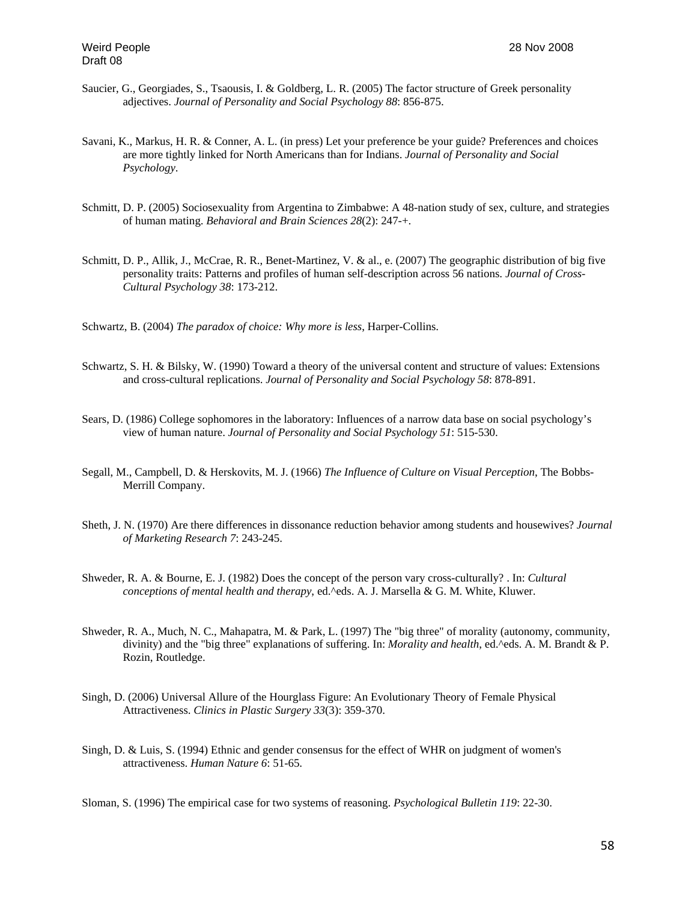- Saucier, G., Georgiades, S., Tsaousis, I. & Goldberg, L. R. (2005) The factor structure of Greek personality adjectives. *Journal of Personality and Social Psychology 88*: 856-875.
- Savani, K., Markus, H. R. & Conner, A. L. (in press) Let your preference be your guide? Preferences and choices are more tightly linked for North Americans than for Indians. *Journal of Personality and Social Psychology*.
- Schmitt, D. P. (2005) Sociosexuality from Argentina to Zimbabwe: A 48-nation study of sex, culture, and strategies of human mating. *Behavioral and Brain Sciences 28*(2): 247-+.
- Schmitt, D. P., Allik, J., McCrae, R. R., Benet-Martinez, V. & al., e. (2007) The geographic distribution of big five personality traits: Patterns and profiles of human self-description across 56 nations. *Journal of Cross-Cultural Psychology 38*: 173-212.

Schwartz, B. (2004) *The paradox of choice: Why more is less*, Harper-Collins.

- Schwartz, S. H. & Bilsky, W. (1990) Toward a theory of the universal content and structure of values: Extensions and cross-cultural replications. *Journal of Personality and Social Psychology 58*: 878-891.
- Sears, D. (1986) College sophomores in the laboratory: Influences of a narrow data base on social psychology's view of human nature. *Journal of Personality and Social Psychology 51*: 515-530.
- Segall, M., Campbell, D. & Herskovits, M. J. (1966) *The Influence of Culture on Visual Perception*, The Bobbs-Merrill Company.
- Sheth, J. N. (1970) Are there differences in dissonance reduction behavior among students and housewives? *Journal of Marketing Research 7*: 243-245.
- Shweder, R. A. & Bourne, E. J. (1982) Does the concept of the person vary cross-culturally? . In: *Cultural conceptions of mental health and therapy*, ed.^eds. A. J. Marsella & G. M. White, Kluwer.
- Shweder, R. A., Much, N. C., Mahapatra, M. & Park, L. (1997) The "big three" of morality (autonomy, community, divinity) and the "big three" explanations of suffering. In: *Morality and health*, ed.^eds. A. M. Brandt & P. Rozin, Routledge.
- Singh, D. (2006) Universal Allure of the Hourglass Figure: An Evolutionary Theory of Female Physical Attractiveness. *Clinics in Plastic Surgery 33*(3): 359-370.
- Singh, D. & Luis, S. (1994) Ethnic and gender consensus for the effect of WHR on judgment of women's attractiveness. *Human Nature 6*: 51-65.

Sloman, S. (1996) The empirical case for two systems of reasoning. *Psychological Bulletin 119*: 22-30.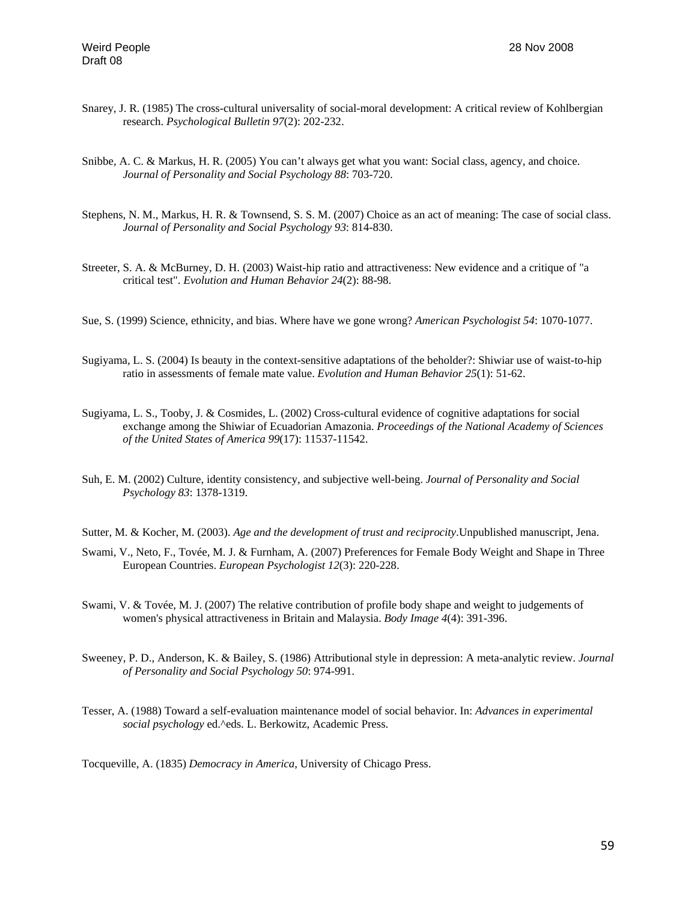- Snarey, J. R. (1985) The cross-cultural universality of social-moral development: A critical review of Kohlbergian research. *Psychological Bulletin 97*(2): 202-232.
- Snibbe, A. C. & Markus, H. R. (2005) You can't always get what you want: Social class, agency, and choice. *Journal of Personality and Social Psychology 88*: 703-720.
- Stephens, N. M., Markus, H. R. & Townsend, S. S. M. (2007) Choice as an act of meaning: The case of social class. *Journal of Personality and Social Psychology 93*: 814-830.
- Streeter, S. A. & McBurney, D. H. (2003) Waist-hip ratio and attractiveness: New evidence and a critique of "a critical test". *Evolution and Human Behavior 24*(2): 88-98.
- Sue, S. (1999) Science, ethnicity, and bias. Where have we gone wrong? *American Psychologist 54*: 1070-1077.
- Sugiyama, L. S. (2004) Is beauty in the context-sensitive adaptations of the beholder?: Shiwiar use of waist-to-hip ratio in assessments of female mate value. *Evolution and Human Behavior 25*(1): 51-62.
- Sugiyama, L. S., Tooby, J. & Cosmides, L. (2002) Cross-cultural evidence of cognitive adaptations for social exchange among the Shiwiar of Ecuadorian Amazonia. *Proceedings of the National Academy of Sciences of the United States of America 99*(17): 11537-11542.
- Suh, E. M. (2002) Culture, identity consistency, and subjective well-being. *Journal of Personality and Social Psychology 83*: 1378-1319.
- Sutter, M. & Kocher, M. (2003). *Age and the development of trust and reciprocity*.Unpublished manuscript, Jena.
- Swami, V., Neto, F., Tovée, M. J. & Furnham, A. (2007) Preferences for Female Body Weight and Shape in Three European Countries. *European Psychologist 12*(3): 220-228.
- Swami, V. & Tovée, M. J. (2007) The relative contribution of profile body shape and weight to judgements of women's physical attractiveness in Britain and Malaysia. *Body Image 4*(4): 391-396.
- Sweeney, P. D., Anderson, K. & Bailey, S. (1986) Attributional style in depression: A meta-analytic review. *Journal of Personality and Social Psychology 50*: 974-991.
- Tesser, A. (1988) Toward a self-evaluation maintenance model of social behavior. In: *Advances in experimental social psychology* ed.^eds. L. Berkowitz, Academic Press.

Tocqueville, A. (1835) *Democracy in America*, University of Chicago Press.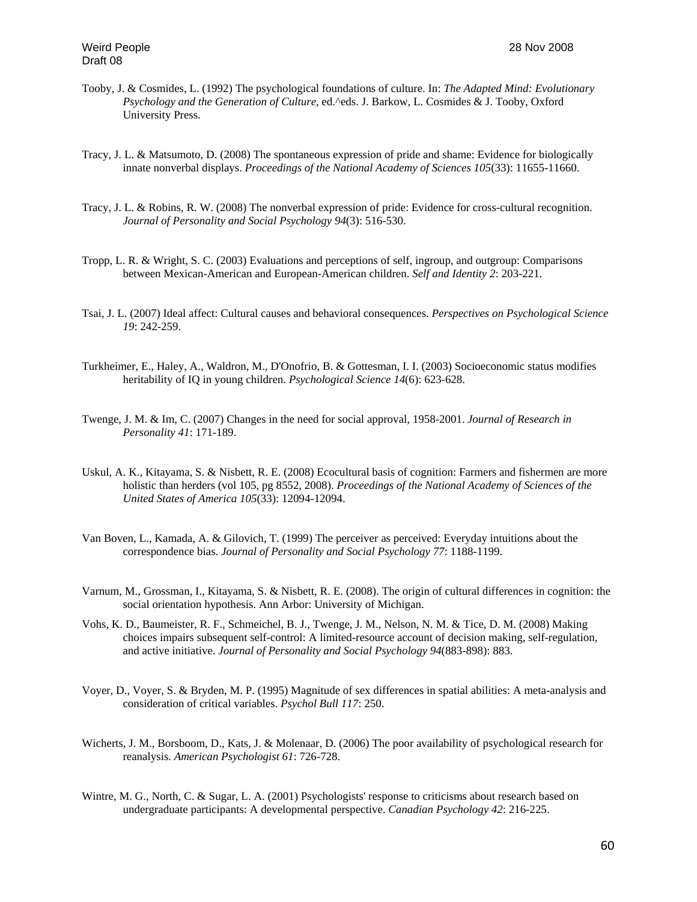- Tooby, J. & Cosmides, L. (1992) The psychological foundations of culture. In: *The Adapted Mind: Evolutionary Psychology and the Generation of Culture*, ed.^eds. J. Barkow, L. Cosmides & J. Tooby, Oxford University Press.
- Tracy, J. L. & Matsumoto, D. (2008) The spontaneous expression of pride and shame: Evidence for biologically innate nonverbal displays. *Proceedings of the National Academy of Sciences 105*(33): 11655-11660.
- Tracy, J. L. & Robins, R. W. (2008) The nonverbal expression of pride: Evidence for cross-cultural recognition. *Journal of Personality and Social Psychology 94*(3): 516-530.
- Tropp, L. R. & Wright, S. C. (2003) Evaluations and perceptions of self, ingroup, and outgroup: Comparisons between Mexican-American and European-American children. *Self and Identity 2*: 203-221.
- Tsai, J. L. (2007) Ideal affect: Cultural causes and behavioral consequences. *Perspectives on Psychological Science 19*: 242-259.
- Turkheimer, E., Haley, A., Waldron, M., D'Onofrio, B. & Gottesman, I. I. (2003) Socioeconomic status modifies heritability of IQ in young children. *Psychological Science 14*(6): 623-628.
- Twenge, J. M. & Im, C. (2007) Changes in the need for social approval, 1958-2001. *Journal of Research in Personality 41*: 171-189.
- Uskul, A. K., Kitayama, S. & Nisbett, R. E. (2008) Ecocultural basis of cognition: Farmers and fishermen are more holistic than herders (vol 105, pg 8552, 2008). *Proceedings of the National Academy of Sciences of the United States of America 105*(33): 12094-12094.
- Van Boven, L., Kamada, A. & Gilovich, T. (1999) The perceiver as perceived: Everyday intuitions about the correspondence bias. *Journal of Personality and Social Psychology 77*: 1188-1199.
- Varnum, M., Grossman, I., Kitayama, S. & Nisbett, R. E. (2008). The origin of cultural differences in cognition: the social orientation hypothesis. Ann Arbor: University of Michigan.
- Vohs, K. D., Baumeister, R. F., Schmeichel, B. J., Twenge, J. M., Nelson, N. M. & Tice, D. M. (2008) Making choices impairs subsequent self-control: A limited-resource account of decision making, self-regulation, and active initiative. *Journal of Personality and Social Psychology 94*(883-898): 883.
- Voyer, D., Voyer, S. & Bryden, M. P. (1995) Magnitude of sex differences in spatial abilities: A meta-analysis and consideration of critical variables. *Psychol Bull 117*: 250.
- Wicherts, J. M., Borsboom, D., Kats, J. & Molenaar, D. (2006) The poor availability of psychological research for reanalysis. *American Psychologist 61*: 726-728.
- Wintre, M. G., North, C. & Sugar, L. A. (2001) Psychologists' response to criticisms about research based on undergraduate participants: A developmental perspective. *Canadian Psychology 42*: 216-225.